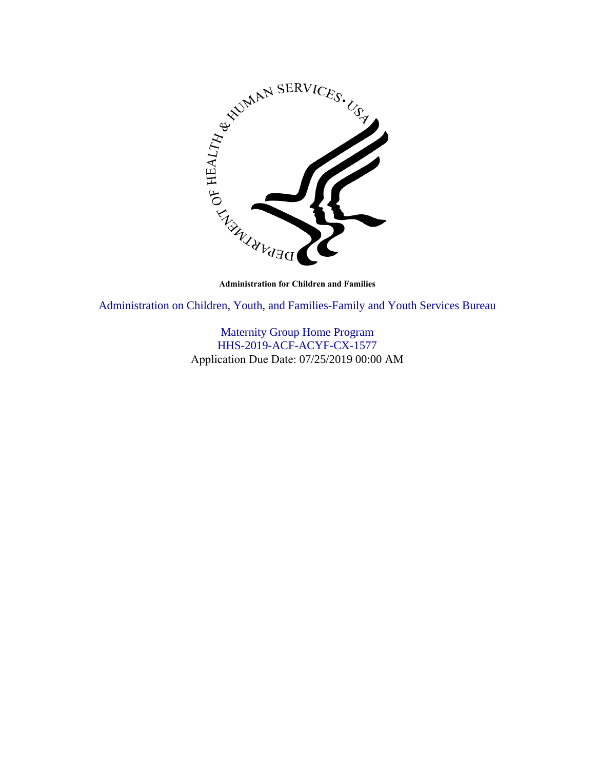

Administration on Children, Youth, and Families-Family and Youth Services Bureau

Maternity Group Home Program HHS-2019-ACF-ACYF-CX-1577 Application Due Date: 07/25/2019 00:00 AM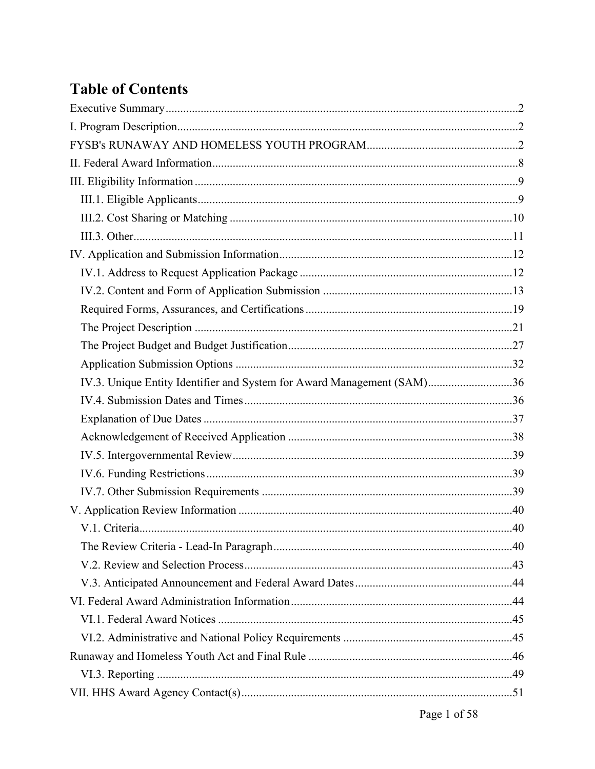# **Table of Contents**

| IV.3. Unique Entity Identifier and System for Award Management (SAM)36 |  |
|------------------------------------------------------------------------|--|
|                                                                        |  |
|                                                                        |  |
|                                                                        |  |
|                                                                        |  |
|                                                                        |  |
|                                                                        |  |
|                                                                        |  |
|                                                                        |  |
|                                                                        |  |
|                                                                        |  |
|                                                                        |  |
|                                                                        |  |
|                                                                        |  |
|                                                                        |  |
|                                                                        |  |
|                                                                        |  |
|                                                                        |  |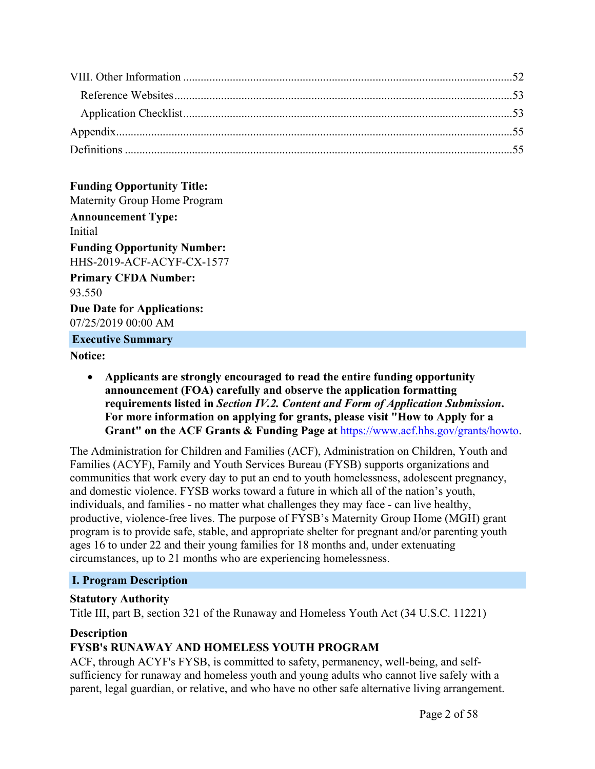## **Funding Opportunity Title:**

Maternity Group Home Program

**Announcement Type:** Initial **Funding Opportunity Number:** HHS-2019-ACF-ACYF-CX-1577

**Primary CFDA Number:** 93.550

**Due Date for Applications:** 07/25/2019 00:00 AM

#### <span id="page-2-0"></span>**Executive Summary**

#### **Notice:**

 **Applicants are strongly encouraged to read the entire funding opportunity announcement (FOA) carefully and observe the application formatting requirements listed in** *Section IV.2. Content and Form of Application Submission***. For more information on applying for grants, please visit "How to Apply for a Grant" on the ACF Grants & Funding Page at** [https://www.acf.hhs.gov/grants/howto.](http://www.acf.hhs.gov/grants/howto)

The Administration for Children and Families (ACF), Administration on Children, Youth and Families (ACYF), Family and Youth Services Bureau (FYSB) supports organizations and communities that work every day to put an end to youth homelessness, adolescent pregnancy, and domestic violence. FYSB works toward a future in which all of the nation's youth, individuals, and families - no matter what challenges they may face - can live healthy, productive, violence-free lives. The purpose of FYSB's Maternity Group Home (MGH) grant program is to provide safe, stable, and appropriate shelter for pregnant and/or parenting youth ages 16 to under 22 and their young families for 18 months and, under extenuating circumstances, up to 21 months who are experiencing homelessness.

### <span id="page-2-1"></span>**I. Program Description**

### **Statutory Authority**

Title III, part B, section 321 of the Runaway and Homeless Youth Act (34 U.S.C. 11221)

#### **Description**

### <span id="page-2-2"></span>**FYSB's RUNAWAY AND HOMELESS YOUTH PROGRAM**

ACF, through ACYF's FYSB, is committed to safety, permanency, well-being, and selfsufficiency for runaway and homeless youth and young adults who cannot live safely with a parent, legal guardian, or relative, and who have no other safe alternative living arrangement.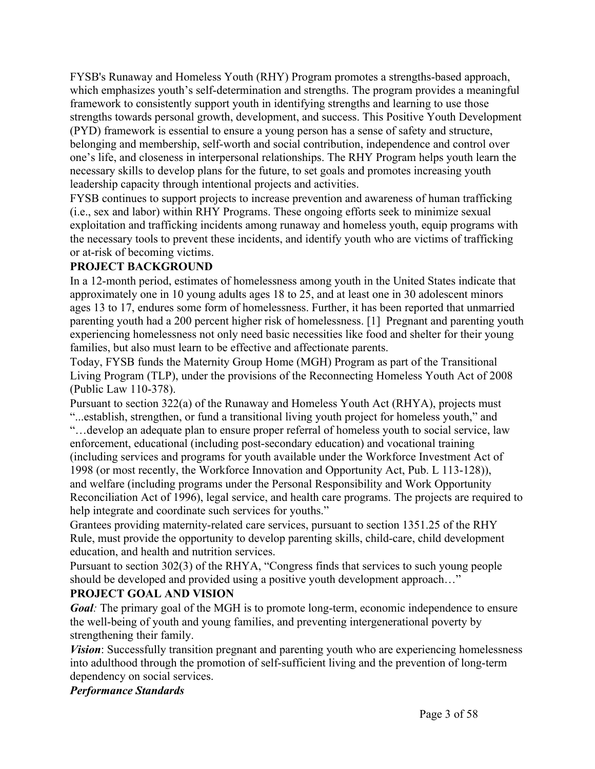FYSB's Runaway and Homeless Youth (RHY) Program promotes a strengths-based approach, which emphasizes youth's self-determination and strengths. The program provides a meaningful framework to consistently support youth in identifying strengths and learning to use those strengths towards personal growth, development, and success. This Positive Youth Development (PYD) framework is essential to ensure a young person has a sense of safety and structure, belonging and membership, self-worth and social contribution, independence and control over one's life, and closeness in interpersonal relationships. The RHY Program helps youth learn the necessary skills to develop plans for the future, to set goals and promotes increasing youth leadership capacity through intentional projects and activities.

FYSB continues to support projects to increase prevention and awareness of human trafficking (i.e., sex and labor) within RHY Programs. These ongoing efforts seek to minimize sexual exploitation and trafficking incidents among runaway and homeless youth, equip programs with the necessary tools to prevent these incidents, and identify youth who are victims of trafficking or at-risk of becoming victims.

### **PROJECT BACKGROUND**

In a 12-month period, estimates of homelessness among youth in the United States indicate that approximately one in 10 young adults ages 18 to 25, and at least one in 30 adolescent minors ages 13 to 17, endures some form of homelessness. Further, it has been reported that unmarried parenting youth had a 200 percent higher risk of homelessness. [1] Pregnant and parenting youth experiencing homelessness not only need basic necessities like food and shelter for their young families, but also must learn to be effective and affectionate parents.

Today, FYSB funds the Maternity Group Home (MGH) Program as part of the Transitional Living Program (TLP), under the provisions of the Reconnecting Homeless Youth Act of 2008 (Public Law 110-378).

Pursuant to section 322(a) of the Runaway and Homeless Youth Act (RHYA), projects must "...establish, strengthen, or fund a transitional living youth project for homeless youth," and "…develop an adequate plan to ensure proper referral of homeless youth to social service, law enforcement, educational (including post-secondary education) and vocational training (including services and programs for youth available under the Workforce Investment Act of 1998 (or most recently, the Workforce Innovation and Opportunity Act, Pub. L 113-128)), and welfare (including programs under the Personal Responsibility and Work Opportunity Reconciliation Act of 1996), legal service, and health care programs. The projects are required to help integrate and coordinate such services for youths."

Grantees providing maternity-related care services, pursuant to section 1351.25 of the RHY Rule, must provide the opportunity to develop parenting skills, child-care, child development education, and health and nutrition services.

Pursuant to section 302(3) of the RHYA, "Congress finds that services to such young people should be developed and provided using a positive youth development approach…"

### **PROJECT GOAL AND VISION**

*Goal*: The primary goal of the MGH is to promote long-term, economic independence to ensure the well-being of youth and young families, and preventing intergenerational poverty by strengthening their family.

*Vision*: Successfully transition pregnant and parenting youth who are experiencing homelessness into adulthood through the promotion of self-sufficient living and the prevention of long-term dependency on social services.

### *Performance Standards*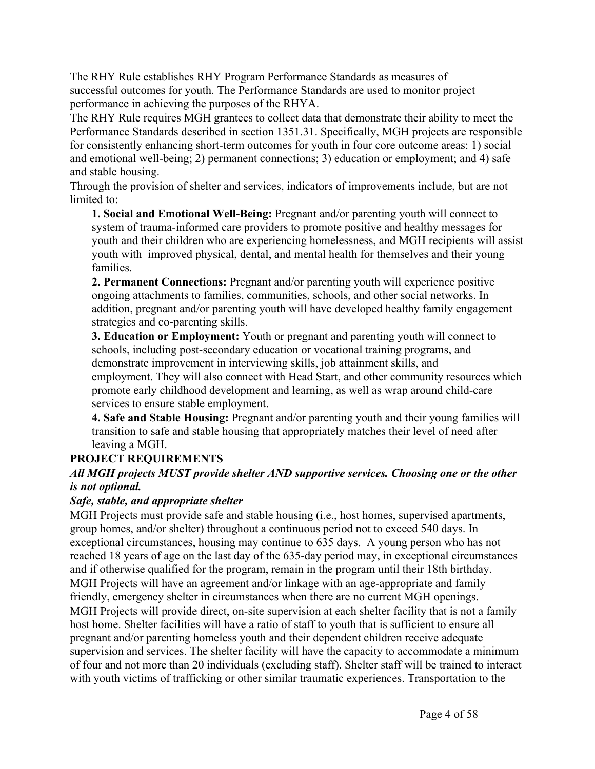The RHY Rule establishes RHY Program Performance Standards as measures of successful outcomes for youth. The Performance Standards are used to monitor project performance in achieving the purposes of the RHYA.

The RHY Rule requires MGH grantees to collect data that demonstrate their ability to meet the Performance Standards described in section 1351.31. Specifically, MGH projects are responsible for consistently enhancing short-term outcomes for youth in four core outcome areas: 1) social and emotional well-being; 2) permanent connections; 3) education or employment; and 4) safe and stable housing.

Through the provision of shelter and services, indicators of improvements include, but are not limited to:

**1. Social and Emotional Well-Being:** Pregnant and/or parenting youth will connect to system of trauma-informed care providers to promote positive and healthy messages for youth and their children who are experiencing homelessness, and MGH recipients will assist youth with improved physical, dental, and mental health for themselves and their young families.

**2. Permanent Connections:** Pregnant and/or parenting youth will experience positive ongoing attachments to families, communities, schools, and other social networks. In addition, pregnant and/or parenting youth will have developed healthy family engagement strategies and co-parenting skills.

**3. Education or Employment:** Youth or pregnant and parenting youth will connect to schools, including post-secondary education or vocational training programs, and demonstrate improvement in interviewing skills, job attainment skills, and employment. They will also connect with Head Start, and other community resources which promote early childhood development and learning, as well as wrap around child-care services to ensure stable employment.

**4. Safe and Stable Housing:** Pregnant and/or parenting youth and their young families will transition to safe and stable housing that appropriately matches their level of need after leaving a MGH.

### **PROJECT REQUIREMENTS**

#### *All MGH projects MUST provide shelter AND supportive services. Choosing one or the other is not optional.*

### *Safe, stable, and appropriate shelter*

MGH Projects must provide safe and stable housing (i.e., host homes, supervised apartments, group homes, and/or shelter) throughout a continuous period not to exceed 540 days. In exceptional circumstances, housing may continue to 635 days. A young person who has not reached 18 years of age on the last day of the 635-day period may, in exceptional circumstances and if otherwise qualified for the program, remain in the program until their 18th birthday. MGH Projects will have an agreement and/or linkage with an age-appropriate and family friendly, emergency shelter in circumstances when there are no current MGH openings. MGH Projects will provide direct, on-site supervision at each shelter facility that is not a family host home. Shelter facilities will have a ratio of staff to youth that is sufficient to ensure all pregnant and/or parenting homeless youth and their dependent children receive adequate supervision and services. The shelter facility will have the capacity to accommodate a minimum of four and not more than 20 individuals (excluding staff). Shelter staff will be trained to interact with youth victims of trafficking or other similar traumatic experiences. Transportation to the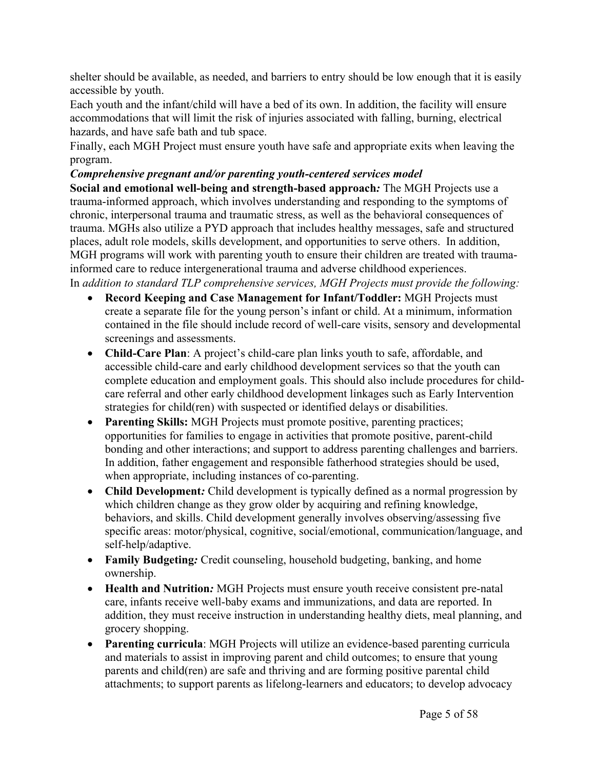shelter should be available, as needed, and barriers to entry should be low enough that it is easily accessible by youth.

Each youth and the infant/child will have a bed of its own. In addition, the facility will ensure accommodations that will limit the risk of injuries associated with falling, burning, electrical hazards, and have safe bath and tub space.

Finally, each MGH Project must ensure youth have safe and appropriate exits when leaving the program.

### *Comprehensive pregnant and/or parenting youth-centered services model*

**Social and emotional well-being and strength-based approach***:* The MGH Projects use a trauma-informed approach, which involves understanding and responding to the symptoms of chronic, interpersonal trauma and traumatic stress, as well as the behavioral consequences of trauma. MGHs also utilize a PYD approach that includes healthy messages, safe and structured places, adult role models, skills development, and opportunities to serve others. In addition, MGH programs will work with parenting youth to ensure their children are treated with traumainformed care to reduce intergenerational trauma and adverse childhood experiences. In *addition to standard TLP comprehensive services, MGH Projects must provide the following:*

- **Record Keeping and Case Management for Infant/Toddler:** MGH Projects must create a separate file for the young person's infant or child. At a minimum, information contained in the file should include record of well-care visits, sensory and developmental screenings and assessments.
- **Child-Care Plan**: A project's child-care plan links youth to safe, affordable, and accessible child-care and early childhood development services so that the youth can complete education and employment goals. This should also include procedures for childcare referral and other early childhood development linkages such as Early Intervention strategies for child(ren) with suspected or identified delays or disabilities.
- **Parenting Skills:** MGH Projects must promote positive, parenting practices; opportunities for families to engage in activities that promote positive, parent-child bonding and other interactions; and support to address parenting challenges and barriers. In addition, father engagement and responsible fatherhood strategies should be used, when appropriate, including instances of co-parenting.
- **Child Development***:* Child development is typically defined as a normal progression by which children change as they grow older by acquiring and refining knowledge, behaviors, and skills. Child development generally involves observing/assessing five specific areas: motor/physical, cognitive, social/emotional, communication/language, and self-help/adaptive.
- **Family Budgeting***:* Credit counseling, household budgeting, banking, and home ownership.
- **Health and Nutrition***:* MGH Projects must ensure youth receive consistent pre-natal care, infants receive well-baby exams and immunizations, and data are reported. In addition, they must receive instruction in understanding healthy diets, meal planning, and grocery shopping.
- **Parenting curricula**: MGH Projects will utilize an evidence-based parenting curricula and materials to assist in improving parent and child outcomes; to ensure that young parents and child(ren) are safe and thriving and are forming positive parental child attachments; to support parents as lifelong-learners and educators; to develop advocacy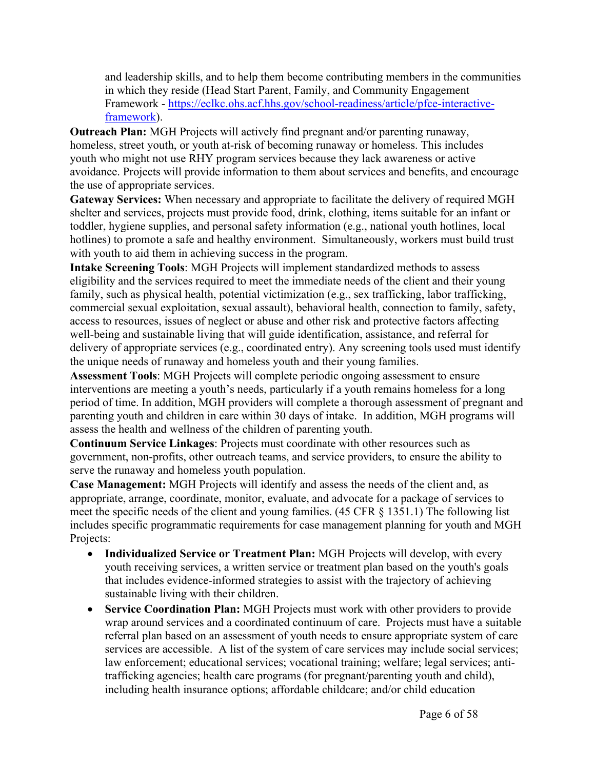and leadership skills, and to help them become contributing members in the communities in which they reside (Head Start Parent, Family, and Community Engagement Framework - [https://eclkc.ohs.acf.hhs.gov/school-readiness/article/pfce-interactive](https://eclkc.ohs.acf.hhs.gov/school-readiness/article/pfce-interactive-framework)[framework\)](https://eclkc.ohs.acf.hhs.gov/school-readiness/article/pfce-interactive-framework).

**Outreach Plan:** MGH Projects will actively find pregnant and/or parenting runaway, homeless, street youth, or youth at-risk of becoming runaway or homeless. This includes youth who might not use RHY program services because they lack awareness or active avoidance. Projects will provide information to them about services and benefits, and encourage the use of appropriate services.

**Gateway Services:** When necessary and appropriate to facilitate the delivery of required MGH shelter and services, projects must provide food, drink, clothing, items suitable for an infant or toddler, hygiene supplies, and personal safety information (e.g., national youth hotlines, local hotlines) to promote a safe and healthy environment. Simultaneously, workers must build trust with youth to aid them in achieving success in the program.

**Intake Screening Tools**: MGH Projects will implement standardized methods to assess eligibility and the services required to meet the immediate needs of the client and their young family, such as physical health, potential victimization (e.g., sex trafficking, labor trafficking, commercial sexual exploitation, sexual assault), behavioral health, connection to family, safety, access to resources, issues of neglect or abuse and other risk and protective factors affecting well-being and sustainable living that will guide identification, assistance, and referral for delivery of appropriate services (e.g., coordinated entry). Any screening tools used must identify the unique needs of runaway and homeless youth and their young families.

**Assessment Tools**: MGH Projects will complete periodic ongoing assessment to ensure interventions are meeting a youth's needs, particularly if a youth remains homeless for a long period of time. In addition, MGH providers will complete a thorough assessment of pregnant and parenting youth and children in care within 30 days of intake. In addition, MGH programs will assess the health and wellness of the children of parenting youth.

**Continuum Service Linkages**: Projects must coordinate with other resources such as government, non-profits, other outreach teams, and service providers, to ensure the ability to serve the runaway and homeless youth population.

**Case Management:** MGH Projects will identify and assess the needs of the client and, as appropriate, arrange, coordinate, monitor, evaluate, and advocate for a package of services to meet the specific needs of the client and young families. (45 CFR § 1351.1) The following list includes specific programmatic requirements for case management planning for youth and MGH Projects:

- **Individualized Service or Treatment Plan:** MGH Projects will develop, with every youth receiving services, a written service or treatment plan based on the youth's goals that includes evidence-informed strategies to assist with the trajectory of achieving sustainable living with their children.
- **Service Coordination Plan:** MGH Projects must work with other providers to provide wrap around services and a coordinated continuum of care. Projects must have a suitable referral plan based on an assessment of youth needs to ensure appropriate system of care services are accessible. A list of the system of care services may include social services; law enforcement; educational services; vocational training; welfare; legal services; antitrafficking agencies; health care programs (for pregnant/parenting youth and child), including health insurance options; affordable childcare; and/or child education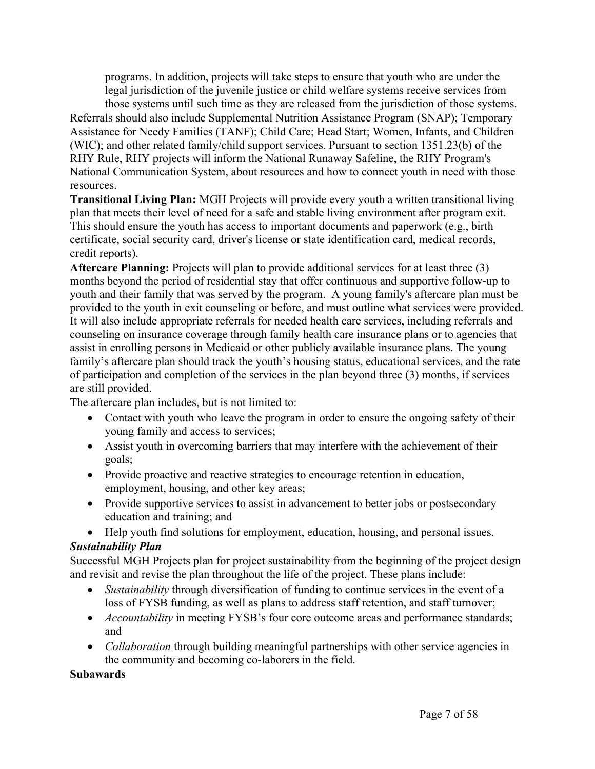programs. In addition, projects will take steps to ensure that youth who are under the legal jurisdiction of the juvenile justice or child welfare systems receive services from those systems until such time as they are released from the jurisdiction of those systems.

Referrals should also include Supplemental Nutrition Assistance Program (SNAP); Temporary Assistance for Needy Families (TANF); Child Care; Head Start; Women, Infants, and Children (WIC); and other related family/child support services. Pursuant to section 1351.23(b) of the RHY Rule, RHY projects will inform the National Runaway Safeline, the RHY Program's National Communication System, about resources and how to connect youth in need with those resources.

**Transitional Living Plan:** MGH Projects will provide every youth a written transitional living plan that meets their level of need for a safe and stable living environment after program exit. This should ensure the youth has access to important documents and paperwork (e.g., birth certificate, social security card, driver's license or state identification card, medical records, credit reports).

**Aftercare Planning:** Projects will plan to provide additional services for at least three (3) months beyond the period of residential stay that offer continuous and supportive follow-up to youth and their family that was served by the program. A young family's aftercare plan must be provided to the youth in exit counseling or before, and must outline what services were provided. It will also include appropriate referrals for needed health care services, including referrals and counseling on insurance coverage through family health care insurance plans or to agencies that assist in enrolling persons in Medicaid or other publicly available insurance plans. The young family's aftercare plan should track the youth's housing status, educational services, and the rate of participation and completion of the services in the plan beyond three (3) months, if services are still provided.

The aftercare plan includes, but is not limited to:

- Contact with youth who leave the program in order to ensure the ongoing safety of their young family and access to services;
- Assist youth in overcoming barriers that may interfere with the achievement of their goals;
- Provide proactive and reactive strategies to encourage retention in education, employment, housing, and other key areas;
- Provide supportive services to assist in advancement to better jobs or postsecondary education and training; and
- Help youth find solutions for employment, education, housing, and personal issues.

#### *Sustainability Plan*

Successful MGH Projects plan for project sustainability from the beginning of the project design and revisit and revise the plan throughout the life of the project. These plans include:

- *Sustainability* through diversification of funding to continue services in the event of a loss of FYSB funding, as well as plans to address staff retention, and staff turnover;
- *Accountability* in meeting FYSB's four core outcome areas and performance standards; and
- *Collaboration* through building meaningful partnerships with other service agencies in the community and becoming co-laborers in the field.

#### **Subawards**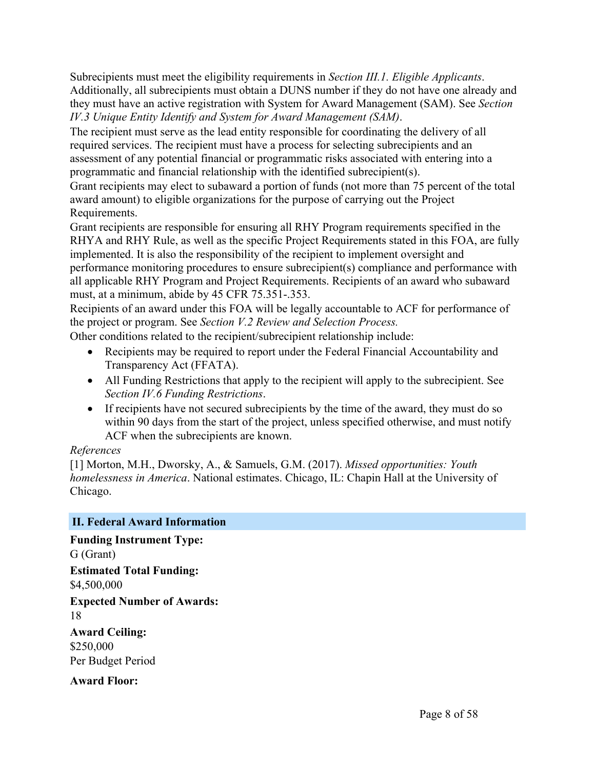Subrecipients must meet the eligibility requirements in *Section III.1. Eligible Applicants*. Additionally, all subrecipients must obtain a DUNS number if they do not have one already and they must have an active registration with System for Award Management (SAM). See *Section IV.3 Unique Entity Identify and System for Award Management (SAM)*.

The recipient must serve as the lead entity responsible for coordinating the delivery of all required services. The recipient must have a process for selecting subrecipients and an assessment of any potential financial or programmatic risks associated with entering into a programmatic and financial relationship with the identified subrecipient(s).

Grant recipients may elect to subaward a portion of funds (not more than 75 percent of the total award amount) to eligible organizations for the purpose of carrying out the Project Requirements.

Grant recipients are responsible for ensuring all RHY Program requirements specified in the RHYA and RHY Rule, as well as the specific Project Requirements stated in this FOA, are fully implemented. It is also the responsibility of the recipient to implement oversight and performance monitoring procedures to ensure subrecipient(s) compliance and performance with all applicable RHY Program and Project Requirements. Recipients of an award who subaward must, at a minimum, abide by 45 CFR 75.351-.353.

Recipients of an award under this FOA will be legally accountable to ACF for performance of the project or program. See *Section V.2 Review and Selection Process.*

Other conditions related to the recipient/subrecipient relationship include:

- Recipients may be required to report under the Federal Financial Accountability and Transparency Act (FFATA).
- All Funding Restrictions that apply to the recipient will apply to the subrecipient. See *Section IV.6 Funding Restrictions*.
- If recipients have not secured subrecipients by the time of the award, they must do so within 90 days from the start of the project, unless specified otherwise, and must notify ACF when the subrecipients are known.

#### *References*

[1] Morton, M.H., Dworsky, A., & Samuels, G.M. (2017). *Missed opportunities: Youth homelessness in America*. National estimates. Chicago, IL: Chapin Hall at the University of Chicago.

### <span id="page-8-0"></span>**II. Federal Award Information**

**Funding Instrument Type:** G (Grant) **Estimated Total Funding:** \$4,500,000 **Expected Number of Awards:** 18 **Award Ceiling:** \$250,000 Per Budget Period **Award Floor:**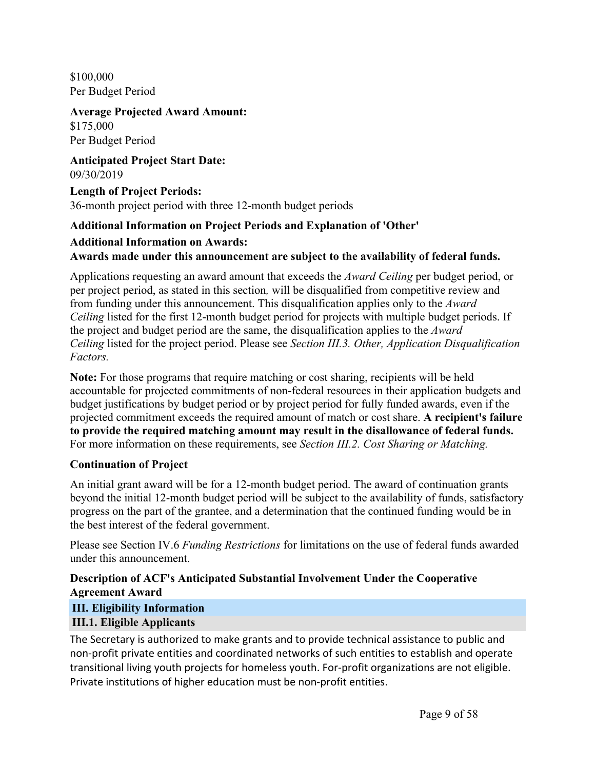\$100,000 Per Budget Period

**Average Projected Award Amount:** \$175,000 Per Budget Period

**Anticipated Project Start Date:** 09/30/2019

**Length of Project Periods:** 36-month project period with three 12-month budget periods

### **Additional Information on Project Periods and Explanation of 'Other'**

#### **Additional Information on Awards:**

**Awards made under this announcement are subject to the availability of federal funds.**

Applications requesting an award amount that exceeds the *Award Ceiling* per budget period, or per project period, as stated in this section*,* will be disqualified from competitive review and from funding under this announcement. This disqualification applies only to the *Award Ceiling* listed for the first 12-month budget period for projects with multiple budget periods. If the project and budget period are the same, the disqualification applies to the *Award Ceiling* listed for the project period. Please see *Section III.3. Other, Application Disqualification Factors.*

**Note:** For those programs that require matching or cost sharing, recipients will be held accountable for projected commitments of non-federal resources in their application budgets and budget justifications by budget period or by project period for fully funded awards, even if the projected commitment exceeds the required amount of match or cost share. **A recipient's failure to provide the required matching amount may result in the disallowance of federal funds.** For more information on these requirements, see *Section III.2. Cost Sharing or Matching.*

#### **Continuation of Project**

An initial grant award will be for a 12-month budget period. The award of continuation grants beyond the initial 12-month budget period will be subject to the availability of funds, satisfactory progress on the part of the grantee, and a determination that the continued funding would be in the best interest of the federal government.

Please see Section IV.6 *Funding Restrictions* for limitations on the use of federal funds awarded under this announcement.

#### **Description of ACF's Anticipated Substantial Involvement Under the Cooperative Agreement Award**

### <span id="page-9-0"></span>**III. Eligibility Information**

### <span id="page-9-1"></span>**III.1. Eligible Applicants**

The Secretary is authorized to make grants and to provide technical assistance to public and non-profit private entities and coordinated networks of such entities to establish and operate transitional living youth projects for homeless youth. For-profit organizations are not eligible. Private institutions of higher education must be non-profit entities.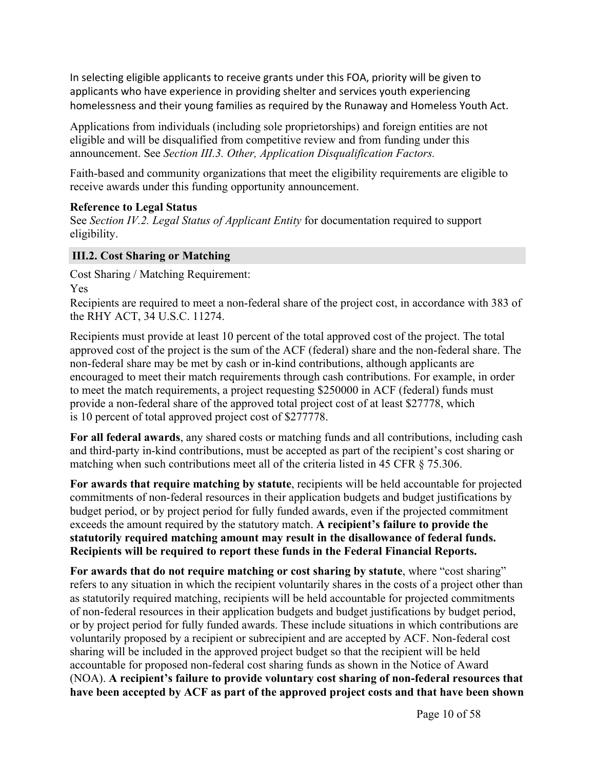In selecting eligible applicants to receive grants under this FOA, priority will be given to applicants who have experience in providing shelter and services youth experiencing homelessness and their young families as required by the Runaway and Homeless Youth Act.

Applications from individuals (including sole proprietorships) and foreign entities are not eligible and will be disqualified from competitive review and from funding under this announcement. See *Section III.3. Other, Application Disqualification Factors.*

Faith-based and community organizations that meet the eligibility requirements are eligible to receive awards under this funding opportunity announcement.

#### **Reference to Legal Status**

See *Section IV.2. Legal Status of Applicant Entity* for documentation required to support eligibility.

#### <span id="page-10-0"></span>**III.2. Cost Sharing or Matching**

Cost Sharing / Matching Requirement:

Yes

Recipients are required to meet a non-federal share of the project cost, in accordance with 383 of the RHY ACT, 34 U.S.C. 11274.

Recipients must provide at least 10 percent of the total approved cost of the project. The total approved cost of the project is the sum of the ACF (federal) share and the non-federal share. The non-federal share may be met by cash or in-kind contributions, although applicants are encouraged to meet their match requirements through cash contributions. For example, in order to meet the match requirements, a project requesting \$250000 in ACF (federal) funds must provide a non-federal share of the approved total project cost of at least \$27778, which is 10 percent of total approved project cost of \$277778.

**For all federal awards**, any shared costs or matching funds and all contributions, including cash and third-party in-kind contributions, must be accepted as part of the recipient's cost sharing or matching when such contributions meet all of the criteria listed in 45 CFR § 75.306.

**For awards that require matching by statute**, recipients will be held accountable for projected commitments of non-federal resources in their application budgets and budget justifications by budget period, or by project period for fully funded awards, even if the projected commitment exceeds the amount required by the statutory match. **A recipient's failure to provide the statutorily required matching amount may result in the disallowance of federal funds. Recipients will be required to report these funds in the Federal Financial Reports.**

**For awards that do not require matching or cost sharing by statute**, where "cost sharing" refers to any situation in which the recipient voluntarily shares in the costs of a project other than as statutorily required matching, recipients will be held accountable for projected commitments of non-federal resources in their application budgets and budget justifications by budget period, or by project period for fully funded awards. These include situations in which contributions are voluntarily proposed by a recipient or subrecipient and are accepted by ACF. Non-federal cost sharing will be included in the approved project budget so that the recipient will be held accountable for proposed non-federal cost sharing funds as shown in the Notice of Award (NOA). **A recipient's failure to provide voluntary cost sharing of non-federal resources that have been accepted by ACF as part of the approved project costs and that have been shown**

Page 10 of 58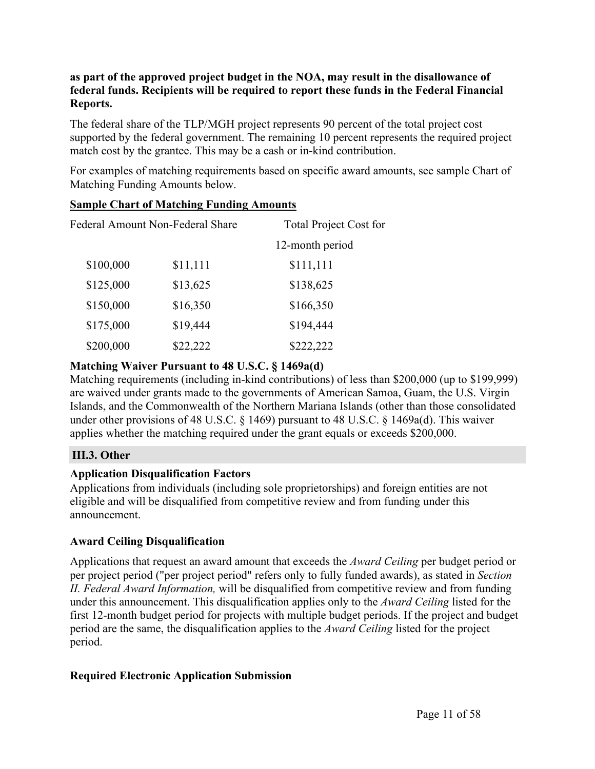#### **as part of the approved project budget in the NOA, may result in the disallowance of federal funds. Recipients will be required to report these funds in the Federal Financial Reports.**

The federal share of the TLP/MGH project represents 90 percent of the total project cost supported by the federal government. The remaining 10 percent represents the required project match cost by the grantee. This may be a cash or in-kind contribution.

For examples of matching requirements based on specific award amounts, see sample Chart of Matching Funding Amounts below.

#### **Sample Chart of Matching Funding Amounts**

| Federal Amount Non-Federal Share |          | <b>Total Project Cost for</b> |
|----------------------------------|----------|-------------------------------|
|                                  |          | 12-month period               |
| \$100,000                        | \$11,111 | \$111,111                     |
| \$125,000                        | \$13,625 | \$138,625                     |
| \$150,000                        | \$16,350 | \$166,350                     |
| \$175,000                        | \$19,444 | \$194,444                     |
| \$200,000                        | \$22,222 | \$222,222                     |

#### **Matching Waiver Pursuant to 48 U.S.C. § 1469a(d)**

Matching requirements (including in-kind contributions) of less than \$200,000 (up to \$199,999) are waived under grants made to the governments of American Samoa, Guam, the U.S. Virgin Islands, and the Commonwealth of the Northern Mariana Islands (other than those consolidated under other provisions of 48 U.S.C. § 1469) pursuant to 48 U.S.C. § 1469a(d). This waiver applies whether the matching required under the grant equals or exceeds \$200,000.

### <span id="page-11-0"></span>**III.3. Other**

## **Application Disqualification Factors**

Applications from individuals (including sole proprietorships) and foreign entities are not eligible and will be disqualified from competitive review and from funding under this announcement.

### **Award Ceiling Disqualification**

Applications that request an award amount that exceeds the *Award Ceiling* per budget period or per project period ("per project period" refers only to fully funded awards), as stated in *Section II. Federal Award Information,* will be disqualified from competitive review and from funding under this announcement. This disqualification applies only to the *Award Ceiling* listed for the first 12-month budget period for projects with multiple budget periods. If the project and budget period are the same, the disqualification applies to the *Award Ceiling* listed for the project period.

### **Required Electronic Application Submission**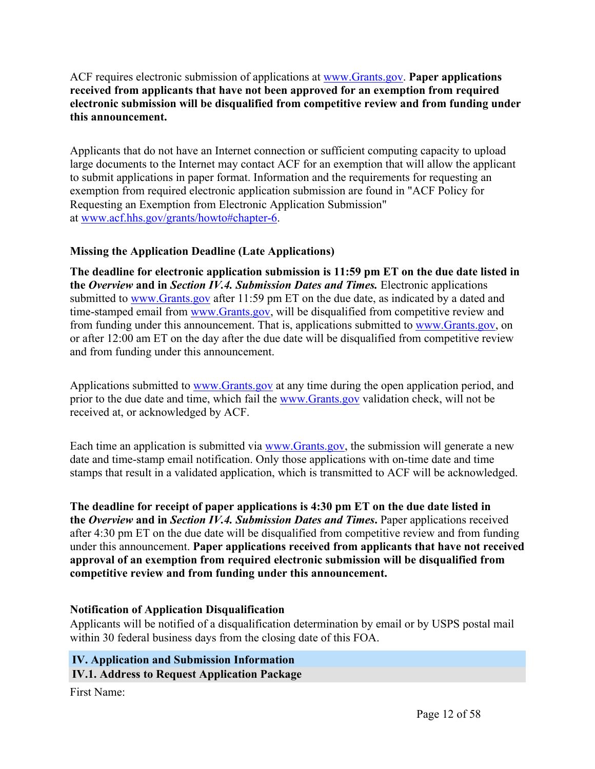ACF requires electronic submission of applications at [www.Grants.gov.](https://www.grants.gov/) **Paper applications received from applicants that have not been approved for an exemption from required electronic submission will be disqualified from competitive review and from funding under this announcement.**

Applicants that do not have an Internet connection or sufficient computing capacity to upload large documents to the Internet may contact ACF for an exemption that will allow the applicant to submit applications in paper format. Information and the requirements for requesting an exemption from required electronic application submission are found in "ACF Policy for Requesting an Exemption from Electronic Application Submission" at [www.acf.hhs.gov/grants/howto#chapter-6](https://www.acf.hhs.gov/grants/howto#chapter-6).

#### **Missing the Application Deadline (Late Applications)**

**The deadline for electronic application submission is 11:59 pm ET on the due date listed in the** *Overview* **and in** *Section IV.4. Submission Dates and Times.* Electronic applications submitted to [www.Grants.gov](https://www.grants.gov/) after 11:59 pm ET on the due date, as indicated by a dated and time-stamped email from [www.Grants.gov](https://www.grants.gov/), will be disqualified from competitive review and from funding under this announcement. That is, applications submitted to [www.Grants.gov,](https://www.grants.gov/) on or after 12:00 am ET on the day after the due date will be disqualified from competitive review and from funding under this announcement.

Applications submitted to [www.Grants.gov](https://www.grants.gov/) at any time during the open application period, and prior to the due date and time, which fail the [www.Grants.gov](https://www.grants.gov/) validation check, will not be received at, or acknowledged by ACF.

Each time an application is submitted via [www.Grants.gov,](https://www.grants.gov/) the submission will generate a new date and time-stamp email notification. Only those applications with on-time date and time stamps that result in a validated application, which is transmitted to ACF will be acknowledged.

**The deadline for receipt of paper applications is 4:30 pm ET on the due date listed in the** *Overview* **and in** *Section IV.4. Submission Dates and Times***.** Paper applications received after 4:30 pm ET on the due date will be disqualified from competitive review and from funding under this announcement. **Paper applications received from applicants that have not received approval of an exemption from required electronic submission will be disqualified from competitive review and from funding under this announcement.**

#### **Notification of Application Disqualification**

Applicants will be notified of a disqualification determination by email or by USPS postal mail within 30 federal business days from the closing date of this FOA.

#### <span id="page-12-1"></span><span id="page-12-0"></span>**IV. Application and Submission Information IV.1. Address to Request Application Package**

First Name: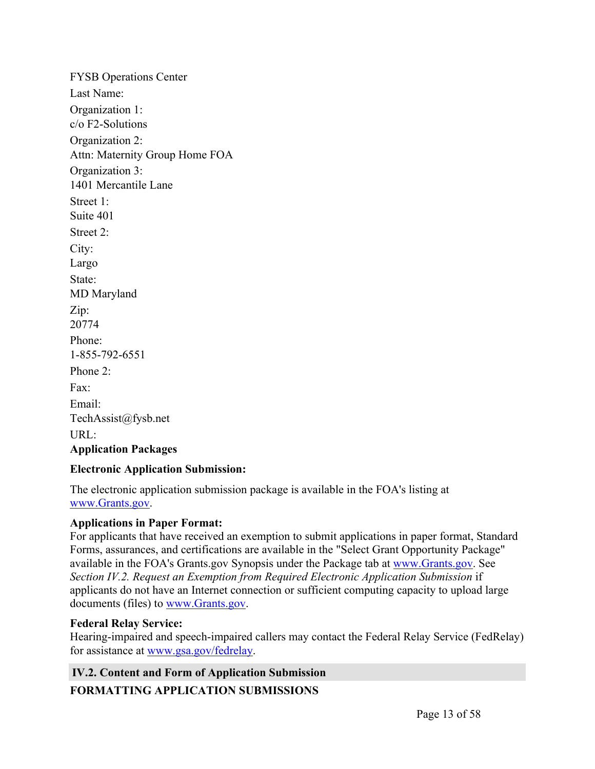FYSB Operations Center Last Name: Organization 1: c/o F2-Solutions Organization 2: Attn: Maternity Group Home FOA Organization 3: 1401 Mercantile Lane Street 1: Suite 401 Street 2: City: Largo State: MD Maryland Zip: 20774 Phone: 1-855-792-6551 Phone 2<sup>-</sup> Fax: Email: TechAssist@fysb.net URL: **Application Packages**

#### **Electronic Application Submission:**

The electronic application submission package is available in the FOA's listing at [www.Grants.gov.](https://www.Grants.gov/)

### **Applications in Paper Format:**

For applicants that have received an exemption to submit applications in paper format, Standard Forms, assurances, and certifications are available in the "Select Grant Opportunity Package" available in the FOA's Grants.gov Synopsis under the Package tab at [www.Grants.gov.](https://www.Grants.gov/) See *Section IV.2. Request an Exemption from Required Electronic Application Submission* if applicants do not have an Internet connection or sufficient computing capacity to upload large documents (files) to [www.Grants.gov.](https://www.grants.gov/)

### **Federal Relay Service:**

Hearing-impaired and speech-impaired callers may contact the Federal Relay Service (FedRelay) for assistance at [www.gsa.gov/fedrelay](http://www.gsa.gov/fedrelay).

## <span id="page-13-0"></span>**IV.2. Content and Form of Application Submission FORMATTING APPLICATION SUBMISSIONS**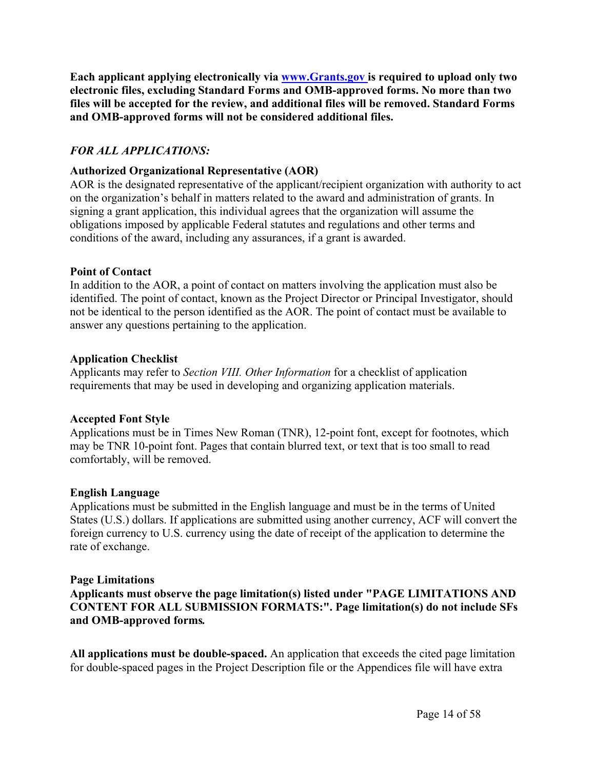**Each applicant applying electronically via [www.Grants.gov](https://www.grants.gov/) is required to upload only two electronic files, excluding Standard Forms and OMB-approved forms. No more than two files will be accepted for the review, and additional files will be removed. Standard Forms and OMB-approved forms will not be considered additional files.**

#### *FOR ALL APPLICATIONS:*

#### **Authorized Organizational Representative (AOR)**

AOR is the designated representative of the applicant/recipient organization with authority to act on the organization's behalf in matters related to the award and administration of grants. In signing a grant application, this individual agrees that the organization will assume the obligations imposed by applicable Federal statutes and regulations and other terms and conditions of the award, including any assurances, if a grant is awarded.

#### **Point of Contact**

In addition to the AOR, a point of contact on matters involving the application must also be identified. The point of contact, known as the Project Director or Principal Investigator, should not be identical to the person identified as the AOR. The point of contact must be available to answer any questions pertaining to the application.

#### **Application Checklist**

Applicants may refer to *Section VIII. Other Information* for a checklist of application requirements that may be used in developing and organizing application materials.

#### **Accepted Font Style**

Applications must be in Times New Roman (TNR), 12-point font, except for footnotes, which may be TNR 10-point font. Pages that contain blurred text, or text that is too small to read comfortably, will be removed.

#### **English Language**

Applications must be submitted in the English language and must be in the terms of United States (U.S.) dollars. If applications are submitted using another currency, ACF will convert the foreign currency to U.S. currency using the date of receipt of the application to determine the rate of exchange.

#### **Page Limitations**

**Applicants must observe the page limitation(s) listed under "PAGE LIMITATIONS AND CONTENT FOR ALL SUBMISSION FORMATS:". Page limitation(s) do not include SFs and OMB-approved forms***.*

**All applications must be double-spaced.** An application that exceeds the cited page limitation for double-spaced pages in the Project Description file or the Appendices file will have extra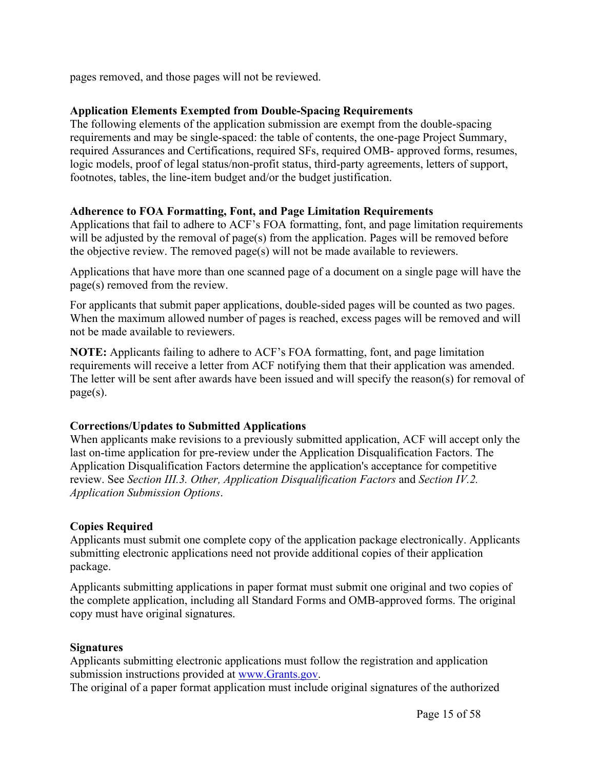pages removed, and those pages will not be reviewed.

#### **Application Elements Exempted from Double-Spacing Requirements**

The following elements of the application submission are exempt from the double-spacing requirements and may be single-spaced: the table of contents, the one-page Project Summary, required Assurances and Certifications, required SFs, required OMB- approved forms, resumes, logic models, proof of legal status/non-profit status, third-party agreements, letters of support, footnotes, tables, the line-item budget and/or the budget justification.

#### **Adherence to FOA Formatting, Font, and Page Limitation Requirements**

Applications that fail to adhere to ACF's FOA formatting, font, and page limitation requirements will be adjusted by the removal of page(s) from the application. Pages will be removed before the objective review. The removed page(s) will not be made available to reviewers.

Applications that have more than one scanned page of a document on a single page will have the page(s) removed from the review.

For applicants that submit paper applications, double-sided pages will be counted as two pages. When the maximum allowed number of pages is reached, excess pages will be removed and will not be made available to reviewers.

**NOTE:** Applicants failing to adhere to ACF's FOA formatting, font, and page limitation requirements will receive a letter from ACF notifying them that their application was amended. The letter will be sent after awards have been issued and will specify the reason(s) for removal of page(s).

#### **Corrections/Updates to Submitted Applications**

When applicants make revisions to a previously submitted application, ACF will accept only the last on-time application for pre-review under the Application Disqualification Factors. The Application Disqualification Factors determine the application's acceptance for competitive review. See *Section III.3. Other, Application Disqualification Factors* and *Section IV.2. Application Submission Options*.

#### **Copies Required**

Applicants must submit one complete copy of the application package electronically. Applicants submitting electronic applications need not provide additional copies of their application package.

Applicants submitting applications in paper format must submit one original and two copies of the complete application, including all Standard Forms and OMB-approved forms. The original copy must have original signatures.

#### **Signatures**

Applicants submitting electronic applications must follow the registration and application submission instructions provided at [www.Grants.gov](https://www.grants.gov/).

The original of a paper format application must include original signatures of the authorized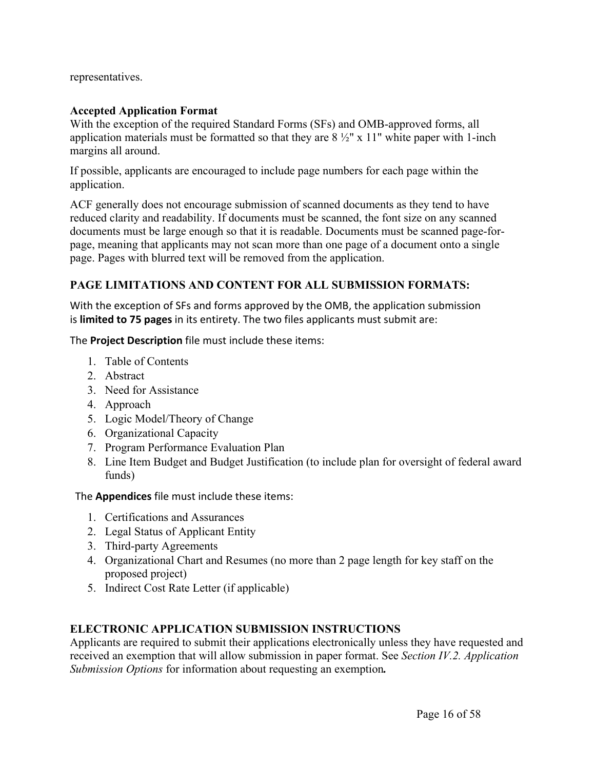representatives.

#### **Accepted Application Format**

With the exception of the required Standard Forms (SFs) and OMB-approved forms, all application materials must be formatted so that they are  $8\frac{1}{2}$ " x 11" white paper with 1-inch margins all around.

If possible, applicants are encouraged to include page numbers for each page within the application.

ACF generally does not encourage submission of scanned documents as they tend to have reduced clarity and readability. If documents must be scanned, the font size on any scanned documents must be large enough so that it is readable. Documents must be scanned page-forpage, meaning that applicants may not scan more than one page of a document onto a single page. Pages with blurred text will be removed from the application.

### **PAGE LIMITATIONS AND CONTENT FOR ALL SUBMISSION FORMATS:**

With the exception of SFs and forms approved by the OMB, the application submission is **limited to 75 pages** in its entirety. The two files applicants must submit are:

The **Project Description** file must include these items:

- 1. Table of Contents
- 2. Abstract
- 3. Need for Assistance
- 4. Approach
- 5. Logic Model/Theory of Change
- 6. Organizational Capacity
- 7. Program Performance Evaluation Plan
- 8. Line Item Budget and Budget Justification (to include plan for oversight of federal award funds)

The **Appendices** file must include these items:

- 1. Certifications and Assurances
- 2. Legal Status of Applicant Entity
- 3. Third-party Agreements
- 4. Organizational Chart and Resumes (no more than 2 page length for key staff on the proposed project)
- 5. Indirect Cost Rate Letter (if applicable)

### **ELECTRONIC APPLICATION SUBMISSION INSTRUCTIONS**

Applicants are required to submit their applications electronically unless they have requested and received an exemption that will allow submission in paper format. See *Section IV.2. Application Submission Options* for information about requesting an exemption*.*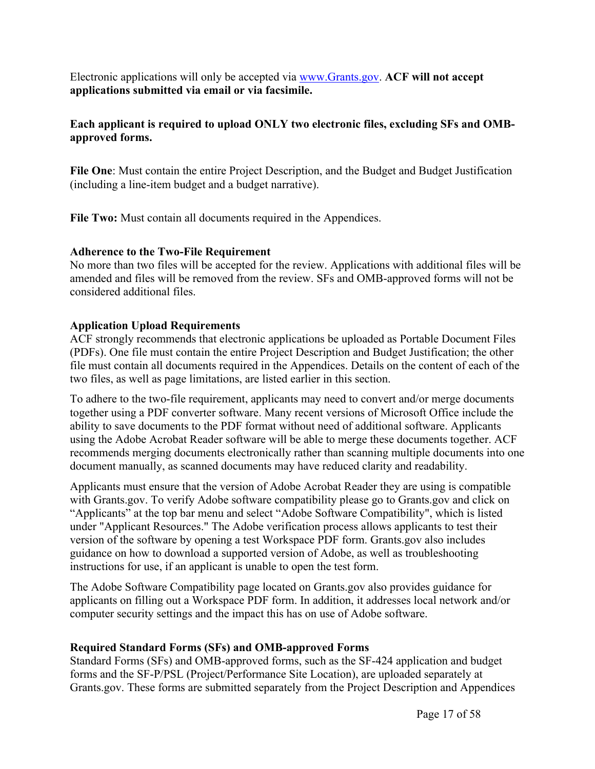Electronic applications will only be accepted via [www.Grants.gov](https://www.grants.gov/). **ACF will not accept applications submitted via email or via facsimile.**

#### **Each applicant is required to upload ONLY two electronic files, excluding SFs and OMBapproved forms.**

**File One**: Must contain the entire Project Description, and the Budget and Budget Justification (including a line-item budget and a budget narrative).

**File Two:** Must contain all documents required in the Appendices.

#### **Adherence to the Two-File Requirement**

No more than two files will be accepted for the review. Applications with additional files will be amended and files will be removed from the review. SFs and OMB-approved forms will not be considered additional files.

#### **Application Upload Requirements**

ACF strongly recommends that electronic applications be uploaded as Portable Document Files (PDFs). One file must contain the entire Project Description and Budget Justification; the other file must contain all documents required in the Appendices. Details on the content of each of the two files, as well as page limitations, are listed earlier in this section.

To adhere to the two-file requirement, applicants may need to convert and/or merge documents together using a PDF converter software. Many recent versions of Microsoft Office include the ability to save documents to the PDF format without need of additional software. Applicants using the Adobe Acrobat Reader software will be able to merge these documents together. ACF recommends merging documents electronically rather than scanning multiple documents into one document manually, as scanned documents may have reduced clarity and readability.

Applicants must ensure that the version of Adobe Acrobat Reader they are using is compatible with Grants.gov. To verify Adobe software compatibility please go to Grants.gov and click on "Applicants" at the top bar menu and select "Adobe Software Compatibility", which is listed under "Applicant Resources." The Adobe verification process allows applicants to test their version of the software by opening a test Workspace PDF form. Grants.gov also includes guidance on how to download a supported version of Adobe, as well as troubleshooting instructions for use, if an applicant is unable to open the test form.

The Adobe Software Compatibility page located on Grants.gov also provides guidance for applicants on filling out a Workspace PDF form. In addition, it addresses local network and/or computer security settings and the impact this has on use of Adobe software.

#### **Required Standard Forms (SFs) and OMB-approved Forms**

Standard Forms (SFs) and OMB-approved forms, such as the SF-424 application and budget forms and the SF-P/PSL (Project/Performance Site Location), are uploaded separately at Grants.gov. These forms are submitted separately from the Project Description and Appendices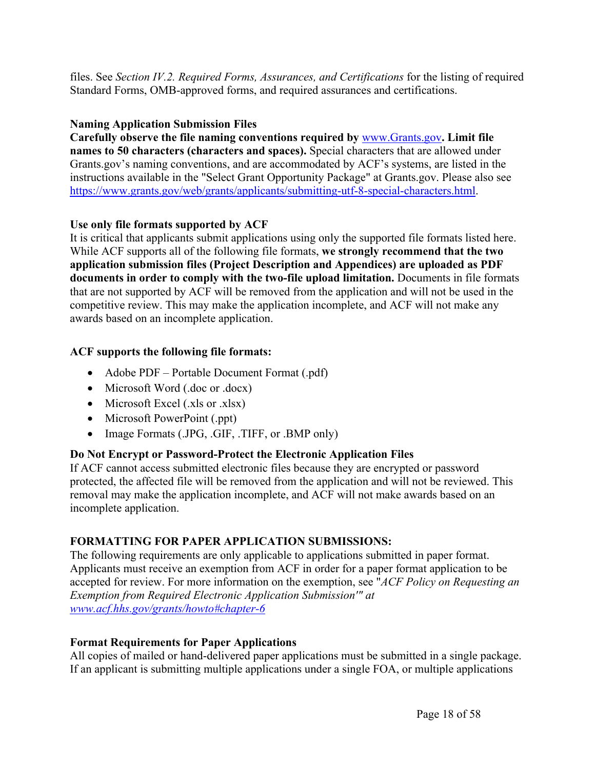files. See *Section IV.2. Required Forms, Assurances, and Certifications* for the listing of required Standard Forms, OMB-approved forms, and required assurances and certifications.

#### **Naming Application Submission Files**

**Carefully observe the file naming conventions required by** [www.Grants.gov](https://www.grants.gov/)**. Limit file names to 50 characters (characters and spaces).** Special characters that are allowed under Grants.gov's naming conventions, and are accommodated by ACF's systems, are listed in the instructions available in the "Select Grant Opportunity Package" at Grants.gov. Please also see [https://www.grants.gov/web/grants/applicants/submitting-utf-8-special-characters.html.](https://www.grants.gov/web/grants/applicants/submitting-utf-8-special-characters.html)

#### **Use only file formats supported by ACF**

It is critical that applicants submit applications using only the supported file formats listed here. While ACF supports all of the following file formats, **we strongly recommend that the two application submission files (Project Description and Appendices) are uploaded as PDF documents in order to comply with the two-file upload limitation.** Documents in file formats that are not supported by ACF will be removed from the application and will not be used in the competitive review. This may make the application incomplete, and ACF will not make any awards based on an incomplete application.

### **ACF supports the following file formats:**

- Adobe PDF Portable Document Format (.pdf)
- Microsoft Word (.doc or .docx)
- $\bullet$  Microsoft Excel (.xls or .xlsx)
- Microsoft PowerPoint (.ppt)
- Image Formats (.JPG, .GIF, .TIFF, or .BMP only)

### **Do Not Encrypt or Password-Protect the Electronic Application Files**

If ACF cannot access submitted electronic files because they are encrypted or password protected, the affected file will be removed from the application and will not be reviewed. This removal may make the application incomplete, and ACF will not make awards based on an incomplete application.

### **FORMATTING FOR PAPER APPLICATION SUBMISSIONS:**

The following requirements are only applicable to applications submitted in paper format. Applicants must receive an exemption from ACF in order for a paper format application to be accepted for review. For more information on the exemption, see "*ACF Policy on Requesting an Exemption from Required Electronic Application Submission'" at [www.acf.hhs.gov/grants/howto#chapter-6](https://www.acf.hhs.gov/grants/howto#chapter-6)*

#### **Format Requirements for Paper Applications**

All copies of mailed or hand-delivered paper applications must be submitted in a single package. If an applicant is submitting multiple applications under a single FOA, or multiple applications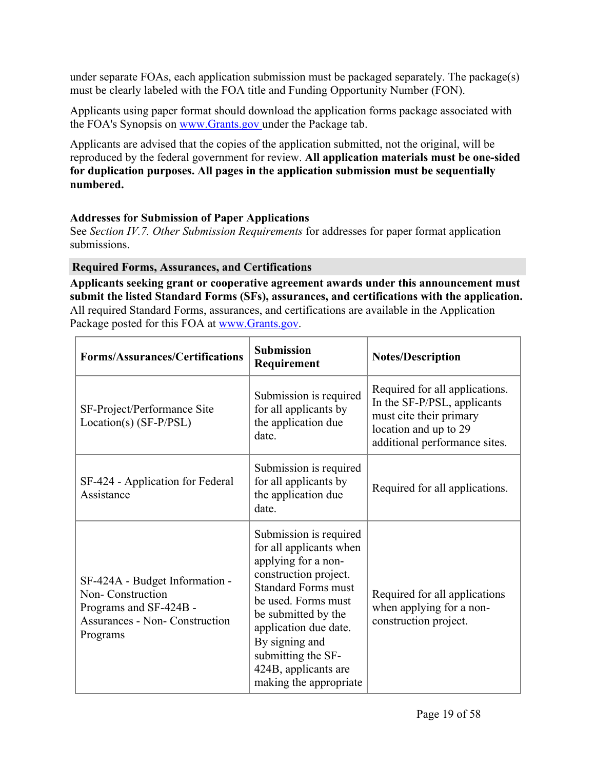under separate FOAs, each application submission must be packaged separately. The package(s) must be clearly labeled with the FOA title and Funding Opportunity Number (FON).

Applicants using paper format should download the application forms package associated with the FOA's Synopsis on [www.Grants.gov](https://www.Grants.gov/) under the Package tab.

Applicants are advised that the copies of the application submitted, not the original, will be reproduced by the federal government for review. **All application materials must be one-sided for duplication purposes. All pages in the application submission must be sequentially numbered.**

#### **Addresses for Submission of Paper Applications**

See *Section IV.7. Other Submission Requirements* for addresses for paper format application submissions.

#### <span id="page-19-0"></span>**Required Forms, Assurances, and Certifications**

**Applicants seeking grant or cooperative agreement awards under this announcement must submit the listed Standard Forms (SFs), assurances, and certifications with the application.** All required Standard Forms, assurances, and certifications are available in the Application Package posted for this FOA at [www.Grants.gov](https://www.grants.gov/).

| <b>Forms/Assurances/Certifications</b>                                                                                            | <b>Submission</b><br>Requirement                                                                                                                                                                                                                                                                 | <b>Notes/Description</b>                                                                                                                           |
|-----------------------------------------------------------------------------------------------------------------------------------|--------------------------------------------------------------------------------------------------------------------------------------------------------------------------------------------------------------------------------------------------------------------------------------------------|----------------------------------------------------------------------------------------------------------------------------------------------------|
| SF-Project/Performance Site<br>$Location(s) (SF-P/PSL)$                                                                           | Submission is required<br>for all applicants by<br>the application due<br>date.                                                                                                                                                                                                                  | Required for all applications.<br>In the SF-P/PSL, applicants<br>must cite their primary<br>location and up to 29<br>additional performance sites. |
| SF-424 - Application for Federal<br>Assistance                                                                                    | Submission is required<br>for all applicants by<br>the application due<br>date.                                                                                                                                                                                                                  | Required for all applications.                                                                                                                     |
| SF-424A - Budget Information -<br>Non-Construction<br>Programs and SF-424B -<br><b>Assurances - Non- Construction</b><br>Programs | Submission is required<br>for all applicants when<br>applying for a non-<br>construction project.<br><b>Standard Forms must</b><br>be used. Forms must<br>be submitted by the<br>application due date.<br>By signing and<br>submitting the SF-<br>424B, applicants are<br>making the appropriate | Required for all applications<br>when applying for a non-<br>construction project.                                                                 |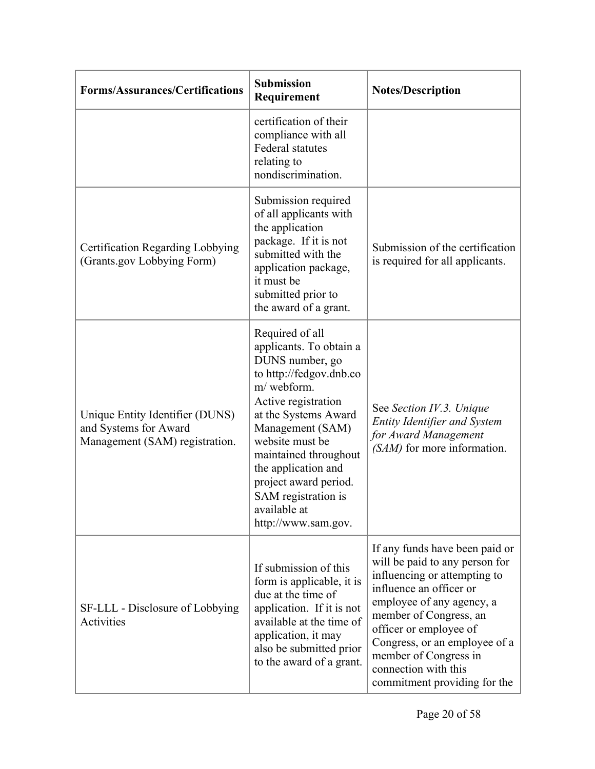| <b>Forms/Assurances/Certifications</b>                                                     | <b>Submission</b><br>Requirement                                                                                                                                                                                                                                                                                                    | <b>Notes/Description</b>                                                                                                                                                                                                                                                                                                       |
|--------------------------------------------------------------------------------------------|-------------------------------------------------------------------------------------------------------------------------------------------------------------------------------------------------------------------------------------------------------------------------------------------------------------------------------------|--------------------------------------------------------------------------------------------------------------------------------------------------------------------------------------------------------------------------------------------------------------------------------------------------------------------------------|
|                                                                                            | certification of their<br>compliance with all<br><b>Federal statutes</b><br>relating to<br>nondiscrimination.                                                                                                                                                                                                                       |                                                                                                                                                                                                                                                                                                                                |
| Certification Regarding Lobbying<br>(Grants.gov Lobbying Form)                             | Submission required<br>of all applicants with<br>the application<br>package. If it is not<br>submitted with the<br>application package,<br>it must be<br>submitted prior to<br>the award of a grant.                                                                                                                                | Submission of the certification<br>is required for all applicants.                                                                                                                                                                                                                                                             |
| Unique Entity Identifier (DUNS)<br>and Systems for Award<br>Management (SAM) registration. | Required of all<br>applicants. To obtain a<br>DUNS number, go<br>to http://fedgov.dnb.co<br>m/webform.<br>Active registration<br>at the Systems Award<br>Management (SAM)<br>website must be<br>maintained throughout<br>the application and<br>project award period.<br>SAM registration is<br>available at<br>http://www.sam.gov. | See Section IV.3. Unique<br>Entity Identifier and System<br>for Award Management<br>(SAM) for more information.                                                                                                                                                                                                                |
| SF-LLL - Disclosure of Lobbying<br>Activities                                              | If submission of this<br>form is applicable, it is<br>due at the time of<br>application. If it is not<br>available at the time of<br>application, it may<br>also be submitted prior<br>to the award of a grant.                                                                                                                     | If any funds have been paid or<br>will be paid to any person for<br>influencing or attempting to<br>influence an officer or<br>employee of any agency, a<br>member of Congress, an<br>officer or employee of<br>Congress, or an employee of a<br>member of Congress in<br>connection with this<br>commitment providing for the |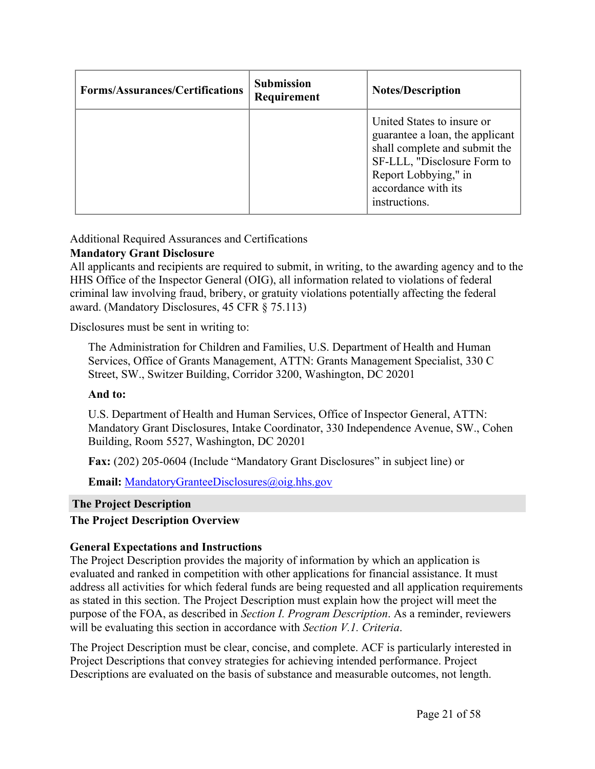| <b>Forms/Assurances/Certifications</b> | <b>Submission</b><br>Requirement | <b>Notes/Description</b>                                                                                                                                                                      |
|----------------------------------------|----------------------------------|-----------------------------------------------------------------------------------------------------------------------------------------------------------------------------------------------|
|                                        |                                  | United States to insure or<br>guarantee a loan, the applicant<br>shall complete and submit the<br>SF-LLL, "Disclosure Form to<br>Report Lobbying," in<br>accordance with its<br>instructions. |

#### Additional Required Assurances and Certifications

#### **Mandatory Grant Disclosure**

All applicants and recipients are required to submit, in writing, to the awarding agency and to the HHS Office of the Inspector General (OIG), all information related to violations of federal criminal law involving fraud, bribery, or gratuity violations potentially affecting the federal award. (Mandatory Disclosures, 45 CFR § 75.113)

Disclosures must be sent in writing to:

The Administration for Children and Families, U.S. Department of Health and Human Services, Office of Grants Management, ATTN: Grants Management Specialist, 330 C Street, SW., Switzer Building, Corridor 3200, Washington, DC 20201

#### **And to:**

U.S. Department of Health and Human Services, Office of Inspector General, ATTN: Mandatory Grant Disclosures, Intake Coordinator, 330 Independence Avenue, SW., Cohen Building, Room 5527, Washington, DC 20201

**Fax:** (202) 205-0604 (Include "Mandatory Grant Disclosures" in subject line) or

**Email:** [MandatoryGranteeDisclosures@oig.hhs.gov](http://MandatoryGranteeDisclosures@oig.hhs.gov)

#### <span id="page-21-0"></span>**The Project Description**

#### **The Project Description Overview**

#### **General Expectations and Instructions**

The Project Description provides the majority of information by which an application is evaluated and ranked in competition with other applications for financial assistance. It must address all activities for which federal funds are being requested and all application requirements as stated in this section. The Project Description must explain how the project will meet the purpose of the FOA, as described in *Section I. Program Description*. As a reminder, reviewers will be evaluating this section in accordance with *Section V.1. Criteria*.

The Project Description must be clear, concise, and complete. ACF is particularly interested in Project Descriptions that convey strategies for achieving intended performance. Project Descriptions are evaluated on the basis of substance and measurable outcomes, not length.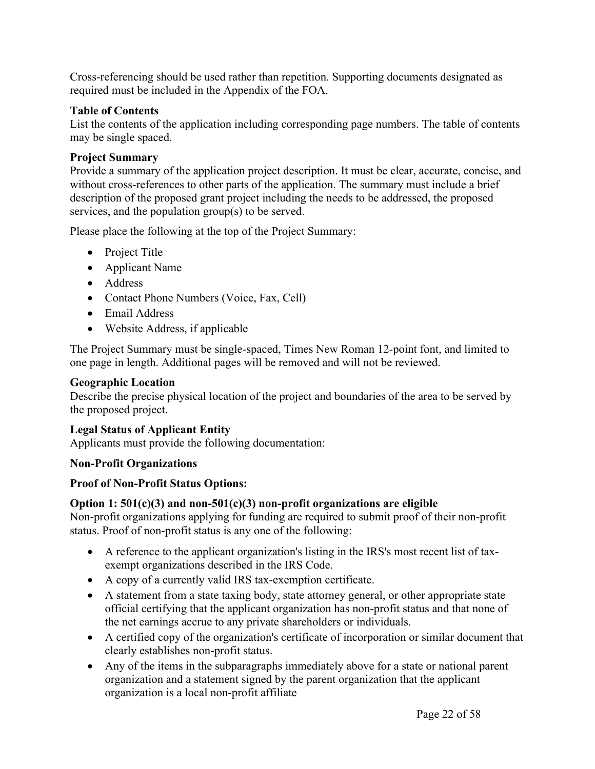Cross-referencing should be used rather than repetition. Supporting documents designated as required must be included in the Appendix of the FOA.

#### **Table of Contents**

List the contents of the application including corresponding page numbers. The table of contents may be single spaced.

#### **Project Summary**

Provide a summary of the application project description. It must be clear, accurate, concise, and without cross-references to other parts of the application. The summary must include a brief description of the proposed grant project including the needs to be addressed, the proposed services, and the population group(s) to be served.

Please place the following at the top of the Project Summary:

- Project Title
- Applicant Name
- Address
- Contact Phone Numbers (Voice, Fax, Cell)
- Email Address
- Website Address, if applicable

The Project Summary must be single-spaced, Times New Roman 12-point font, and limited to one page in length. Additional pages will be removed and will not be reviewed.

#### **Geographic Location**

Describe the precise physical location of the project and boundaries of the area to be served by the proposed project.

### **Legal Status of Applicant Entity**

Applicants must provide the following documentation:

#### **Non-Profit Organizations**

### **Proof of Non-Profit Status Options:**

### **Option 1: 501(c)(3) and non-501(c)(3) non-profit organizations are eligible**

Non-profit organizations applying for funding are required to submit proof of their non-profit status. Proof of non-profit status is any one of the following:

- A reference to the applicant organization's listing in the IRS's most recent list of taxexempt organizations described in the IRS Code.
- A copy of a currently valid IRS tax-exemption certificate.
- A statement from a state taxing body, state attorney general, or other appropriate state official certifying that the applicant organization has non-profit status and that none of the net earnings accrue to any private shareholders or individuals.
- A certified copy of the organization's certificate of incorporation or similar document that clearly establishes non-profit status.
- Any of the items in the subparagraphs immediately above for a state or national parent organization and a statement signed by the parent organization that the applicant organization is a local non-profit affiliate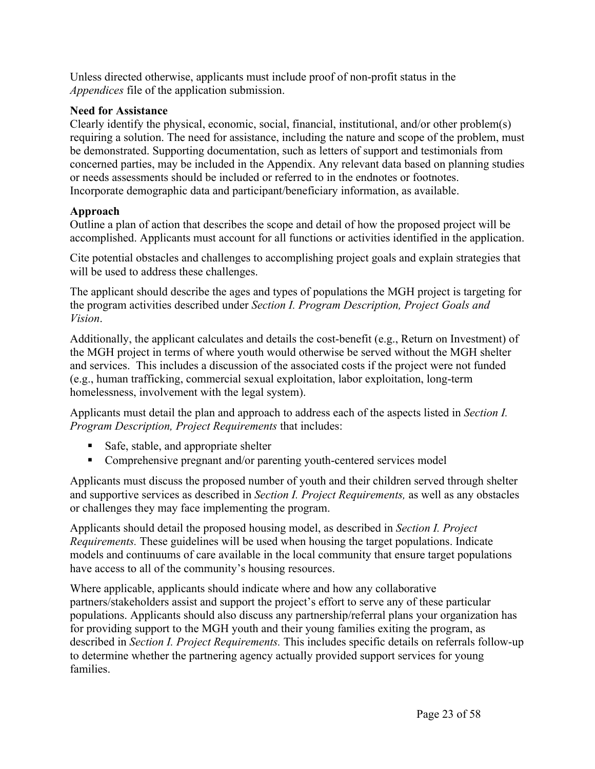Unless directed otherwise, applicants must include proof of non-profit status in the *Appendices* file of the application submission.

#### **Need for Assistance**

Clearly identify the physical, economic, social, financial, institutional, and/or other problem(s) requiring a solution. The need for assistance, including the nature and scope of the problem, must be demonstrated. Supporting documentation, such as letters of support and testimonials from concerned parties, may be included in the Appendix. Any relevant data based on planning studies or needs assessments should be included or referred to in the endnotes or footnotes. Incorporate demographic data and participant/beneficiary information, as available.

### **Approach**

Outline a plan of action that describes the scope and detail of how the proposed project will be accomplished. Applicants must account for all functions or activities identified in the application.

Cite potential obstacles and challenges to accomplishing project goals and explain strategies that will be used to address these challenges.

The applicant should describe the ages and types of populations the MGH project is targeting for the program activities described under *Section I. Program Description, Project Goals and Vision*.

Additionally, the applicant calculates and details the cost-benefit (e.g., Return on Investment) of the MGH project in terms of where youth would otherwise be served without the MGH shelter and services. This includes a discussion of the associated costs if the project were not funded (e.g., human trafficking, commercial sexual exploitation, labor exploitation, long-term homelessness, involvement with the legal system).

Applicants must detail the plan and approach to address each of the aspects listed in *Section I. Program Description, Project Requirements* that includes:

- Safe, stable, and appropriate shelter
- Comprehensive pregnant and/or parenting youth-centered services model

Applicants must discuss the proposed number of youth and their children served through shelter and supportive services as described in *Section I. Project Requirements,* as well as any obstacles or challenges they may face implementing the program.

Applicants should detail the proposed housing model, as described in *Section I. Project Requirements.* These guidelines will be used when housing the target populations. Indicate models and continuums of care available in the local community that ensure target populations have access to all of the community's housing resources.

Where applicable, applicants should indicate where and how any collaborative partners/stakeholders assist and support the project's effort to serve any of these particular populations. Applicants should also discuss any partnership/referral plans your organization has for providing support to the MGH youth and their young families exiting the program, as described in *Section I. Project Requirements.* This includes specific details on referrals follow-up to determine whether the partnering agency actually provided support services for young families.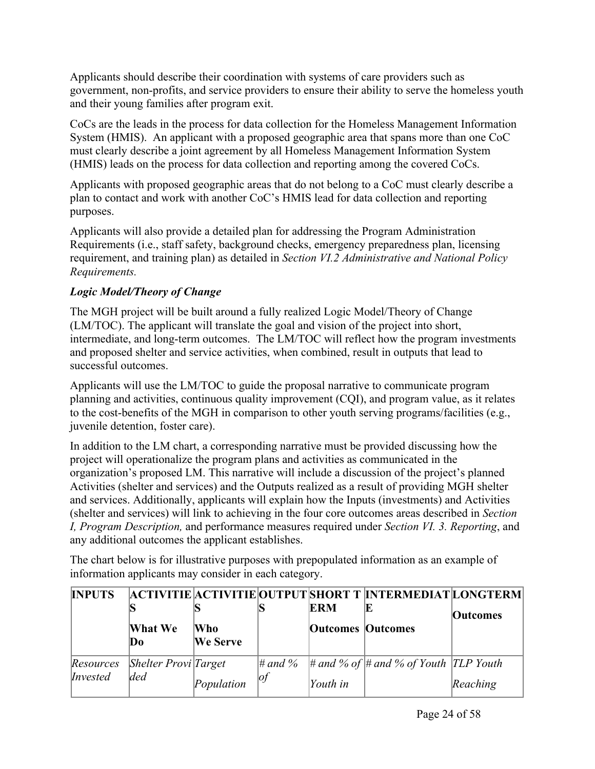Applicants should describe their coordination with systems of care providers such as government, non-profits, and service providers to ensure their ability to serve the homeless youth and their young families after program exit.

CoCs are the leads in the process for data collection for the Homeless Management Information System (HMIS). An applicant with a proposed geographic area that spans more than one CoC must clearly describe a joint agreement by all Homeless Management Information System (HMIS) leads on the process for data collection and reporting among the covered CoCs.

Applicants with proposed geographic areas that do not belong to a CoC must clearly describe a plan to contact and work with another CoC's HMIS lead for data collection and reporting purposes.

Applicants will also provide a detailed plan for addressing the Program Administration Requirements (i.e., staff safety, background checks, emergency preparedness plan, licensing requirement, and training plan) as detailed in *Section VI.2 Administrative and National Policy Requirements.*

## *Logic Model/Theory of Change*

The MGH project will be built around a fully realized Logic Model/Theory of Change (LM/TOC). The applicant will translate the goal and vision of the project into short, intermediate, and long-term outcomes. The LM/TOC will reflect how the program investments and proposed shelter and service activities, when combined, result in outputs that lead to successful outcomes.

Applicants will use the LM/TOC to guide the proposal narrative to communicate program planning and activities, continuous quality improvement (CQI), and program value, as it relates to the cost-benefits of the MGH in comparison to other youth serving programs/facilities (e.g., juvenile detention, foster care).

In addition to the LM chart, a corresponding narrative must be provided discussing how the project will operationalize the program plans and activities as communicated in the organization's proposed LM. This narrative will include a discussion of the project's planned Activities (shelter and services) and the Outputs realized as a result of providing MGH shelter and services. Additionally, applicants will explain how the Inputs (investments) and Activities (shelter and services) will link to achieving in the four core outcomes areas described in *Section I, Program Description,* and performance measures required under *Section VI. 3. Reporting*, and any additional outcomes the applicant establishes.

The chart below is for illustrative purposes with prepopulated information as an example of information applicants may consider in each category.

| <b>INPUTS</b>         | <b>What We</b><br>Do                       | Who<br><b>We Serve</b> |                | <b>ERM</b><br><b>Outcomes Outcomes</b> | <b>ACTIVITIE ACTIVITIE OUTPUT SHORT T INTERMEDIAT LONGTERM</b> | <b>Outcomes</b> |
|-----------------------|--------------------------------------------|------------------------|----------------|----------------------------------------|----------------------------------------------------------------|-----------------|
| Resources<br>Invested | <i>Shelter Provi Target</i><br>$\vert$ ded | Population             | # and %<br> of | Youth in                               | $\#$ and % of $\#$ and % of Youth TLP Youth                    | Reching         |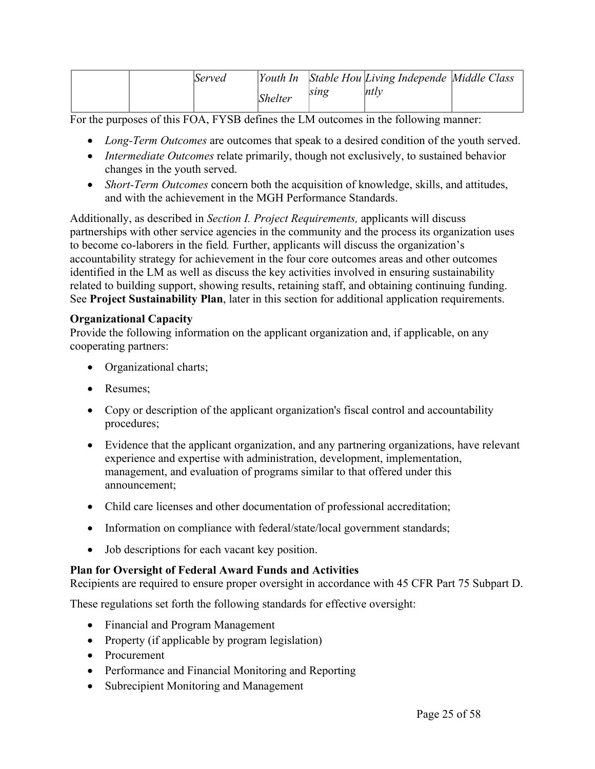| Served |                |      | Youth In Stable Hou Living Independe Middle Class |  |
|--------|----------------|------|---------------------------------------------------|--|
|        | <i>Shelter</i> | sıng | $\int$ ntl $\nu$                                  |  |

For the purposes of this FOA, FYSB defines the LM outcomes in the following manner:

- *Long-Term Outcomes* are outcomes that speak to a desired condition of the youth served.
- *Intermediate Outcomes* relate primarily, though not exclusively, to sustained behavior changes in the youth served.
- *Short-Term Outcomes* concern both the acquisition of knowledge, skills, and attitudes, and with the achievement in the MGH Performance Standards.

Additionally, as described in *Section I. Project Requirements,* applicants will discuss partnerships with other service agencies in the community and the process its organization uses to become co-laborers in the field*.* Further, applicants will discuss the organization's accountability strategy for achievement in the four core outcomes areas and other outcomes identified in the LM as well as discuss the key activities involved in ensuring sustainability related to building support, showing results, retaining staff, and obtaining continuing funding. See **Project Sustainability Plan**, later in this section for additional application requirements.

## **Organizational Capacity**

Provide the following information on the applicant organization and, if applicable, on any cooperating partners:

- Organizational charts;
- Resumes;
- Copy or description of the applicant organization's fiscal control and accountability procedures;
- Evidence that the applicant organization, and any partnering organizations, have relevant experience and expertise with administration, development, implementation, management, and evaluation of programs similar to that offered under this announcement;
- Child care licenses and other documentation of professional accreditation;
- Information on compliance with federal/state/local government standards;
- Job descriptions for each vacant key position.

## **Plan for Oversight of Federal Award Funds and Activities**

Recipients are required to ensure proper oversight in accordance with 45 CFR Part 75 Subpart D.

These regulations set forth the following standards for effective oversight:

- Financial and Program Management
- Property (if applicable by program legislation)
- Procurement
- Performance and Financial Monitoring and Reporting
- Subrecipient Monitoring and Management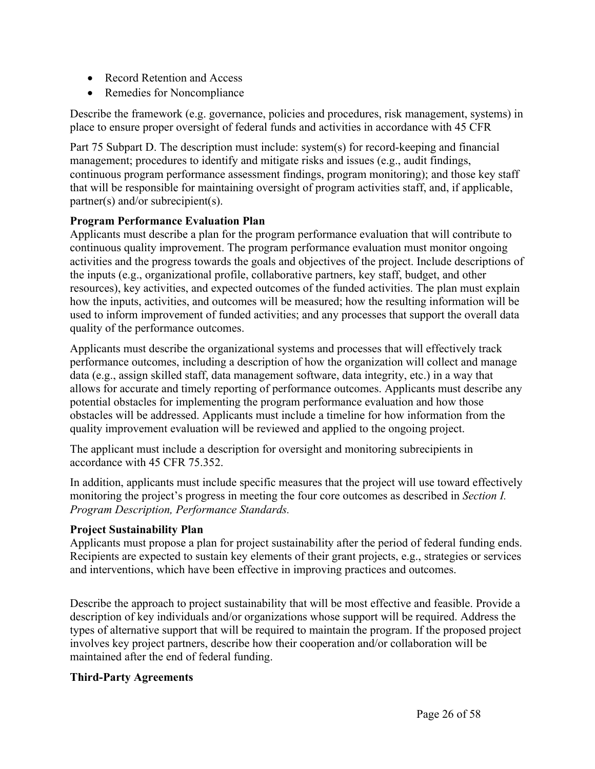- Record Retention and Access
- Remedies for Noncompliance

Describe the framework (e.g. governance, policies and procedures, risk management, systems) in place to ensure proper oversight of federal funds and activities in accordance with 45 CFR

Part 75 Subpart D. The description must include: system(s) for record-keeping and financial management; procedures to identify and mitigate risks and issues (e.g., audit findings, continuous program performance assessment findings, program monitoring); and those key staff that will be responsible for maintaining oversight of program activities staff, and, if applicable, partner(s) and/or subrecipient(s).

### **Program Performance Evaluation Plan**

Applicants must describe a plan for the program performance evaluation that will contribute to continuous quality improvement. The program performance evaluation must monitor ongoing activities and the progress towards the goals and objectives of the project. Include descriptions of the inputs (e.g., organizational profile, collaborative partners, key staff, budget, and other resources), key activities, and expected outcomes of the funded activities. The plan must explain how the inputs, activities, and outcomes will be measured; how the resulting information will be used to inform improvement of funded activities; and any processes that support the overall data quality of the performance outcomes.

Applicants must describe the organizational systems and processes that will effectively track performance outcomes, including a description of how the organization will collect and manage data (e.g., assign skilled staff, data management software, data integrity, etc.) in a way that allows for accurate and timely reporting of performance outcomes. Applicants must describe any potential obstacles for implementing the program performance evaluation and how those obstacles will be addressed. Applicants must include a timeline for how information from the quality improvement evaluation will be reviewed and applied to the ongoing project.

The applicant must include a description for oversight and monitoring subrecipients in accordance with 45 CFR 75.352.

In addition, applicants must include specific measures that the project will use toward effectively monitoring the project's progress in meeting the four core outcomes as described in *Section I. Program Description, Performance Standards.*

### **Project Sustainability Plan**

Applicants must propose a plan for project sustainability after the period of federal funding ends. Recipients are expected to sustain key elements of their grant projects, e.g., strategies or services and interventions, which have been effective in improving practices and outcomes.

Describe the approach to project sustainability that will be most effective and feasible. Provide a description of key individuals and/or organizations whose support will be required. Address the types of alternative support that will be required to maintain the program. If the proposed project involves key project partners, describe how their cooperation and/or collaboration will be maintained after the end of federal funding.

### **Third-Party Agreements**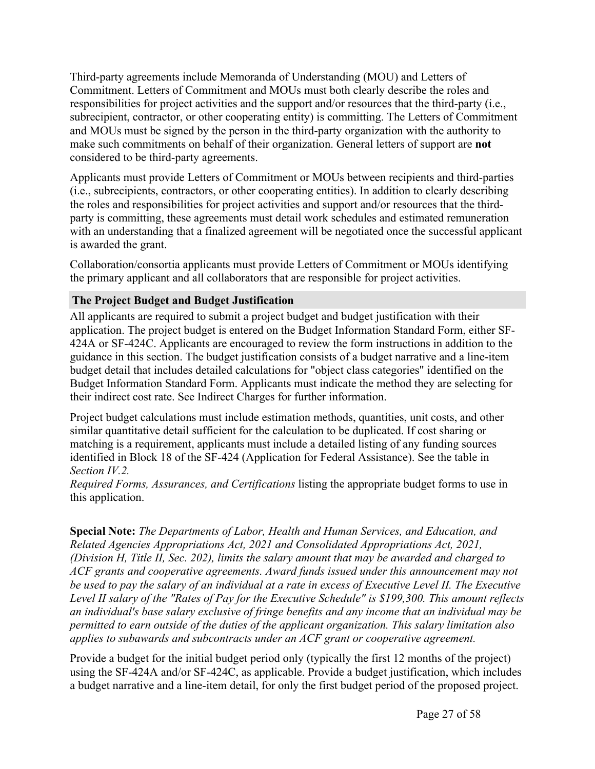Third-party agreements include Memoranda of Understanding (MOU) and Letters of Commitment. Letters of Commitment and MOUs must both clearly describe the roles and responsibilities for project activities and the support and/or resources that the third-party (i.e., subrecipient, contractor, or other cooperating entity) is committing. The Letters of Commitment and MOUs must be signed by the person in the third-party organization with the authority to make such commitments on behalf of their organization. General letters of support are **not** considered to be third-party agreements.

Applicants must provide Letters of Commitment or MOUs between recipients and third-parties (i.e., subrecipients, contractors, or other cooperating entities). In addition to clearly describing the roles and responsibilities for project activities and support and/or resources that the thirdparty is committing, these agreements must detail work schedules and estimated remuneration with an understanding that a finalized agreement will be negotiated once the successful applicant is awarded the grant.

Collaboration/consortia applicants must provide Letters of Commitment or MOUs identifying the primary applicant and all collaborators that are responsible for project activities.

#### <span id="page-27-0"></span>**The Project Budget and Budget Justification**

All applicants are required to submit a project budget and budget justification with their application. The project budget is entered on the Budget Information Standard Form, either SF-424A or SF-424C. Applicants are encouraged to review the form instructions in addition to the guidance in this section. The budget justification consists of a budget narrative and a line-item budget detail that includes detailed calculations for "object class categories" identified on the Budget Information Standard Form. Applicants must indicate the method they are selecting for their indirect cost rate. See Indirect Charges for further information.

Project budget calculations must include estimation methods, quantities, unit costs, and other similar quantitative detail sufficient for the calculation to be duplicated. If cost sharing or matching is a requirement, applicants must include a detailed listing of any funding sources identified in Block 18 of the SF-424 (Application for Federal Assistance). See the table in *Section IV.2.*

*Required Forms, Assurances, and Certifications* listing the appropriate budget forms to use in this application.

**Special Note:** *The Departments of Labor, Health and Human Services, and Education, and Related Agencies Appropriations Act, 2021 and Consolidated Appropriations Act, 2021, (Division H, Title II, Sec. 202), limits the salary amount that may be awarded and charged to ACF grants and cooperative agreements. Award funds issued under this announcement may not* be used to pay the salary of an individual at a rate in excess of Executive Level II. The Executive *Level II salary of the "Rates of Pay for the Executive Schedule" is \$199,300. This amount reflects an individual's base salary exclusive of fringe benefits and any income that an individual may be permitted to earn outside of the duties of the applicant organization. This salary limitation also applies to subawards and subcontracts under an ACF grant or cooperative agreement.*

Provide a budget for the initial budget period only (typically the first 12 months of the project) using the SF-424A and/or SF-424C, as applicable. Provide a budget justification, which includes a budget narrative and a line-item detail, for only the first budget period of the proposed project.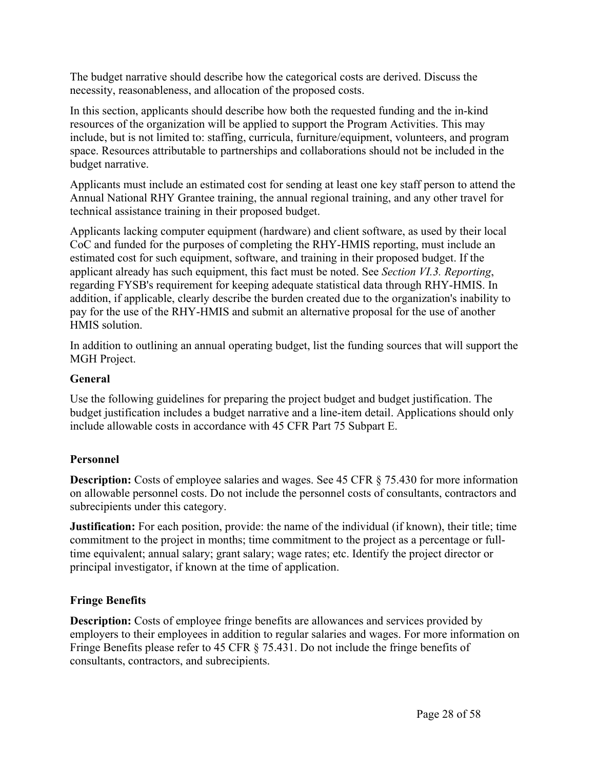The budget narrative should describe how the categorical costs are derived. Discuss the necessity, reasonableness, and allocation of the proposed costs.

In this section, applicants should describe how both the requested funding and the in-kind resources of the organization will be applied to support the Program Activities. This may include, but is not limited to: staffing, curricula, furniture/equipment, volunteers, and program space. Resources attributable to partnerships and collaborations should not be included in the budget narrative.

Applicants must include an estimated cost for sending at least one key staff person to attend the Annual National RHY Grantee training, the annual regional training, and any other travel for technical assistance training in their proposed budget.

Applicants lacking computer equipment (hardware) and client software, as used by their local CoC and funded for the purposes of completing the RHY-HMIS reporting, must include an estimated cost for such equipment, software, and training in their proposed budget. If the applicant already has such equipment, this fact must be noted. See *Section VI.3. Reporting*, regarding FYSB's requirement for keeping adequate statistical data through RHY-HMIS. In addition, if applicable, clearly describe the burden created due to the organization's inability to pay for the use of the RHY-HMIS and submit an alternative proposal for the use of another HMIS solution.

In addition to outlining an annual operating budget, list the funding sources that will support the MGH Project.

#### **General**

Use the following guidelines for preparing the project budget and budget justification. The budget justification includes a budget narrative and a line-item detail. Applications should only include allowable costs in accordance with 45 CFR Part 75 Subpart E.

### **Personnel**

**Description:** Costs of employee salaries and wages. See 45 CFR § 75.430 for more information on allowable personnel costs. Do not include the personnel costs of consultants, contractors and subrecipients under this category.

**Justification:** For each position, provide: the name of the individual (if known), their title; time commitment to the project in months; time commitment to the project as a percentage or fulltime equivalent; annual salary; grant salary; wage rates; etc. Identify the project director or principal investigator, if known at the time of application.

### **Fringe Benefits**

**Description:** Costs of employee fringe benefits are allowances and services provided by employers to their employees in addition to regular salaries and wages. For more information on Fringe Benefits please refer to 45 CFR § 75.431. Do not include the fringe benefits of consultants, contractors, and subrecipients.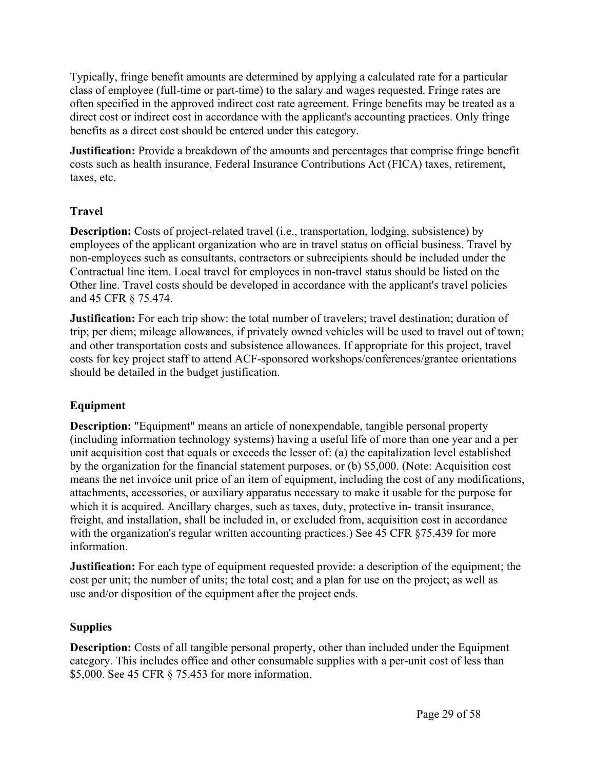Typically, fringe benefit amounts are determined by applying a calculated rate for a particular class of employee (full-time or part-time) to the salary and wages requested. Fringe rates are often specified in the approved indirect cost rate agreement. Fringe benefits may be treated as a direct cost or indirect cost in accordance with the applicant's accounting practices. Only fringe benefits as a direct cost should be entered under this category.

**Justification:** Provide a breakdown of the amounts and percentages that comprise fringe benefit costs such as health insurance, Federal Insurance Contributions Act (FICA) taxes, retirement, taxes, etc.

### **Travel**

**Description:** Costs of project-related travel (i.e., transportation, lodging, subsistence) by employees of the applicant organization who are in travel status on official business. Travel by non-employees such as consultants, contractors or subrecipients should be included under the Contractual line item. Local travel for employees in non-travel status should be listed on the Other line. Travel costs should be developed in accordance with the applicant's travel policies and 45 CFR § 75.474.

**Justification:** For each trip show: the total number of travelers; travel destination; duration of trip; per diem; mileage allowances, if privately owned vehicles will be used to travel out of town; and other transportation costs and subsistence allowances. If appropriate for this project, travel costs for key project staff to attend ACF-sponsored workshops/conferences/grantee orientations should be detailed in the budget justification.

## **Equipment**

**Description:** "Equipment" means an article of nonexpendable, tangible personal property (including information technology systems) having a useful life of more than one year and a per unit acquisition cost that equals or exceeds the lesser of: (a) the capitalization level established by the organization for the financial statement purposes, or (b) \$5,000. (Note: Acquisition cost means the net invoice unit price of an item of equipment, including the cost of any modifications, attachments, accessories, or auxiliary apparatus necessary to make it usable for the purpose for which it is acquired. Ancillary charges, such as taxes, duty, protective in-transit insurance, freight, and installation, shall be included in, or excluded from, acquisition cost in accordance with the organization's regular written accounting practices.) See 45 CFR §75.439 for more information.

**Justification:** For each type of equipment requested provide: a description of the equipment; the cost per unit; the number of units; the total cost; and a plan for use on the project; as well as use and/or disposition of the equipment after the project ends.

### **Supplies**

**Description:** Costs of all tangible personal property, other than included under the Equipment category. This includes office and other consumable supplies with a per-unit cost of less than \$5,000. See 45 CFR § 75.453 for more information.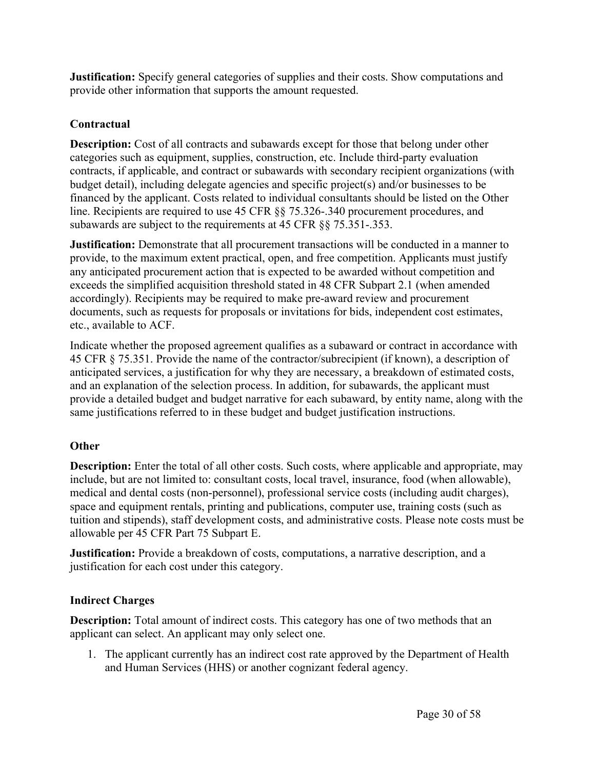**Justification:** Specify general categories of supplies and their costs. Show computations and provide other information that supports the amount requested.

#### **Contractual**

**Description:** Cost of all contracts and subawards except for those that belong under other categories such as equipment, supplies, construction, etc. Include third-party evaluation contracts, if applicable, and contract or subawards with secondary recipient organizations (with budget detail), including delegate agencies and specific project(s) and/or businesses to be financed by the applicant. Costs related to individual consultants should be listed on the Other line. Recipients are required to use 45 CFR §§ 75.326-.340 procurement procedures, and subawards are subject to the requirements at 45 CFR §§ 75.351-.353.

**Justification:** Demonstrate that all procurement transactions will be conducted in a manner to provide, to the maximum extent practical, open, and free competition. Applicants must justify any anticipated procurement action that is expected to be awarded without competition and exceeds the simplified acquisition threshold stated in 48 CFR Subpart 2.1 (when amended accordingly). Recipients may be required to make pre-award review and procurement documents, such as requests for proposals or invitations for bids, independent cost estimates, etc., available to ACF.

Indicate whether the proposed agreement qualifies as a subaward or contract in accordance with 45 CFR § 75.351. Provide the name of the contractor/subrecipient (if known), a description of anticipated services, a justification for why they are necessary, a breakdown of estimated costs, and an explanation of the selection process. In addition, for subawards, the applicant must provide a detailed budget and budget narrative for each subaward, by entity name, along with the same justifications referred to in these budget and budget justification instructions.

#### **Other**

**Description:** Enter the total of all other costs. Such costs, where applicable and appropriate, may include, but are not limited to: consultant costs, local travel, insurance, food (when allowable), medical and dental costs (non-personnel), professional service costs (including audit charges), space and equipment rentals, printing and publications, computer use, training costs (such as tuition and stipends), staff development costs, and administrative costs. Please note costs must be allowable per 45 CFR Part 75 Subpart E.

**Justification:** Provide a breakdown of costs, computations, a narrative description, and a justification for each cost under this category.

#### **Indirect Charges**

**Description:** Total amount of indirect costs. This category has one of two methods that an applicant can select. An applicant may only select one.

1. The applicant currently has an indirect cost rate approved by the Department of Health and Human Services (HHS) or another cognizant federal agency.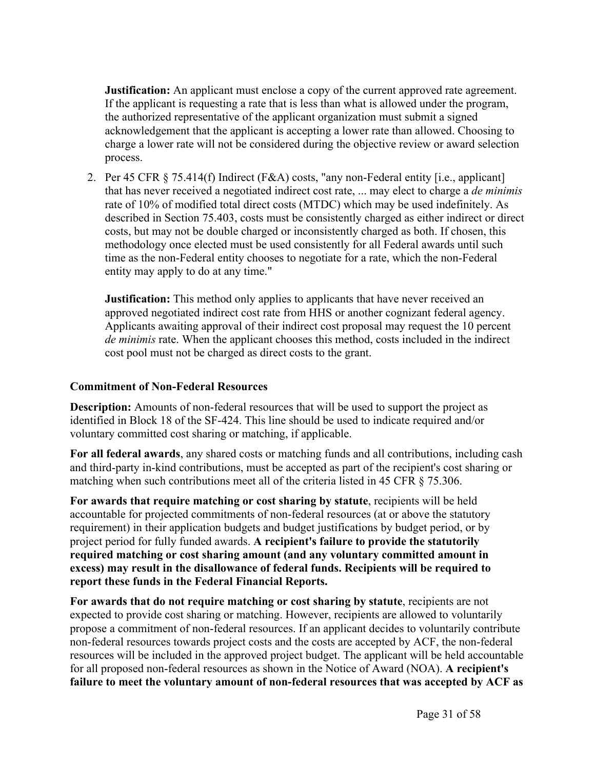**Justification:** An applicant must enclose a copy of the current approved rate agreement. If the applicant is requesting a rate that is less than what is allowed under the program, the authorized representative of the applicant organization must submit a signed acknowledgement that the applicant is accepting a lower rate than allowed. Choosing to charge a lower rate will not be considered during the objective review or award selection process.

2. Per 45 CFR § 75.414(f) Indirect (F&A) costs, "any non-Federal entity [i.e., applicant] that has never received a negotiated indirect cost rate, ... may elect to charge a *de minimis* rate of 10% of modified total direct costs (MTDC) which may be used indefinitely. As described in Section 75.403, costs must be consistently charged as either indirect or direct costs, but may not be double charged or inconsistently charged as both. If chosen, this methodology once elected must be used consistently for all Federal awards until such time as the non-Federal entity chooses to negotiate for a rate, which the non-Federal entity may apply to do at any time."

**Justification:** This method only applies to applicants that have never received an approved negotiated indirect cost rate from HHS or another cognizant federal agency. Applicants awaiting approval of their indirect cost proposal may request the 10 percent *de minimis* rate. When the applicant chooses this method, costs included in the indirect cost pool must not be charged as direct costs to the grant.

#### **Commitment of Non-Federal Resources**

**Description:** Amounts of non-federal resources that will be used to support the project as identified in Block 18 of the SF-424. This line should be used to indicate required and/or voluntary committed cost sharing or matching, if applicable.

**For all federal awards**, any shared costs or matching funds and all contributions, including cash and third-party in-kind contributions, must be accepted as part of the recipient's cost sharing or matching when such contributions meet all of the criteria listed in 45 CFR § 75.306.

**For awards that require matching or cost sharing by statute**, recipients will be held accountable for projected commitments of non-federal resources (at or above the statutory requirement) in their application budgets and budget justifications by budget period, or by project period for fully funded awards. **A recipient's failure to provide the statutorily required matching or cost sharing amount (and any voluntary committed amount in excess) may result in the disallowance of federal funds. Recipients will be required to report these funds in the Federal Financial Reports.**

**For awards that do not require matching or cost sharing by statute**, recipients are not expected to provide cost sharing or matching. However, recipients are allowed to voluntarily propose a commitment of non-federal resources. If an applicant decides to voluntarily contribute non-federal resources towards project costs and the costs are accepted by ACF, the non-federal resources will be included in the approved project budget. The applicant will be held accountable for all proposed non-federal resources as shown in the Notice of Award (NOA). **A recipient's failure to meet the voluntary amount of non-federal resources that was accepted by ACF as**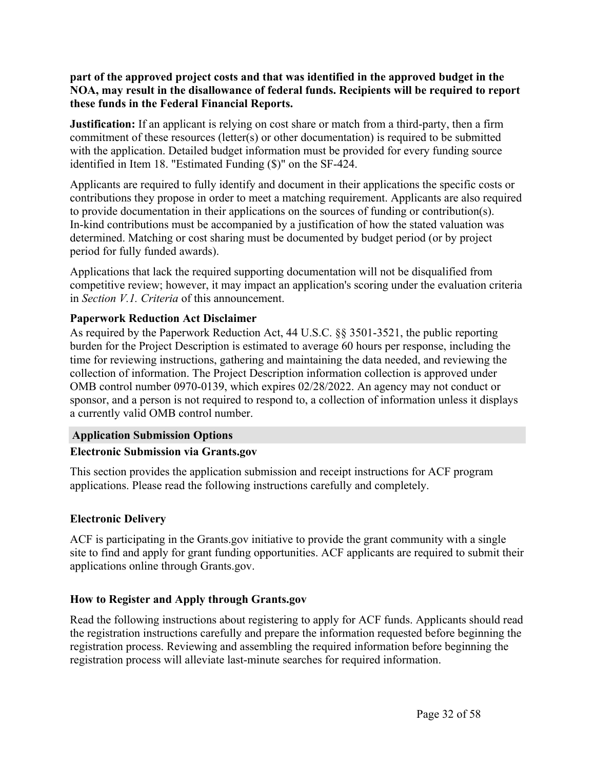#### **part of the approved project costs and that was identified in the approved budget in the NOA, may result in the disallowance of federal funds. Recipients will be required to report these funds in the Federal Financial Reports.**

**Justification:** If an applicant is relying on cost share or match from a third-party, then a firm commitment of these resources (letter(s) or other documentation) is required to be submitted with the application. Detailed budget information must be provided for every funding source identified in Item 18. "Estimated Funding (\$)" on the SF-424.

Applicants are required to fully identify and document in their applications the specific costs or contributions they propose in order to meet a matching requirement. Applicants are also required to provide documentation in their applications on the sources of funding or contribution(s). In-kind contributions must be accompanied by a justification of how the stated valuation was determined. Matching or cost sharing must be documented by budget period (or by project period for fully funded awards).

Applications that lack the required supporting documentation will not be disqualified from competitive review; however, it may impact an application's scoring under the evaluation criteria in *Section V.1. Criteria* of this announcement.

#### **Paperwork Reduction Act Disclaimer**

As required by the Paperwork Reduction Act, 44 U.S.C. §§ 3501-3521, the public reporting burden for the Project Description is estimated to average 60 hours per response, including the time for reviewing instructions, gathering and maintaining the data needed, and reviewing the collection of information. The Project Description information collection is approved under OMB control number 0970-0139, which expires 02/28/2022. An agency may not conduct or sponsor, and a person is not required to respond to, a collection of information unless it displays a currently valid OMB control number.

#### <span id="page-32-0"></span>**Application Submission Options**

#### **Electronic Submission via Grants.gov**

This section provides the application submission and receipt instructions for ACF program applications. Please read the following instructions carefully and completely.

#### **Electronic Delivery**

ACF is participating in the Grants.gov initiative to provide the grant community with a single site to find and apply for grant funding opportunities. ACF applicants are required to submit their applications online through Grants.gov.

#### **How to Register and Apply through Grants.gov**

Read the following instructions about registering to apply for ACF funds. Applicants should read the registration instructions carefully and prepare the information requested before beginning the registration process. Reviewing and assembling the required information before beginning the registration process will alleviate last-minute searches for required information.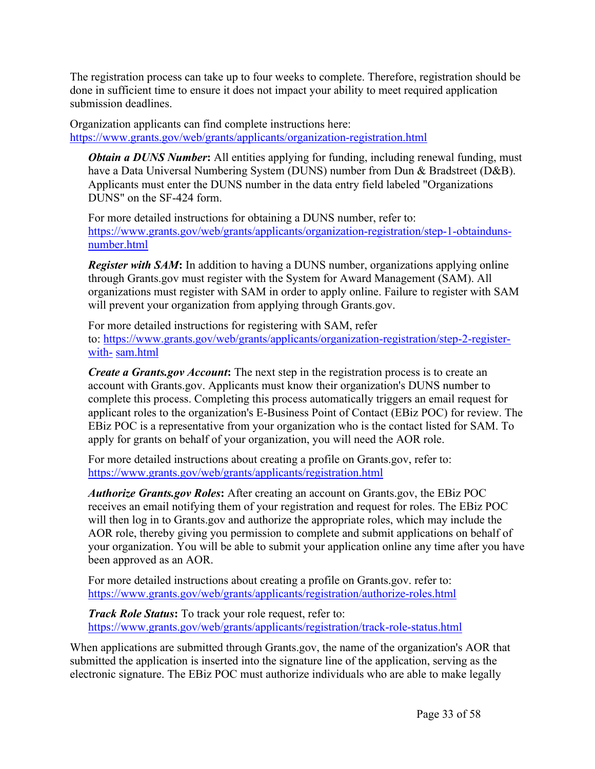The registration process can take up to four weeks to complete. Therefore, registration should be done in sufficient time to ensure it does not impact your ability to meet required application submission deadlines.

Organization applicants can find complete instructions here: <https://www.grants.gov/web/grants/applicants/organization-registration.html>

*Obtain a DUNS Number*: All entities applying for funding, including renewal funding, must have a Data Universal Numbering System (DUNS) number from Dun & Bradstreet (D&B). Applicants must enter the DUNS number in the data entry field labeled "Organizations DUNS" on the SF-424 form.

For more detailed instructions for obtaining a DUNS number, refer to: [https://www.grants.gov/web/grants/applicants/organization-registration/step-1-obtainduns](https://www.grants.gov/web/grants/applicants/organization-registration/step-1-obtain-duns-number.html)[number.html](https://www.grants.gov/web/grants/applicants/organization-registration/step-1-obtain-duns-number.html)

*Register with SAM***:** In addition to having a DUNS number, organizations applying online through Grants.gov must register with the System for Award Management (SAM). All organizations must register with SAM in order to apply online. Failure to register with SAM will prevent your organization from applying through Grants.gov.

For more detailed instructions for registering with SAM, refer to: [https://www.grants.gov/web/grants/applicants/organization-registration/step-2-register](https://www.grants.gov/web/grants/applicants/organization-registration/step-2-register-with-sam.html)[with-](https://www.grants.gov/web/grants/applicants/organization-registration/step-2-register-with-sam.html) [sam.html](https://www.grants.gov/web/grants/applicants/organization-registration/step-2-register-with-sam.html)

*Create a Grants.gov Account***:** The next step in the registration process is to create an account with Grants.gov. Applicants must know their organization's DUNS number to complete this process. Completing this process automatically triggers an email request for applicant roles to the organization's E-Business Point of Contact (EBiz POC) for review. The EBiz POC is a representative from your organization who is the contact listed for SAM. To apply for grants on behalf of your organization, you will need the AOR role.

For more detailed instructions about creating a profile on Grants.gov, refer to: <https://www.grants.gov/web/grants/applicants/registration.html>

*Authorize Grants.gov Roles***:** After creating an account on Grants.gov, the EBiz POC receives an email notifying them of your registration and request for roles. The EBiz POC will then log in to Grants.gov and authorize the appropriate roles, which may include the AOR role, thereby giving you permission to complete and submit applications on behalf of your organization. You will be able to submit your application online any time after you have been approved as an AOR.

For more detailed instructions about creating a profile on Grants.gov. refer to: <https://www.grants.gov/web/grants/applicants/registration/authorize-roles.html>

*Track Role Status***:** To track your role request, refer to: <https://www.grants.gov/web/grants/applicants/registration/track-role-status.html>

When applications are submitted through Grants.gov, the name of the organization's AOR that submitted the application is inserted into the signature line of the application, serving as the electronic signature. The EBiz POC must authorize individuals who are able to make legally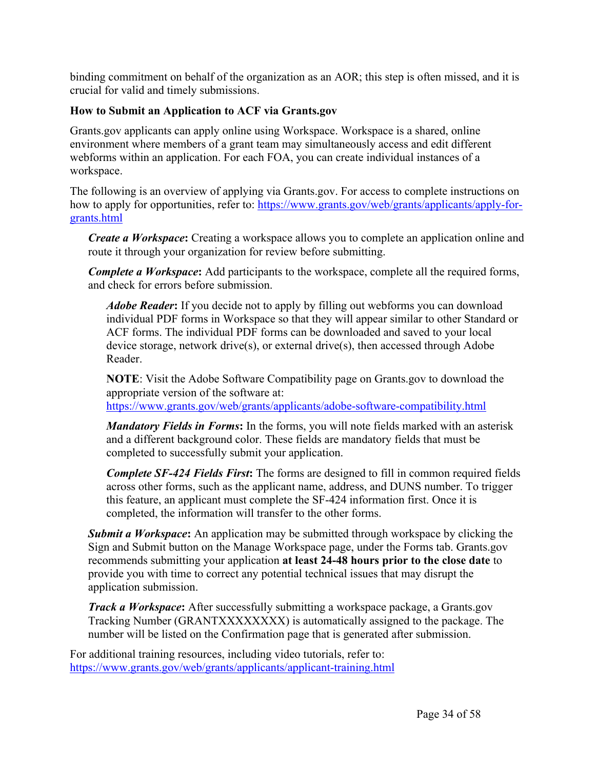binding commitment on behalf of the organization as an AOR; this step is often missed, and it is crucial for valid and timely submissions.

#### **How to Submit an Application to ACF via Grants.gov**

Grants.gov applicants can apply online using Workspace. Workspace is a shared, online environment where members of a grant team may simultaneously access and edit different webforms within an application. For each FOA, you can create individual instances of a workspace.

The following is an overview of applying via Grants.gov. For access to complete instructions on how to apply for opportunities, refer to: [https://www.grants.gov/web/grants/applicants/apply-for](https://www.grants.gov/web/grants/applicants/apply-for-grants.html)[grants.html](https://www.grants.gov/web/grants/applicants/apply-for-grants.html)

*Create a Workspace***:** Creating a workspace allows you to complete an application online and route it through your organization for review before submitting.

*Complete a Workspace***:** Add participants to the workspace, complete all the required forms, and check for errors before submission.

*Adobe Reader***:** If you decide not to apply by filling out webforms you can download individual PDF forms in Workspace so that they will appear similar to other Standard or ACF forms. The individual PDF forms can be downloaded and saved to your local device storage, network drive(s), or external drive(s), then accessed through Adobe Reader.

**NOTE**: Visit the Adobe Software Compatibility page on Grants.gov to download the appropriate version of the software at:

<https://www.grants.gov/web/grants/applicants/adobe-software-compatibility.html>

*Mandatory Fields in Forms***:** In the forms, you will note fields marked with an asterisk and a different background color. These fields are mandatory fields that must be completed to successfully submit your application.

*Complete SF-424 Fields First***:** The forms are designed to fill in common required fields across other forms, such as the applicant name, address, and DUNS number. To trigger this feature, an applicant must complete the SF-424 information first. Once it is completed, the information will transfer to the other forms.

*Submit a Workspace***:** An application may be submitted through workspace by clicking the Sign and Submit button on the Manage Workspace page, under the Forms tab. Grants.gov recommends submitting your application **at least 24-48 hours prior to the close date** to provide you with time to correct any potential technical issues that may disrupt the application submission.

*Track a Workspace***:** After successfully submitting a workspace package, a Grants.gov Tracking Number (GRANTXXXXXXXX) is automatically assigned to the package. The number will be listed on the Confirmation page that is generated after submission.

For additional training resources, including video tutorials, refer to: <https://www.grants.gov/web/grants/applicants/applicant-training.html>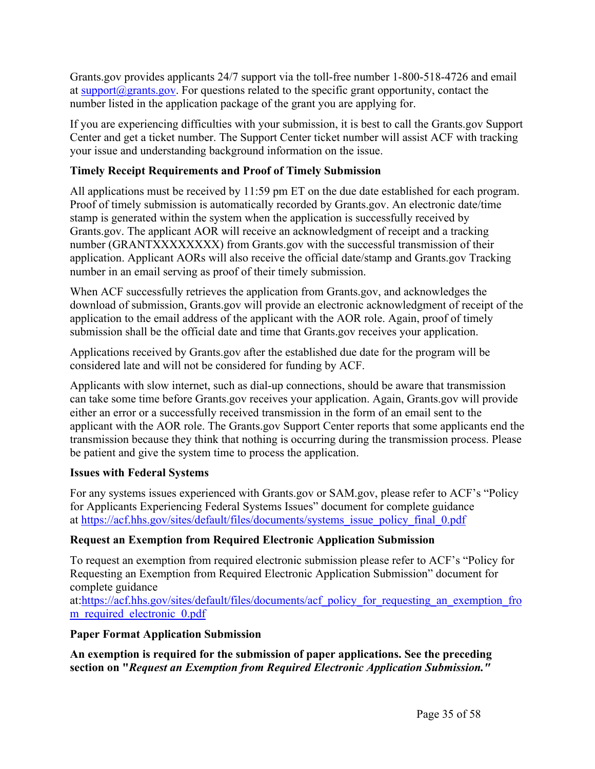Grants.gov provides applicants 24/7 support via the toll-free number 1-800-518-4726 and email at [support@grants.gov](mailto:support@grants.gov). For questions related to the specific grant opportunity, contact the number listed in the application package of the grant you are applying for.

If you are experiencing difficulties with your submission, it is best to call the Grants.gov Support Center and get a ticket number. The Support Center ticket number will assist ACF with tracking your issue and understanding background information on the issue.

### **Timely Receipt Requirements and Proof of Timely Submission**

All applications must be received by 11:59 pm ET on the due date established for each program. Proof of timely submission is automatically recorded by Grants.gov. An electronic date/time stamp is generated within the system when the application is successfully received by Grants.gov. The applicant AOR will receive an acknowledgment of receipt and a tracking number (GRANTXXXXXXXX) from Grants.gov with the successful transmission of their application. Applicant AORs will also receive the official date/stamp and Grants.gov Tracking number in an email serving as proof of their timely submission.

When ACF successfully retrieves the application from Grants.gov, and acknowledges the download of submission, Grants.gov will provide an electronic acknowledgment of receipt of the application to the email address of the applicant with the AOR role. Again, proof of timely submission shall be the official date and time that Grants.gov receives your application.

Applications received by Grants.gov after the established due date for the program will be considered late and will not be considered for funding by ACF.

Applicants with slow internet, such as dial-up connections, should be aware that transmission can take some time before Grants.gov receives your application. Again, Grants.gov will provide either an error or a successfully received transmission in the form of an email sent to the applicant with the AOR role. The Grants.gov Support Center reports that some applicants end the transmission because they think that nothing is occurring during the transmission process. Please be patient and give the system time to process the application.

### **Issues with Federal Systems**

For any systems issues experienced with Grants.gov or SAM.gov, please refer to ACF's "Policy for Applicants Experiencing Federal Systems Issues" document for complete guidance at [https://acf.hhs.gov/sites/default/files/documents/systems\\_issue\\_policy\\_final\\_0.pdf](https://acf.hhs.gov/sites/default/files/documents/systems_issue_policy_final_0.pdf)

### **Request an Exemption from Required Electronic Application Submission**

To request an exemption from required electronic submission please refer to ACF's "Policy for Requesting an Exemption from Required Electronic Application Submission" document for complete guidance

at:[https://acf.hhs.gov/sites/default/files/documents/acf\\_policy\\_for\\_requesting\\_an\\_exemption\\_fro](https://acf.hhs.gov/sites/default/files/documents/acf_policy_for_requesting_an_exemption_from_required_electronic_0.pdf) [m\\_required\\_electronic\\_0.pdf](https://acf.hhs.gov/sites/default/files/documents/acf_policy_for_requesting_an_exemption_from_required_electronic_0.pdf)

### **Paper Format Application Submission**

**An exemption is required for the submission of paper applications. See the preceding section on "***Request an Exemption from Required Electronic Application Submission."*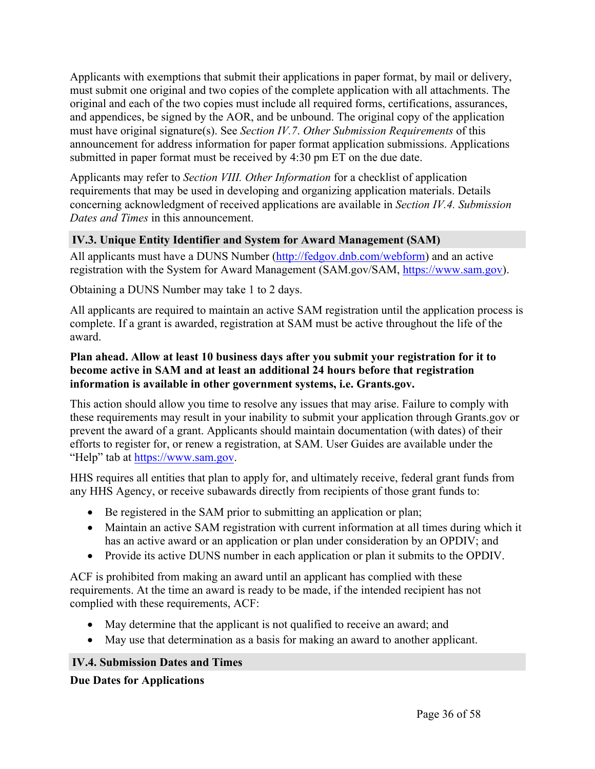Applicants with exemptions that submit their applications in paper format, by mail or delivery, must submit one original and two copies of the complete application with all attachments. The original and each of the two copies must include all required forms, certifications, assurances, and appendices, be signed by the AOR, and be unbound. The original copy of the application must have original signature(s). See *Section IV.7*. *Other Submission Requirements* of this announcement for address information for paper format application submissions. Applications submitted in paper format must be received by 4:30 pm ET on the due date.

Applicants may refer to *Section VIII. Other Information* for a checklist of application requirements that may be used in developing and organizing application materials. Details concerning acknowledgment of received applications are available in *Section IV.4. Submission Dates and Times* in this announcement.

#### <span id="page-36-0"></span>**IV.3. Unique Entity Identifier and System for Award Management (SAM)**

All applicants must have a DUNS Number [\(http://fedgov.dnb.com/webform\)](http://fedgov.dnb.com/webform) and an active registration with the System for Award Management (SAM.gov/SAM, [https://www.sam.gov](https://www.sam.gov/)).

Obtaining a DUNS Number may take 1 to 2 days.

All applicants are required to maintain an active SAM registration until the application process is complete. If a grant is awarded, registration at SAM must be active throughout the life of the award.

#### **Plan ahead. Allow at least 10 business days after you submit your registration for it to become active in SAM and at least an additional 24 hours before that registration information is available in other government systems, i.e. Grants.gov.**

This action should allow you time to resolve any issues that may arise. Failure to comply with these requirements may result in your inability to submit your application through Grants.gov or prevent the award of a grant. Applicants should maintain documentation (with dates) of their efforts to register for, or renew a registration, at SAM. User Guides are available under the "Help" tab at [https://www.sam.gov.](https://www.sam.gov/)

HHS requires all entities that plan to apply for, and ultimately receive, federal grant funds from any HHS Agency, or receive subawards directly from recipients of those grant funds to:

- Be registered in the SAM prior to submitting an application or plan;
- Maintain an active SAM registration with current information at all times during which it has an active award or an application or plan under consideration by an OPDIV; and
- Provide its active DUNS number in each application or plan it submits to the OPDIV.

ACF is prohibited from making an award until an applicant has complied with these requirements. At the time an award is ready to be made, if the intended recipient has not complied with these requirements, ACF:

- May determine that the applicant is not qualified to receive an award; and
- May use that determination as a basis for making an award to another applicant.

#### <span id="page-36-1"></span>**IV.4. Submission Dates and Times**

#### **Due Dates for Applications**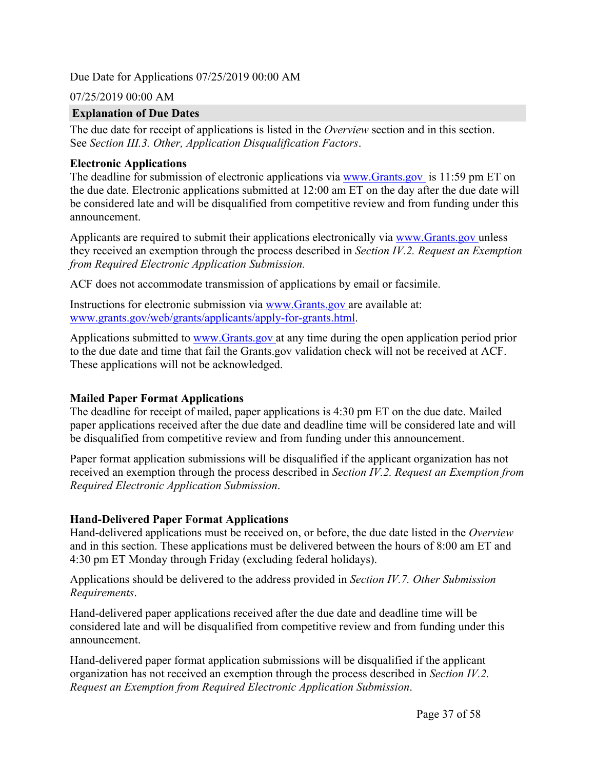Due Date for Applications 07/25/2019 00:00 AM

#### 07/25/2019 00:00 AM

#### <span id="page-37-0"></span>**Explanation of Due Dates**

The due date for receipt of applications is listed in the *Overview* section and in this section. See *Section III.3. Other, Application Disqualification Factors*.

#### **Electronic Applications**

The deadline for submission of electronic applications via [www.Grants.gov](https://www.Grants.gov/) is 11:59 pm ET on the due date. Electronic applications submitted at 12:00 am ET on the day after the due date will be considered late and will be disqualified from competitive review and from funding under this announcement.

Applicants are required to submit their applications electronically via [www.Grants.gov](https://www.Grants.gov/) unless they received an exemption through the process described in *Section IV.2. Request an Exemption from Required Electronic Application Submission.*

ACF does not accommodate transmission of applications by email or facsimile.

Instructions for electronic submission via [www.Grants.gov](https://www.Grants.gov/) are available at: [www.grants.gov/web/grants/applicants/apply-for-grants.html.](https://www.grants.gov/web/grants/applicants/apply-for-grants.html)

Applications submitted to [www.Grants.gov](https://www.Grants.gov/) at any time during the open application period prior to the due date and time that fail the Grants.gov validation check will not be received at ACF. These applications will not be acknowledged.

#### **Mailed Paper Format Applications**

The deadline for receipt of mailed, paper applications is 4:30 pm ET on the due date. Mailed paper applications received after the due date and deadline time will be considered late and will be disqualified from competitive review and from funding under this announcement.

Paper format application submissions will be disqualified if the applicant organization has not received an exemption through the process described in *Section IV.2. Request an Exemption from Required Electronic Application Submission*.

#### **Hand-Delivered Paper Format Applications**

Hand-delivered applications must be received on, or before, the due date listed in the *Overview* and in this section. These applications must be delivered between the hours of 8:00 am ET and 4:30 pm ET Monday through Friday (excluding federal holidays).

Applications should be delivered to the address provided in *Section IV.7. Other Submission Requirements*.

Hand-delivered paper applications received after the due date and deadline time will be considered late and will be disqualified from competitive review and from funding under this announcement.

Hand-delivered paper format application submissions will be disqualified if the applicant organization has not received an exemption through the process described in *Section IV.2. Request an Exemption from Required Electronic Application Submission*.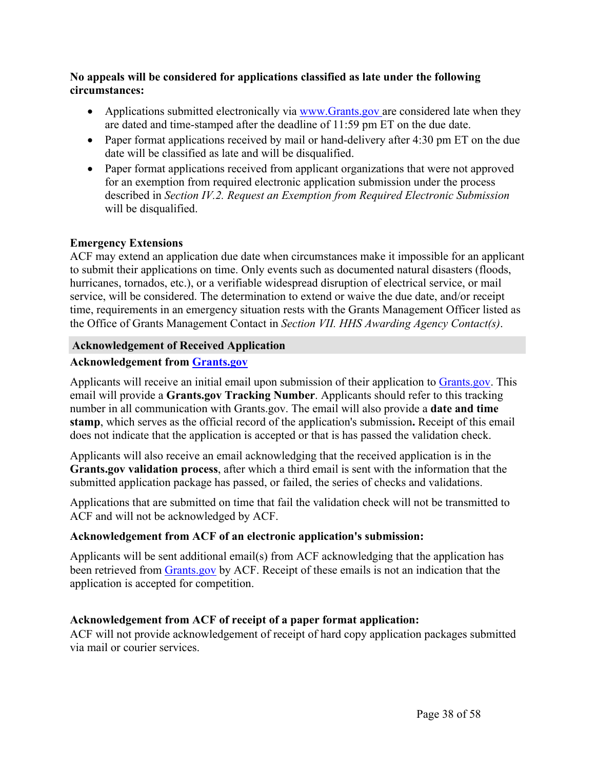#### **No appeals will be considered for applications classified as late under the following circumstances:**

- Applications submitted electronically via [www.Grants.gov](https://www.Grants.gov/) are considered late when they are dated and time-stamped after the deadline of 11:59 pm ET on the due date.
- Paper format applications received by mail or hand-delivery after 4:30 pm ET on the due date will be classified as late and will be disqualified.
- Paper format applications received from applicant organizations that were not approved for an exemption from required electronic application submission under the process described in *Section IV.2. Request an Exemption from Required Electronic Submission* will be disqualified.

#### **Emergency Extensions**

ACF may extend an application due date when circumstances make it impossible for an applicant to submit their applications on time. Only events such as documented natural disasters (floods, hurricanes, tornados, etc.), or a verifiable widespread disruption of electrical service, or mail service, will be considered. The determination to extend or waive the due date, and/or receipt time, requirements in an emergency situation rests with the Grants Management Officer listed as the Office of Grants Management Contact in *Section VII. HHS Awarding Agency Contact(s)*.

#### <span id="page-38-0"></span>**Acknowledgement of Received Application**

#### **Acknowledgement from [Grants.gov](http://www.Grants.gov/)**

Applicants will receive an initial email upon submission of their application to [Grants.gov.](https://www.grants.gov/) This email will provide a **Grants.gov Tracking Number**. Applicants should refer to this tracking number in all communication with Grants.gov. The email will also provide a **date and time stamp**, which serves as the official record of the application's submission**.** Receipt of this email does not indicate that the application is accepted or that is has passed the validation check.

Applicants will also receive an email acknowledging that the received application is in the **Grants.gov validation process**, after which a third email is sent with the information that the submitted application package has passed, or failed, the series of checks and validations.

Applications that are submitted on time that fail the validation check will not be transmitted to ACF and will not be acknowledged by ACF.

### **Acknowledgement from ACF of an electronic application's submission:**

Applicants will be sent additional email(s) from ACF acknowledging that the application has been retrieved from [Grants.gov](https://www.Grants.gov/) by ACF. Receipt of these emails is not an indication that the application is accepted for competition.

### **Acknowledgement from ACF of receipt of a paper format application:**

ACF will not provide acknowledgement of receipt of hard copy application packages submitted via mail or courier services.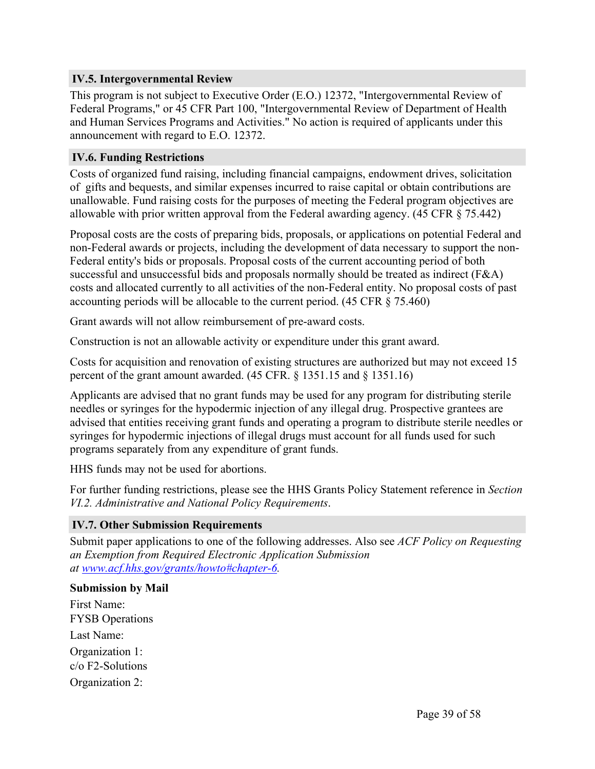#### <span id="page-39-0"></span>**IV.5. Intergovernmental Review**

This program is not subject to Executive Order (E.O.) 12372, "Intergovernmental Review of Federal Programs," or 45 CFR Part 100, "Intergovernmental Review of Department of Health and Human Services Programs and Activities." No action is required of applicants under this announcement with regard to E.O. 12372.

#### <span id="page-39-1"></span>**IV.6. Funding Restrictions**

Costs of organized fund raising, including financial campaigns, endowment drives, solicitation of gifts and bequests, and similar expenses incurred to raise capital or obtain contributions are unallowable. Fund raising costs for the purposes of meeting the Federal program objectives are allowable with prior written approval from the Federal awarding agency. (45 CFR § 75.442)

Proposal costs are the costs of preparing bids, proposals, or applications on potential Federal and non-Federal awards or projects, including the development of data necessary to support the non-Federal entity's bids or proposals. Proposal costs of the current accounting period of both successful and unsuccessful bids and proposals normally should be treated as indirect (F&A) costs and allocated currently to all activities of the non-Federal entity. No proposal costs of past accounting periods will be allocable to the current period. (45 CFR § 75.460)

Grant awards will not allow reimbursement of pre-award costs.

Construction is not an allowable activity or expenditure under this grant award.

Costs for acquisition and renovation of existing structures are authorized but may not exceed 15 percent of the grant amount awarded. (45 CFR. § 1351.15 and § 1351.16)

Applicants are advised that no grant funds may be used for any program for distributing sterile needles or syringes for the hypodermic injection of any illegal drug. Prospective grantees are advised that entities receiving grant funds and operating a program to distribute sterile needles or syringes for hypodermic injections of illegal drugs must account for all funds used for such programs separately from any expenditure of grant funds.

HHS funds may not be used for abortions.

For further funding restrictions, please see the HHS Grants Policy Statement reference in *Section VI.2. Administrative and National Policy Requirements*.

#### <span id="page-39-2"></span>**IV.7. Other Submission Requirements**

Submit paper applications to one of the following addresses. Also see *ACF Policy on Requesting an Exemption from Required Electronic Application Submission at [www.acf.hhs.gov/grants/howto#chapter-6](https://www.acf.hhs.gov/grants/howto#chapter-6).*

#### **Submission by Mail**

First Name: FYSB Operations Last Name: Organization 1: c/o F2-Solutions Organization 2: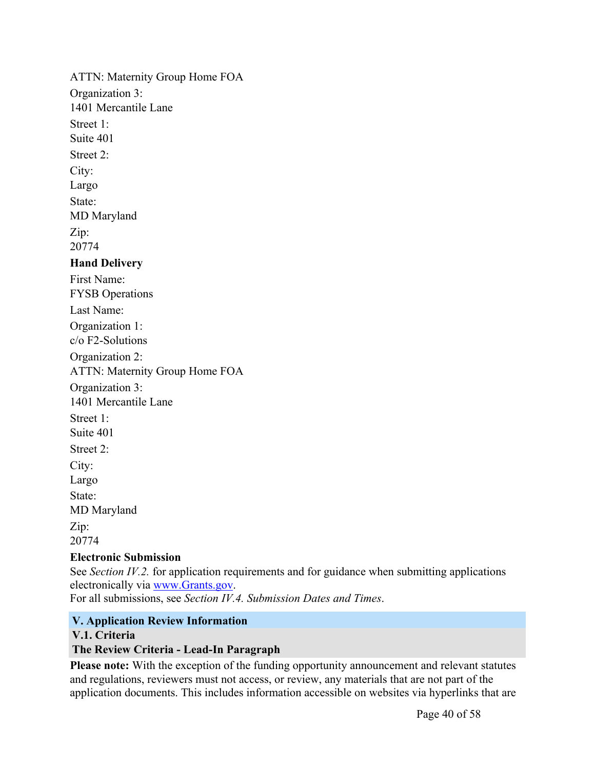ATTN: Maternity Group Home FOA Organization 3: 1401 Mercantile Lane Street 1: Suite 401 Street 2: City: Largo State: MD Maryland Zip: 20774 **Hand Delivery** First Name: FYSB Operations Last Name: Organization 1: c/o F2-Solutions Organization 2: ATTN: Maternity Group Home FOA Organization 3: 1401 Mercantile Lane Street 1: Suite 401 Street 2<sup>-</sup> City: Largo State: MD Maryland Zip: 20774

#### **Electronic Submission**

See *Section IV.2.* for application requirements and for guidance when submitting applications electronically via [www.Grants.gov.](https://www.grants.gov/)

For all submissions, see *Section IV.4. Submission Dates and Times*.

#### <span id="page-40-0"></span>**V. Application Review Information**

#### <span id="page-40-1"></span>**V.1. Criteria**

#### <span id="page-40-2"></span>**The Review Criteria - Lead-In Paragraph**

**Please note:** With the exception of the funding opportunity announcement and relevant statutes and regulations, reviewers must not access, or review, any materials that are not part of the application documents. This includes information accessible on websites via hyperlinks that are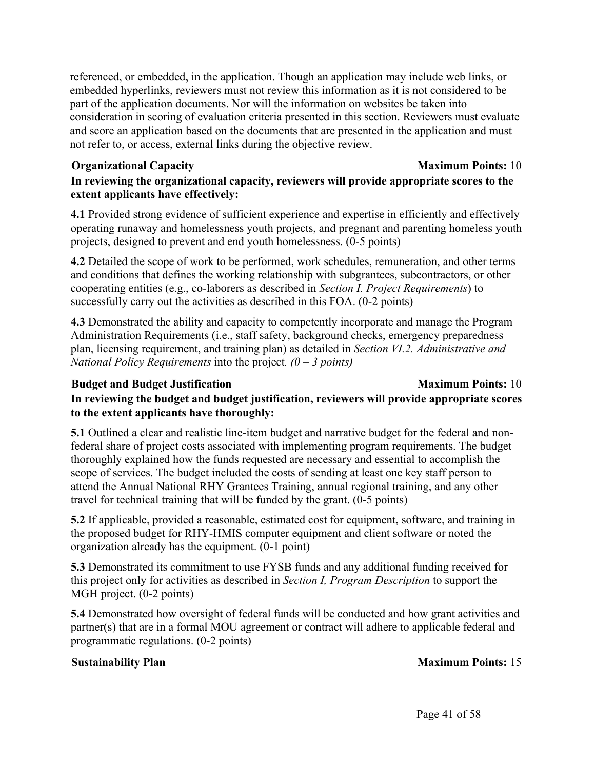referenced, or embedded, in the application. Though an application may include web links, or embedded hyperlinks, reviewers must not review this information as it is not considered to be part of the application documents. Nor will the information on websites be taken into consideration in scoring of evaluation criteria presented in this section. Reviewers must evaluate and score an application based on the documents that are presented in the application and must not refer to, or access, external links during the objective review.

#### **Organizational Capacity Maximum Points:** 10

## **In reviewing the organizational capacity, reviewers will provide appropriate scores to the extent applicants have effectively:**

**4.1** Provided strong evidence of sufficient experience and expertise in efficiently and effectively operating runaway and homelessness youth projects, and pregnant and parenting homeless youth projects, designed to prevent and end youth homelessness. (0-5 points)

**4.2** Detailed the scope of work to be performed, work schedules, remuneration, and other terms and conditions that defines the working relationship with subgrantees, subcontractors, or other cooperating entities (e.g., co-laborers as described in *Section I. Project Requirements*) to successfully carry out the activities as described in this FOA. (0-2 points)

**4.3** Demonstrated the ability and capacity to competently incorporate and manage the Program Administration Requirements (i.e., staff safety, background checks, emergency preparedness plan, licensing requirement, and training plan) as detailed in *Section VI.2. Administrative and National Policy Requirements* into the project*. (0 – 3 points)*

#### **Budget and Budget Justification Maximum Points:** 10

## **In reviewing the budget and budget justification, reviewers will provide appropriate scores to the extent applicants have thoroughly:**

**5.1** Outlined a clear and realistic line-item budget and narrative budget for the federal and nonfederal share of project costs associated with implementing program requirements. The budget thoroughly explained how the funds requested are necessary and essential to accomplish the scope of services. The budget included the costs of sending at least one key staff person to attend the Annual National RHY Grantees Training, annual regional training, and any other travel for technical training that will be funded by the grant. (0-5 points)

**5.2** If applicable, provided a reasonable, estimated cost for equipment, software, and training in the proposed budget for RHY-HMIS computer equipment and client software or noted the organization already has the equipment. (0-1 point)

**5.3** Demonstrated its commitment to use FYSB funds and any additional funding received for this project only for activities as described in *Section I, Program Description* to support the MGH project. (0-2 points)

**5.4** Demonstrated how oversight of federal funds will be conducted and how grant activities and partner(s) that are in a formal MOU agreement or contract will adhere to applicable federal and programmatic regulations. (0-2 points)

#### **Sustainability Plan Maximum Points:** 15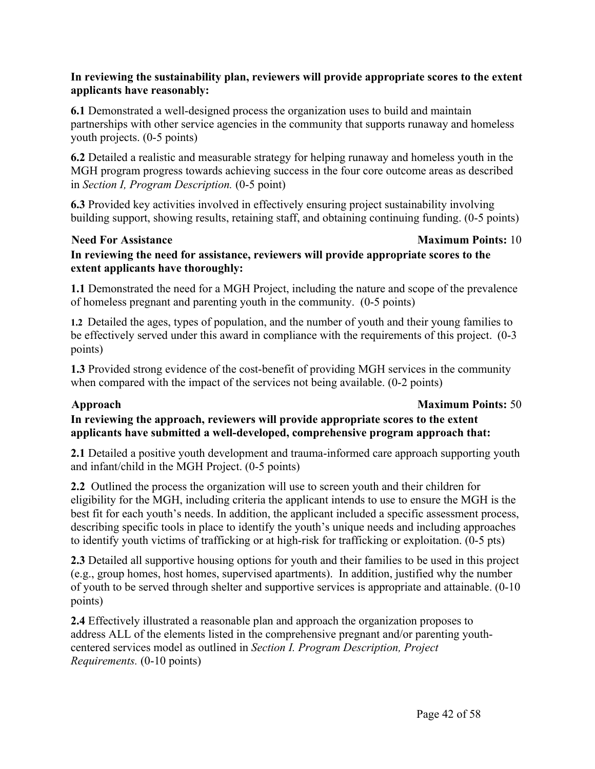#### **In reviewing the sustainability plan, reviewers will provide appropriate scores to the extent applicants have reasonably:**

**6.1** Demonstrated a well-designed process the organization uses to build and maintain partnerships with other service agencies in the community that supports runaway and homeless youth projects. (0-5 points)

**6.2** Detailed a realistic and measurable strategy for helping runaway and homeless youth in the MGH program progress towards achieving success in the four core outcome areas as described in *Section I, Program Description.* (0-5 point)

**6.3** Provided key activities involved in effectively ensuring project sustainability involving building support, showing results, retaining staff, and obtaining continuing funding. (0-5 points)

#### **Need For Assistance Maximum Points:** 10

**In reviewing the need for assistance, reviewers will provide appropriate scores to the extent applicants have thoroughly:**

**1.1** Demonstrated the need for a MGH Project, including the nature and scope of the prevalence of homeless pregnant and parenting youth in the community. (0-5 points)

**1.2** Detailed the ages, types of population, and the number of youth and their young families to be effectively served under this award in compliance with the requirements of this project. (0-3 points)

**1.3** Provided strong evidence of the cost-benefit of providing MGH services in the community when compared with the impact of the services not being available. (0-2 points)

#### **Approach Maximum Points:** 50

### **In reviewing the approach, reviewers will provide appropriate scores to the extent applicants have submitted a well-developed, comprehensive program approach that:**

**2.1** Detailed a positive youth development and trauma-informed care approach supporting youth and infant/child in the MGH Project. (0-5 points)

**2.2** Outlined the process the organization will use to screen youth and their children for eligibility for the MGH, including criteria the applicant intends to use to ensure the MGH is the best fit for each youth's needs. In addition, the applicant included a specific assessment process, describing specific tools in place to identify the youth's unique needs and including approaches to identify youth victims of trafficking or at high-risk for trafficking or exploitation. (0-5 pts)

**2.3** Detailed all supportive housing options for youth and their families to be used in this project (e.g., group homes, host homes, supervised apartments). In addition, justified why the number of youth to be served through shelter and supportive services is appropriate and attainable. (0-10 points)

**2.4** Effectively illustrated a reasonable plan and approach the organization proposes to address ALL of the elements listed in the comprehensive pregnant and/or parenting youthcentered services model as outlined in *Section I. Program Description, Project Requirements.* (0-10 points)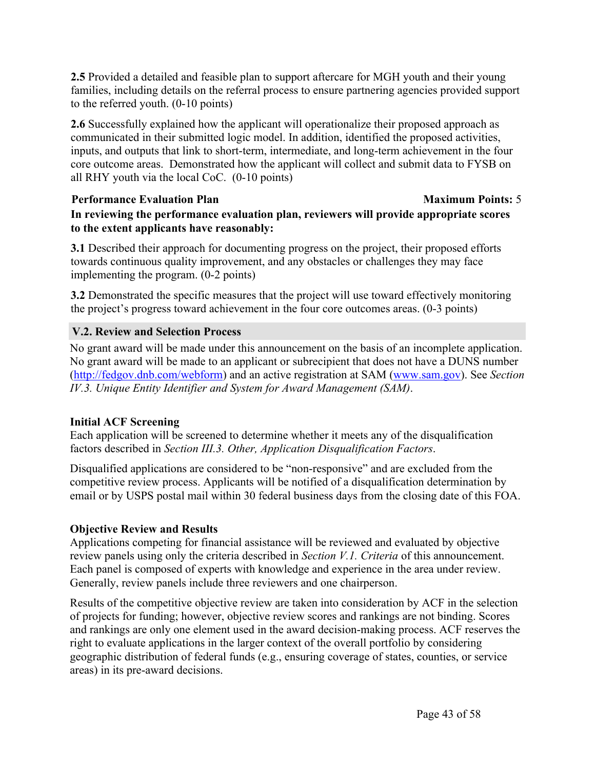**2.5** Provided a detailed and feasible plan to support aftercare for MGH youth and their young families, including details on the referral process to ensure partnering agencies provided support to the referred youth. (0-10 points)

**2.6** Successfully explained how the applicant will operationalize their proposed approach as communicated in their submitted logic model. In addition, identified the proposed activities, inputs, and outputs that link to short-term, intermediate, and long-term achievement in the four core outcome areas. Demonstrated how the applicant will collect and submit data to FYSB on all RHY youth via the local CoC. (0-10 points)

#### **Performance Evaluation Plan Maximum Points:** 5

**In reviewing the performance evaluation plan, reviewers will provide appropriate scores to the extent applicants have reasonably:**

**3.1** Described their approach for documenting progress on the project, their proposed efforts towards continuous quality improvement, and any obstacles or challenges they may face implementing the program. (0-2 points)

**3.2** Demonstrated the specific measures that the project will use toward effectively monitoring the project's progress toward achievement in the four core outcomes areas. (0-3 points)

### <span id="page-43-0"></span>**V.2. Review and Selection Process**

No grant award will be made under this announcement on the basis of an incomplete application. No grant award will be made to an applicant or subrecipient that does not have a DUNS number (<http://fedgov.dnb.com/webform>) and an active registration at SAM ([www.sam.gov](https://www.sam.gov/)). See *Section IV.3. Unique Entity Identifier and System for Award Management (SAM)*.

### **Initial ACF Screening**

Each application will be screened to determine whether it meets any of the disqualification factors described in *Section III.3. Other, Application Disqualification Factors*.

Disqualified applications are considered to be "non-responsive" and are excluded from the competitive review process. Applicants will be notified of a disqualification determination by email or by USPS postal mail within 30 federal business days from the closing date of this FOA.

### **Objective Review and Results**

Applications competing for financial assistance will be reviewed and evaluated by objective review panels using only the criteria described in *Section V.1. Criteria* of this announcement. Each panel is composed of experts with knowledge and experience in the area under review. Generally, review panels include three reviewers and one chairperson.

Results of the competitive objective review are taken into consideration by ACF in the selection of projects for funding; however, objective review scores and rankings are not binding. Scores and rankings are only one element used in the award decision-making process. ACF reserves the right to evaluate applications in the larger context of the overall portfolio by considering geographic distribution of federal funds (e.g., ensuring coverage of states, counties, or service areas) in its pre-award decisions.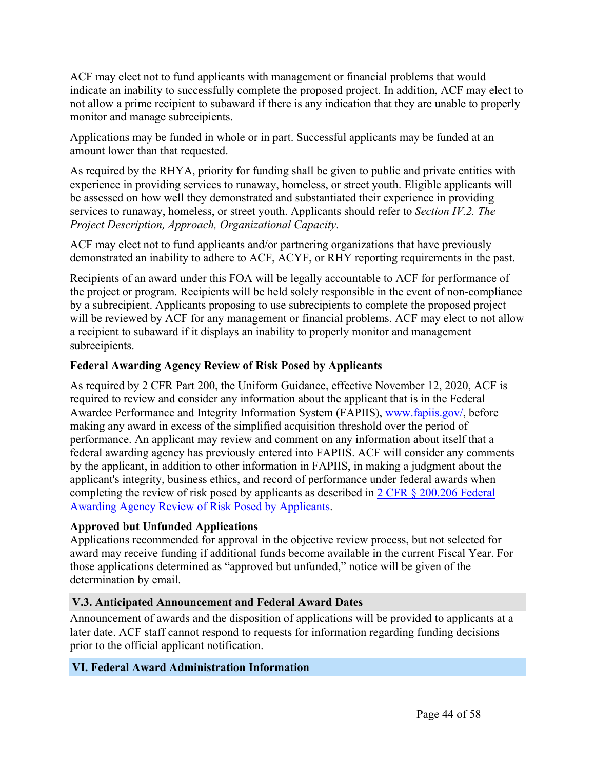ACF may elect not to fund applicants with management or financial problems that would indicate an inability to successfully complete the proposed project. In addition, ACF may elect to not allow a prime recipient to subaward if there is any indication that they are unable to properly monitor and manage subrecipients.

Applications may be funded in whole or in part. Successful applicants may be funded at an amount lower than that requested.

As required by the RHYA, priority for funding shall be given to public and private entities with experience in providing services to runaway, homeless, or street youth. Eligible applicants will be assessed on how well they demonstrated and substantiated their experience in providing services to runaway, homeless, or street youth. Applicants should refer to *Section IV.2. The Project Description, Approach, Organizational Capacity*.

ACF may elect not to fund applicants and/or partnering organizations that have previously demonstrated an inability to adhere to ACF, ACYF, or RHY reporting requirements in the past.

Recipients of an award under this FOA will be legally accountable to ACF for performance of the project or program. Recipients will be held solely responsible in the event of non-compliance by a subrecipient. Applicants proposing to use subrecipients to complete the proposed project will be reviewed by ACF for any management or financial problems. ACF may elect to not allow a recipient to subaward if it displays an inability to properly monitor and management subrecipients.

## **Federal Awarding Agency Review of Risk Posed by Applicants**

As required by 2 CFR Part 200, the Uniform Guidance, effective November 12, 2020, ACF is required to review and consider any information about the applicant that is in the Federal Awardee Performance and Integrity Information System (FAPIIS), [www.fapiis.gov/,](https://www.fapiis.gov/) before making any award in excess of the simplified acquisition threshold over the period of performance. An applicant may review and comment on any information about itself that a federal awarding agency has previously entered into FAPIIS. ACF will consider any comments by the applicant, in addition to other information in FAPIIS, in making a judgment about the applicant's integrity, business ethics, and record of performance under federal awards when completing the review of risk posed by applicants as described in 2 CFR § [200.206](https://www.ecfr.gov/cgi-bin/text-idx?SID=e631a69051bb1a22f319419e69e3d9e7&mc=true&node=se2.1.200_1206&rgn=div8) Federal Awarding Agency Review of Risk Posed by [Applicants.](https://www.ecfr.gov/cgi-bin/text-idx?SID=e631a69051bb1a22f319419e69e3d9e7&mc=true&node=se2.1.200_1206&rgn=div8)

## **Approved but Unfunded Applications**

Applications recommended for approval in the objective review process, but not selected for award may receive funding if additional funds become available in the current Fiscal Year. For those applications determined as "approved but unfunded," notice will be given of the determination by email.

### <span id="page-44-0"></span>**V.3. Anticipated Announcement and Federal Award Dates**

Announcement of awards and the disposition of applications will be provided to applicants at a later date. ACF staff cannot respond to requests for information regarding funding decisions prior to the official applicant notification.

## <span id="page-44-1"></span>**VI. Federal Award Administration Information**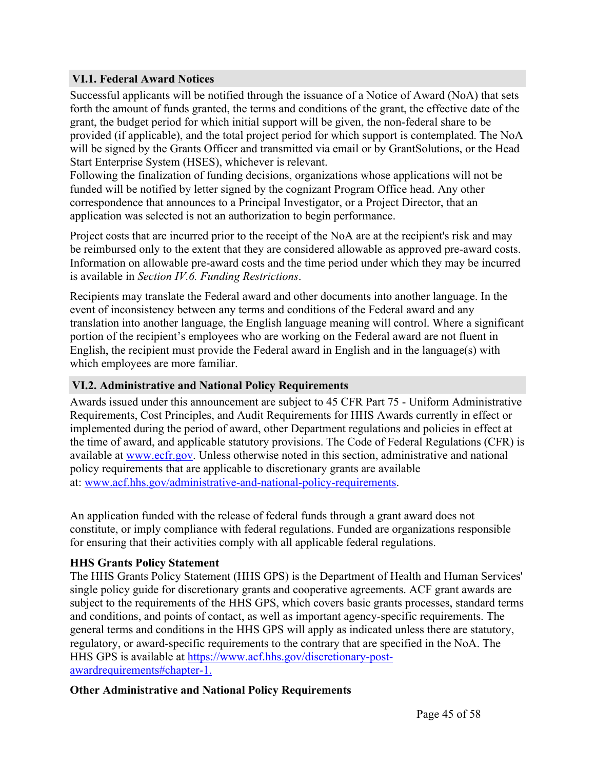#### <span id="page-45-0"></span>**VI.1. Federal Award Notices**

Successful applicants will be notified through the issuance of a Notice of Award (NoA) that sets forth the amount of funds granted, the terms and conditions of the grant, the effective date of the grant, the budget period for which initial support will be given, the non-federal share to be provided (if applicable), and the total project period for which support is contemplated. The NoA will be signed by the Grants Officer and transmitted via email or by GrantSolutions, or the Head Start Enterprise System (HSES), whichever is relevant.

Following the finalization of funding decisions, organizations whose applications will not be funded will be notified by letter signed by the cognizant Program Office head. Any other correspondence that announces to a Principal Investigator, or a Project Director, that an application was selected is not an authorization to begin performance.

Project costs that are incurred prior to the receipt of the NoA are at the recipient's risk and may be reimbursed only to the extent that they are considered allowable as approved pre-award costs. Information on allowable pre-award costs and the time period under which they may be incurred is available in *Section IV.6. Funding Restrictions*.

Recipients may translate the Federal award and other documents into another language. In the event of inconsistency between any terms and conditions of the Federal award and any translation into another language, the English language meaning will control. Where a significant portion of the recipient's employees who are working on the Federal award are not fluent in English, the recipient must provide the Federal award in English and in the language(s) with which employees are more familiar.

#### <span id="page-45-1"></span>**VI.2. Administrative and National Policy Requirements**

Awards issued under this announcement are subject to 45 CFR Part 75 - Uniform Administrative Requirements, Cost Principles, and Audit Requirements for HHS Awards currently in effect or implemented during the period of award, other Department regulations and policies in effect at the time of award, and applicable statutory provisions. The Code of Federal Regulations (CFR) is available at [www.ecfr.gov.](http://www.ecfr.gov/) Unless otherwise noted in this section, administrative and national policy requirements that are applicable to discretionary grants are available at: [www.acf.hhs.gov/administrative-and-national-policy-requirements.](https://www.acf.hhs.gov/administrative-and-national-policy-requirements)

An application funded with the release of federal funds through a grant award does not constitute, or imply compliance with federal regulations. Funded are organizations responsible for ensuring that their activities comply with all applicable federal regulations.

#### **HHS Grants Policy Statement**

The HHS Grants Policy Statement (HHS GPS) is the Department of Health and Human Services' single policy guide for discretionary grants and cooperative agreements. ACF grant awards are subject to the requirements of the HHS GPS, which covers basic grants processes, standard terms and conditions, and points of contact, as well as important agency-specific requirements. The general terms and conditions in the HHS GPS will apply as indicated unless there are statutory, regulatory, or award-specific requirements to the contrary that are specified in the NoA. The HHS GPS is available at [https://www.acf.hhs.gov/discretionary-post](http://www.acf.hhs.gov/discretionary-post-award-requirements#chapter-1.)[awardrequirements#chapter-1.](http://www.acf.hhs.gov/discretionary-post-award-requirements#chapter-1.)

#### **Other Administrative and National Policy Requirements**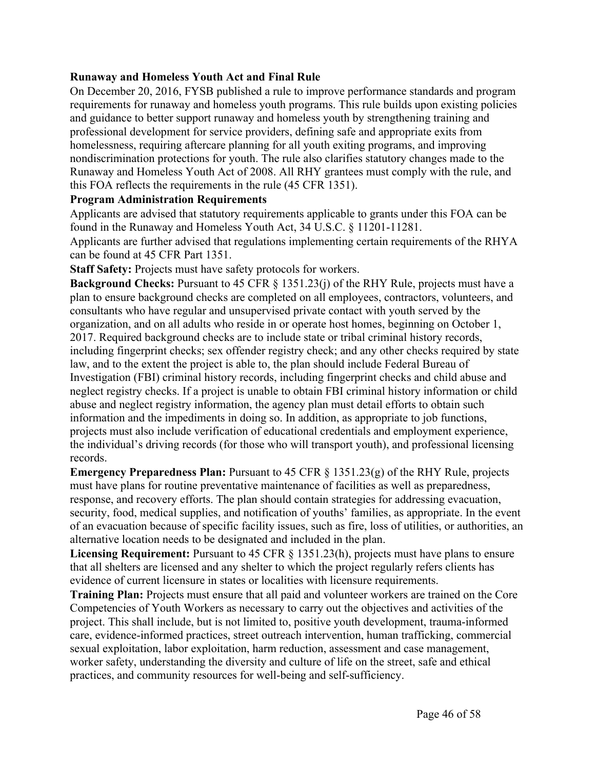#### <span id="page-46-0"></span>**Runaway and Homeless Youth Act and Final Rule**

On December 20, 2016, FYSB published a rule to improve performance standards and program requirements for runaway and homeless youth programs. This rule builds upon existing policies and guidance to better support runaway and homeless youth by strengthening training and professional development for service providers, defining safe and appropriate exits from homelessness, requiring aftercare planning for all youth exiting programs, and improving nondiscrimination protections for youth. The rule also clarifies statutory changes made to the Runaway and Homeless Youth Act of 2008. All RHY grantees must comply with the rule, and this FOA reflects the requirements in the rule (45 CFR 1351).

#### **Program Administration Requirements**

Applicants are advised that statutory requirements applicable to grants under this FOA can be found in the Runaway and Homeless Youth Act, 34 U.S.C. § 11201-11281.

Applicants are further advised that regulations implementing certain requirements of the RHYA can be found at 45 CFR Part 1351.

**Staff Safety:** Projects must have safety protocols for workers.

**Background Checks:** Pursuant to 45 CFR § 1351.23(j) of the RHY Rule, projects must have a plan to ensure background checks are completed on all employees, contractors, volunteers, and consultants who have regular and unsupervised private contact with youth served by the organization, and on all adults who reside in or operate host homes, beginning on October 1, 2017. Required background checks are to include state or tribal criminal history records, including fingerprint checks; sex offender registry check; and any other checks required by state law, and to the extent the project is able to, the plan should include Federal Bureau of Investigation (FBI) criminal history records, including fingerprint checks and child abuse and neglect registry checks. If a project is unable to obtain FBI criminal history information or child abuse and neglect registry information, the agency plan must detail efforts to obtain such information and the impediments in doing so. In addition, as appropriate to job functions, projects must also include verification of educational credentials and employment experience, the individual's driving records (for those who will transport youth), and professional licensing records.

**Emergency Preparedness Plan:** Pursuant to 45 CFR § 1351.23(g) of the RHY Rule, projects must have plans for routine preventative maintenance of facilities as well as preparedness, response, and recovery efforts. The plan should contain strategies for addressing evacuation, security, food, medical supplies, and notification of youths' families, as appropriate. In the event of an evacuation because of specific facility issues, such as fire, loss of utilities, or authorities, an alternative location needs to be designated and included in the plan.

**Licensing Requirement:** Pursuant to 45 CFR § 1351.23(h), projects must have plans to ensure that all shelters are licensed and any shelter to which the project regularly refers clients has evidence of current licensure in states or localities with licensure requirements.

**Training Plan:** Projects must ensure that all paid and volunteer workers are trained on the Core Competencies of Youth Workers as necessary to carry out the objectives and activities of the project. This shall include, but is not limited to, positive youth development, trauma-informed care, evidence-informed practices, street outreach intervention, human trafficking, commercial sexual exploitation, labor exploitation, harm reduction, assessment and case management, worker safety, understanding the diversity and culture of life on the street, safe and ethical practices, and community resources for well-being and self-sufficiency.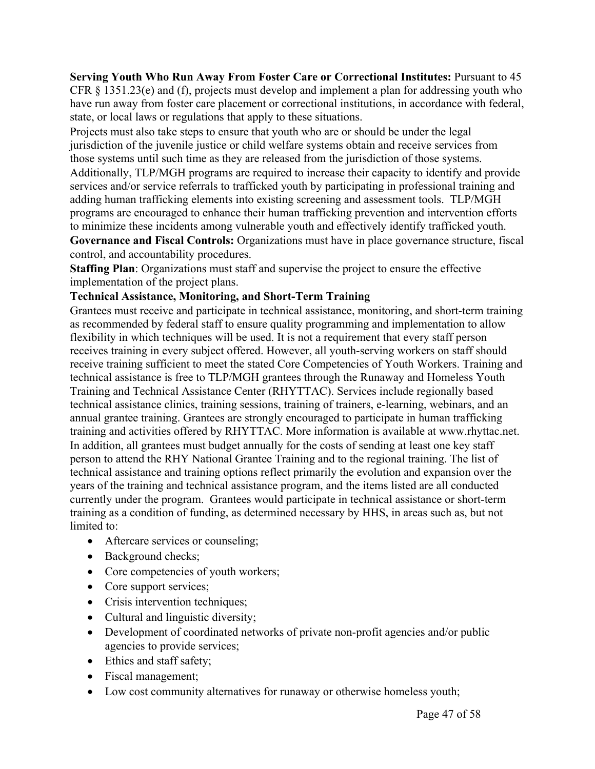**Serving Youth Who Run Away From Foster Care or Correctional Institutes:** Pursuant to 45 CFR § 1351.23(e) and (f), projects must develop and implement a plan for addressing youth who have run away from foster care placement or correctional institutions, in accordance with federal, state, or local laws or regulations that apply to these situations.

Projects must also take steps to ensure that youth who are or should be under the legal jurisdiction of the juvenile justice or child welfare systems obtain and receive services from those systems until such time as they are released from the jurisdiction of those systems. Additionally, TLP/MGH programs are required to increase their capacity to identify and provide services and/or service referrals to trafficked youth by participating in professional training and adding human trafficking elements into existing screening and assessment tools. TLP/MGH programs are encouraged to enhance their human trafficking prevention and intervention efforts to minimize these incidents among vulnerable youth and effectively identify trafficked youth. **Governance and Fiscal Controls:** Organizations must have in place governance structure, fiscal control, and accountability procedures.

**Staffing Plan**: Organizations must staff and supervise the project to ensure the effective implementation of the project plans.

#### **Technical Assistance, Monitoring, and Short-Term Training**

Grantees must receive and participate in technical assistance, monitoring, and short-term training as recommended by federal staff to ensure quality programming and implementation to allow flexibility in which techniques will be used. It is not a requirement that every staff person receives training in every subject offered. However, all youth-serving workers on staff should receive training sufficient to meet the stated Core Competencies of Youth Workers. Training and technical assistance is free to TLP/MGH grantees through the Runaway and Homeless Youth Training and Technical Assistance Center (RHYTTAC). Services include regionally based technical assistance clinics, training sessions, training of trainers, e-learning, webinars, and an annual grantee training. Grantees are strongly encouraged to participate in human trafficking training and activities offered by RHYTTAC. More information is available at www.rhyttac.net. In addition, all grantees must budget annually for the costs of sending at least one key staff person to attend the RHY National Grantee Training and to the regional training. The list of technical assistance and training options reflect primarily the evolution and expansion over the years of the training and technical assistance program, and the items listed are all conducted currently under the program. Grantees would participate in technical assistance or short-term training as a condition of funding, as determined necessary by HHS, in areas such as, but not limited to:

- Aftercare services or counseling;
- Background checks:
- Core competencies of youth workers;
- Core support services;
- Crisis intervention techniques;
- Cultural and linguistic diversity;
- Development of coordinated networks of private non-profit agencies and/or public agencies to provide services;
- Ethics and staff safety;
- Fiscal management;
- Low cost community alternatives for runaway or otherwise homeless youth;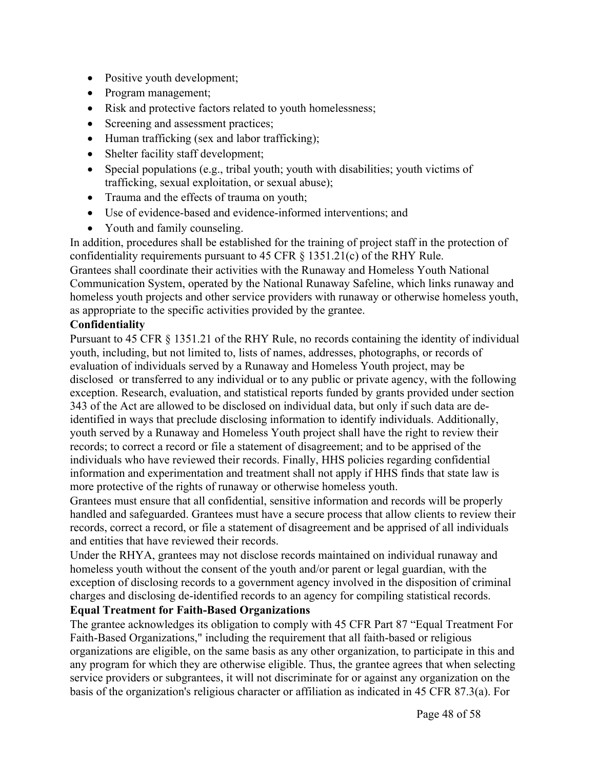- Positive youth development;
- Program management;
- Risk and protective factors related to youth homelessness;
- Screening and assessment practices;
- Human trafficking (sex and labor trafficking);
- Shelter facility staff development;
- Special populations (e.g., tribal youth; youth with disabilities; youth victims of trafficking, sexual exploitation, or sexual abuse);
- Trauma and the effects of trauma on youth;
- Use of evidence-based and evidence-informed interventions; and
- Youth and family counseling.

In addition, procedures shall be established for the training of project staff in the protection of confidentiality requirements pursuant to 45 CFR § 1351.21(c) of the RHY Rule. Grantees shall coordinate their activities with the Runaway and Homeless Youth National Communication System, operated by the National Runaway Safeline, which links runaway and homeless youth projects and other service providers with runaway or otherwise homeless youth, as appropriate to the specific activities provided by the grantee.

#### **Confidentiality**

Pursuant to 45 CFR § 1351.21 of the RHY Rule, no records containing the identity of individual youth, including, but not limited to, lists of names, addresses, photographs, or records of evaluation of individuals served by a Runaway and Homeless Youth project, may be disclosed or transferred to any individual or to any public or private agency, with the following exception. Research, evaluation, and statistical reports funded by grants provided under section 343 of the Act are allowed to be disclosed on individual data, but only if such data are deidentified in ways that preclude disclosing information to identify individuals. Additionally, youth served by a Runaway and Homeless Youth project shall have the right to review their records; to correct a record or file a statement of disagreement; and to be apprised of the individuals who have reviewed their records. Finally, HHS policies regarding confidential information and experimentation and treatment shall not apply if HHS finds that state law is more protective of the rights of runaway or otherwise homeless youth.

Grantees must ensure that all confidential, sensitive information and records will be properly handled and safeguarded. Grantees must have a secure process that allow clients to review their records, correct a record, or file a statement of disagreement and be apprised of all individuals and entities that have reviewed their records.

Under the RHYA, grantees may not disclose records maintained on individual runaway and homeless youth without the consent of the youth and/or parent or legal guardian, with the exception of disclosing records to a government agency involved in the disposition of criminal charges and disclosing de-identified records to an agency for compiling statistical records.

#### **Equal Treatment for Faith-Based Organizations**

The grantee acknowledges its obligation to comply with 45 CFR Part 87 "Equal Treatment For Faith-Based Organizations," including the requirement that all faith-based or religious organizations are eligible, on the same basis as any other organization, to participate in this and any program for which they are otherwise eligible. Thus, the grantee agrees that when selecting service providers or subgrantees, it will not discriminate for or against any organization on the basis of the organization's religious character or affiliation as indicated in 45 CFR 87.3(a). For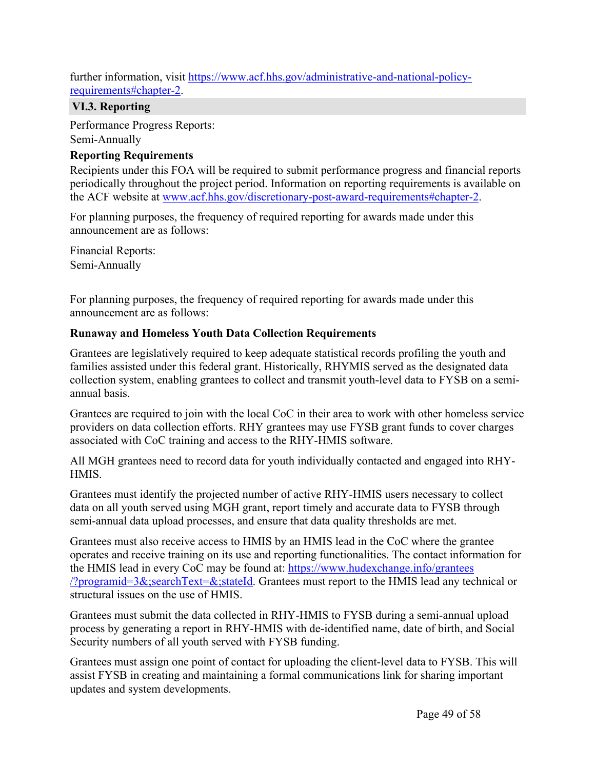further information, visit [https://www.acf.hhs.gov/administrative-and-national-policy](https://www.acf.hhs.gov/administrative-and-national-policy-requirements#chapter-2)[requirements#chapter-2.](https://www.acf.hhs.gov/administrative-and-national-policy-requirements#chapter-2)

#### <span id="page-49-0"></span>**VI.3. Reporting**

Performance Progress Reports: Semi-Annually

#### **Reporting Requirements**

Recipients under this FOA will be required to submit performance progress and financial reports periodically throughout the project period. Information on reporting requirements is available on the ACF website at [www.acf.hhs.gov/discretionary-post-award-requirements#chapter-2.](https://www.acf.hhs.gov/discretionary-post-award-requirements#chapter-2)

For planning purposes, the frequency of required reporting for awards made under this announcement are as follows:

Financial Reports: Semi-Annually

For planning purposes, the frequency of required reporting for awards made under this announcement are as follows:

#### **Runaway and Homeless Youth Data Collection Requirements**

Grantees are legislatively required to keep adequate statistical records profiling the youth and families assisted under this federal grant. Historically, RHYMIS served as the designated data collection system, enabling grantees to collect and transmit youth-level data to FYSB on a semiannual basis.

Grantees are required to join with the local CoC in their area to work with other homeless service providers on data collection efforts. RHY grantees may use FYSB grant funds to cover charges associated with CoC training and access to the RHY-HMIS software.

All MGH grantees need to record data for youth individually contacted and engaged into RHY-HMIS.

Grantees must identify the projected number of active RHY-HMIS users necessary to collect data on all youth served using MGH grant, report timely and accurate data to FYSB through semi-annual data upload processes, and ensure that data quality thresholds are met.

Grantees must also receive access to HMIS by an HMIS lead in the CoC where the grantee operates and receive training on its use and reporting functionalities. The contact information for the HMIS lead in every CoC may be found at: [https://www.hudexchange.info/grantees](https://www.hudexchange.info/grantees/?programid=3&searchText=&stateId) [/?programid=3&;searchText=&;stateId](https://www.hudexchange.info/grantees/?programid=3&searchText=&stateId). Grantees must report to the HMIS lead any technical or structural issues on the use of HMIS.

Grantees must submit the data collected in RHY-HMIS to FYSB during a semi-annual upload process by generating a report in RHY-HMIS with de-identified name, date of birth, and Social Security numbers of all youth served with FYSB funding.

Grantees must assign one point of contact for uploading the client-level data to FYSB. This will assist FYSB in creating and maintaining a formal communications link for sharing important updates and system developments.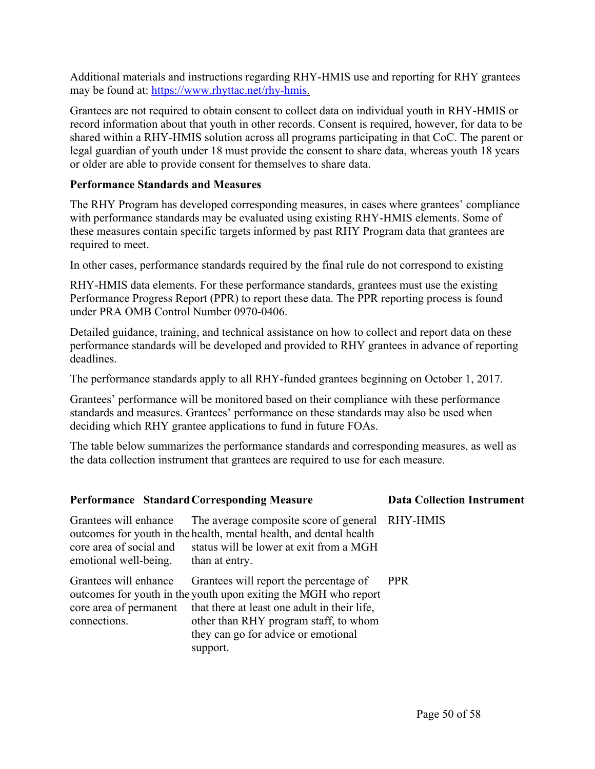Additional materials and instructions regarding RHY-HMIS use and reporting for RHY grantees may be found at: [https://www.rhyttac.net/rhy-hmis.](https://www.rhyttac.net/rhy-hmis)

Grantees are not required to obtain consent to collect data on individual youth in RHY-HMIS or record information about that youth in other records. Consent is required, however, for data to be shared within a RHY-HMIS solution across all programs participating in that CoC. The parent or legal guardian of youth under 18 must provide the consent to share data, whereas youth 18 years or older are able to provide consent for themselves to share data.

#### **Performance Standards and Measures**

The RHY Program has developed corresponding measures, in cases where grantees' compliance with performance standards may be evaluated using existing RHY-HMIS elements. Some of these measures contain specific targets informed by past RHY Program data that grantees are required to meet.

In other cases, performance standards required by the final rule do not correspond to existing

RHY-HMIS data elements. For these performance standards, grantees must use the existing Performance Progress Report (PPR) to report these data. The PPR reporting process is found under PRA OMB Control Number 0970-0406.

Detailed guidance, training, and technical assistance on how to collect and report data on these performance standards will be developed and provided to RHY grantees in advance of reporting deadlines.

The performance standards apply to all RHY-funded grantees beginning on October 1, 2017.

Grantees' performance will be monitored based on their compliance with these performance standards and measures. Grantees' performance on these standards may also be used when deciding which RHY grantee applications to fund in future FOAs.

The table below summarizes the performance standards and corresponding measures, as well as the data collection instrument that grantees are required to use for each measure.

#### **Performance StandardCorresponding Measure Data Collection Instrument** Grantees will enhance outcomes for youth in the health, mental health, and dental health core area of social and emotional well-being. The average composite score of general status will be lower at exit from a MGH than at entry. RHY-HMIS Grantees will enhance outcomes for youth in the youth upon exiting the MGH who report core area of permanent connections. Grantees will report the percentage of that there at least one adult in their life, other than RHY program staff, to whom they can go for advice or emotional support. PPR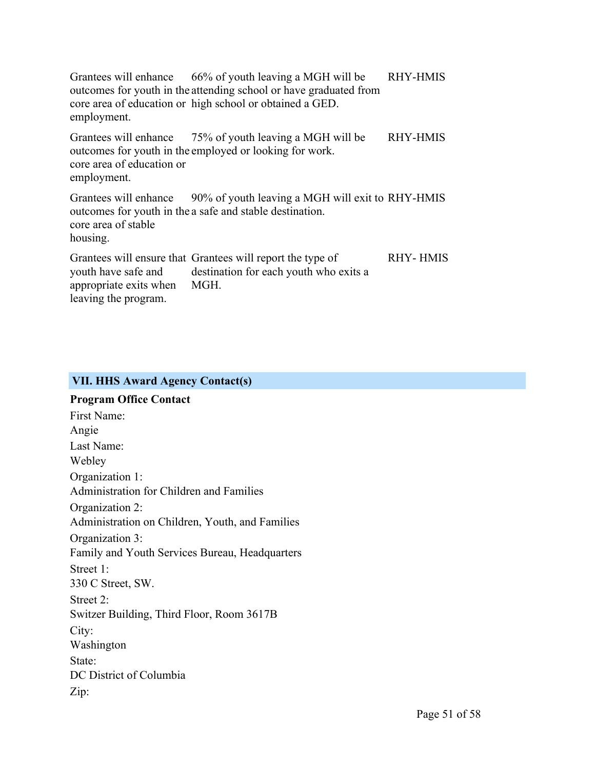Grantees will enhance outcomes for youth in the attending school or have graduated from core area of education or high school or obtained a GED. employment. 66% of youth leaving a MGH will be RHY-HMIS

Grantees will enhance outcomes for youth in the employed or looking for work. core area of education or employment. 75% of youth leaving a MGH will be RHY-HMIS

Grantees will enhance outcomes for youth in the a safe and stable destination. core area of stable housing. 90% of youth leaving a MGH will exit to RHY-HMIS

|                        | Grantees will ensure that Grantees will report the type of | <b>RHY-HMIS</b> |
|------------------------|------------------------------------------------------------|-----------------|
| youth have safe and    | destination for each youth who exits a                     |                 |
| appropriate exits when | MGH.                                                       |                 |
| leaving the program.   |                                                            |                 |

#### <span id="page-51-0"></span>**VII. HHS Award Agency Contact(s)**

## **Program Office Contact** First Name: Angie

Last Name: Webley Organization 1: Administration for Children and Families Organization 2: Administration on Children, Youth, and Families Organization 3: Family and Youth Services Bureau, Headquarters Street 1: 330 C Street, SW. Street 2: Switzer Building, Third Floor, Room 3617B City: Washington State: DC District of Columbia Zip: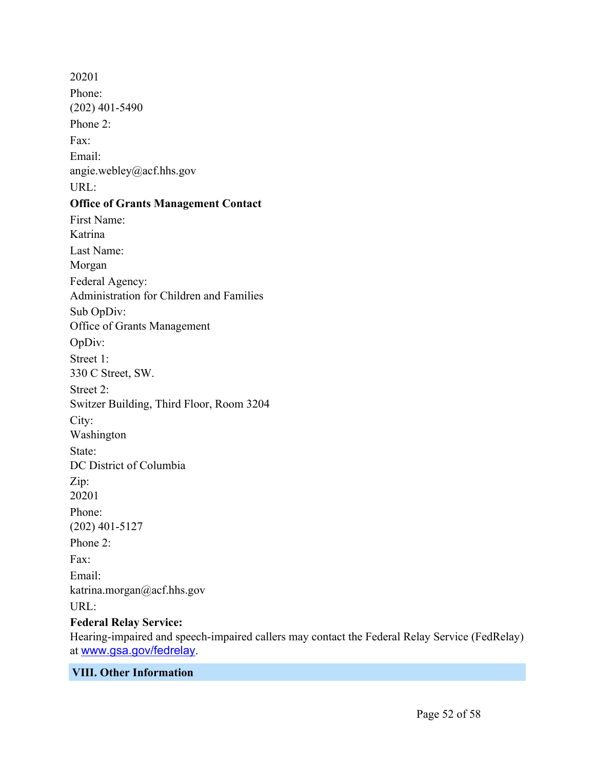20201 Phone: (202) 401-5490 Phone 2: Fax: Email: angie.webley@acf.hhs.gov URL: **Office of Grants Management Contact** First Name: Katrina Last Name: Morgan Federal Agency: Administration for Children and Families Sub OpDiv: Office of Grants Management OpDiv: Street 1: 330 C Street, SW. Street 2: Switzer Building, Third Floor, Room 3204 City: Washington State: DC District of Columbia Zip: 20201 Phone: (202) 401-5127 Phone 2: Fax: Email: katrina.morgan@acf.hhs.gov URL: **Federal Relay Service:**

Hearing-impaired and speech-impaired callers may contact the Federal Relay Service (FedRelay) at [www.gsa.gov/fedrelay](http://www.gsa.gov/fedrelay).

#### <span id="page-52-0"></span>**VIII. Other Information**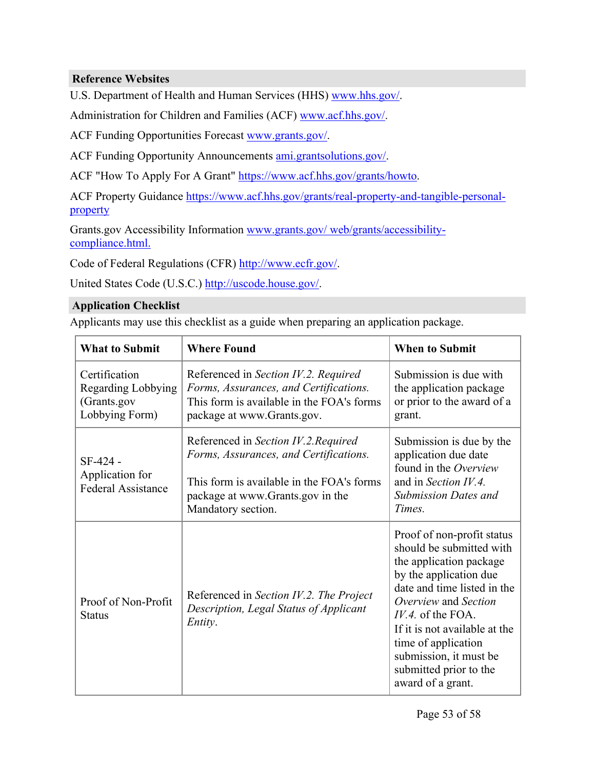#### <span id="page-53-0"></span>**Reference Websites**

U.S. Department of Health and Human Services (HHS) [www.hhs.gov/](http://www.hhs.gov/).

Administration for Children and Families (ACF) [www.acf.hhs.gov/](https://www.acf.hhs.gov/).

ACF Funding Opportunities Forecast [www.grants.gov/.](https://www.grants.gov/)

ACF Funding Opportunity Announcements [ami.grantsolutions.gov/](https://ami.grantsolutions.gov/).

ACF "How To Apply For A Grant" <https://www.acf.hhs.gov/grants/howto>.

ACF Property Guidance [https://www.acf.hhs.gov/grants/real-property-and-tangible-personal](https://www.acf.hhs.gov/grants/real-property-and-tangible-personal-property)[property](https://www.acf.hhs.gov/grants/real-property-and-tangible-personal-property)

Grants.gov Accessibility Information www.grants.gov/ [web/grants/accessibility](https://www.grants.gov/web/grants/accessibility-compliance.html)[compliance.html.](https://www.grants.gov/web/grants/accessibility-compliance.html)

Code of Federal Regulations (CFR) [http://www.ecfr.gov/.](http://www.ecfr.gov/)

United States Code (U.S.C.) <http://uscode.house.gov/>.

#### <span id="page-53-1"></span>**Application Checklist**

Applicants may use this checklist as a guide when preparing an application package.

| <b>What to Submit</b>                                                | <b>Where Found</b>                                                                                                                                                                    | <b>When to Submit</b>                                                                                                                                                                                                                                                                                                      |
|----------------------------------------------------------------------|---------------------------------------------------------------------------------------------------------------------------------------------------------------------------------------|----------------------------------------------------------------------------------------------------------------------------------------------------------------------------------------------------------------------------------------------------------------------------------------------------------------------------|
| Certification<br>Regarding Lobbying<br>(Grants.gov<br>Lobbying Form) | Referenced in Section IV.2. Required<br>Forms, Assurances, and Certifications.<br>This form is available in the FOA's forms<br>package at www.Grants.gov.                             | Submission is due with<br>the application package<br>or prior to the award of a<br>grant.                                                                                                                                                                                                                                  |
| SF-424 -<br>Application for<br><b>Federal Assistance</b>             | Referenced in Section IV.2. Required<br>Forms, Assurances, and Certifications.<br>This form is available in the FOA's forms<br>package at www.Grants.gov in the<br>Mandatory section. | Submission is due by the<br>application due date<br>found in the Overview<br>and in Section IV.4.<br><b>Submission Dates and</b><br>Times.                                                                                                                                                                                 |
| Proof of Non-Profit<br><b>Status</b>                                 | Referenced in Section IV.2. The Project<br>Description, Legal Status of Applicant<br>Entity.                                                                                          | Proof of non-profit status<br>should be submitted with<br>the application package<br>by the application due<br>date and time listed in the<br>Overview and Section<br>$IV.4.$ of the FOA.<br>If it is not available at the<br>time of application<br>submission, it must be<br>submitted prior to the<br>award of a grant. |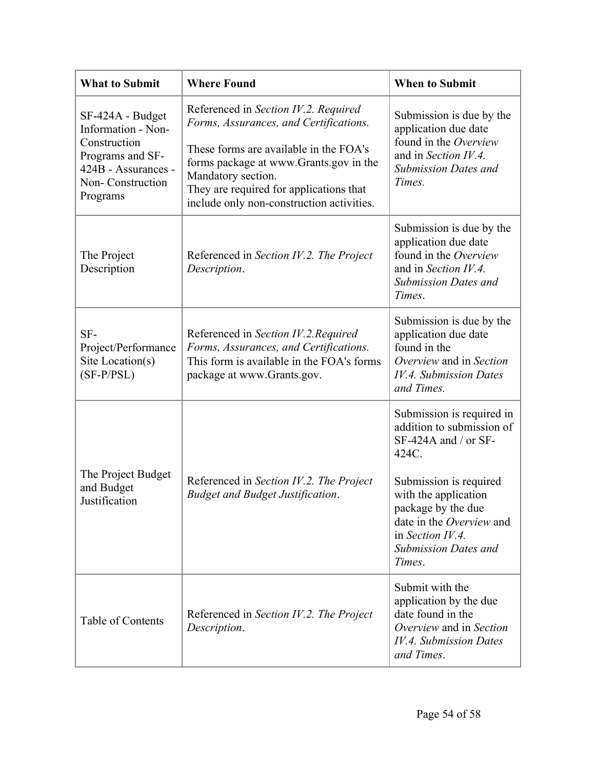| <b>What to Submit</b>                                                                                                             | <b>Where Found</b>                                                                                                                                                                                                                                                               | <b>When to Submit</b>                                                                                                                                                                                                                                       |
|-----------------------------------------------------------------------------------------------------------------------------------|----------------------------------------------------------------------------------------------------------------------------------------------------------------------------------------------------------------------------------------------------------------------------------|-------------------------------------------------------------------------------------------------------------------------------------------------------------------------------------------------------------------------------------------------------------|
| SF-424A - Budget<br>Information - Non-<br>Construction<br>Programs and SF-<br>424B - Assurances -<br>Non-Construction<br>Programs | Referenced in Section IV.2. Required<br>Forms, Assurances, and Certifications.<br>These forms are available in the FOA's<br>forms package at www.Grants.gov in the<br>Mandatory section.<br>They are required for applications that<br>include only non-construction activities. | Submission is due by the<br>application due date<br>found in the Overview<br>and in Section IV.4.<br><b>Submission Dates and</b><br>Times.                                                                                                                  |
| The Project<br>Description                                                                                                        | Referenced in Section IV.2. The Project<br>Description.                                                                                                                                                                                                                          | Submission is due by the<br>application due date<br>found in the Overview<br>and in Section IV.4.<br><b>Submission Dates and</b><br>Times.                                                                                                                  |
| SF-<br>Project/Performance<br>Site Location(s)<br>$(SF-P/PSL)$                                                                    | Referenced in Section IV.2. Required<br>Forms, Assurances, and Certifications.<br>This form is available in the FOA's forms<br>package at www.Grants.gov.                                                                                                                        | Submission is due by the<br>application due date<br>found in the<br>Overview and in Section<br><b>IV.4. Submission Dates</b><br>and Times.                                                                                                                  |
| The Project Budget<br>and Budget<br>Justification                                                                                 | Referenced in Section IV.2. The Project<br>Budget and Budget Justification.                                                                                                                                                                                                      | Submission is required in<br>addition to submission of<br>SF-424A and / or SF-<br>424C.<br>Submission is required<br>with the application<br>package by the due<br>date in the Overview and<br>in Section $IV.4$ .<br><b>Submission Dates and</b><br>Times. |
| Table of Contents                                                                                                                 | Referenced in Section IV.2. The Project<br>Description.                                                                                                                                                                                                                          | Submit with the<br>application by the due<br>date found in the<br>Overview and in Section<br>IV.4. Submission Dates<br>and Times.                                                                                                                           |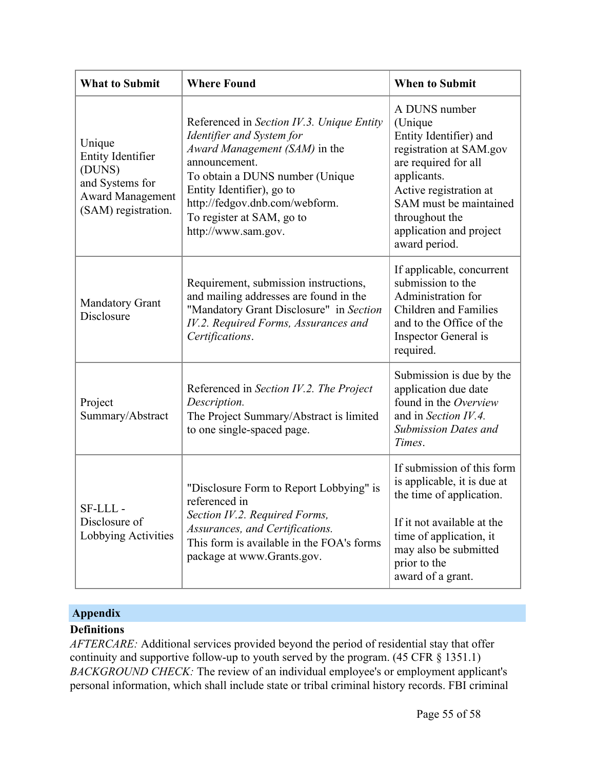| <b>What to Submit</b>                                                                                             | <b>Where Found</b>                                                                                                                                                                                                                                                             | <b>When to Submit</b>                                                                                                                                                                                                                  |
|-------------------------------------------------------------------------------------------------------------------|--------------------------------------------------------------------------------------------------------------------------------------------------------------------------------------------------------------------------------------------------------------------------------|----------------------------------------------------------------------------------------------------------------------------------------------------------------------------------------------------------------------------------------|
| Unique<br><b>Entity Identifier</b><br>(DUNS)<br>and Systems for<br><b>Award Management</b><br>(SAM) registration. | Referenced in Section IV.3. Unique Entity<br>Identifier and System for<br>Award Management (SAM) in the<br>announcement.<br>To obtain a DUNS number (Unique<br>Entity Identifier), go to<br>http://fedgov.dnb.com/webform.<br>To register at SAM, go to<br>http://www.sam.gov. | A DUNS number<br>(Unique<br>Entity Identifier) and<br>registration at SAM.gov<br>are required for all<br>applicants.<br>Active registration at<br>SAM must be maintained<br>throughout the<br>application and project<br>award period. |
| <b>Mandatory Grant</b><br>Disclosure                                                                              | Requirement, submission instructions,<br>and mailing addresses are found in the<br>"Mandatory Grant Disclosure" in Section<br>IV.2. Required Forms, Assurances and<br>Certifications.                                                                                          | If applicable, concurrent<br>submission to the<br>Administration for<br><b>Children and Families</b><br>and to the Office of the<br>Inspector General is<br>required.                                                                  |
| Project<br>Summary/Abstract                                                                                       | Referenced in Section IV.2. The Project<br>Description.<br>The Project Summary/Abstract is limited<br>to one single-spaced page.                                                                                                                                               | Submission is due by the<br>application due date<br>found in the Overview<br>and in Section IV.4.<br><b>Submission Dates and</b><br>Times.                                                                                             |
| SF-LLL-<br>Disclosure of<br>Lobbying Activities                                                                   | "Disclosure Form to Report Lobbying" is<br>referenced in<br>Section IV.2. Required Forms,<br>Assurances, and Certifications.<br>This form is available in the FOA's forms<br>package at www.Grants.gov.                                                                        | If submission of this form<br>is applicable, it is due at<br>the time of application.<br>If it not available at the<br>time of application, it<br>may also be submitted<br>prior to the<br>award of a grant.                           |

## <span id="page-55-0"></span>**Appendix**

### <span id="page-55-1"></span>**Definitions**

*AFTERCARE:* Additional services provided beyond the period of residential stay that offer continuity and supportive follow-up to youth served by the program. (45 CFR § 1351.1) *BACKGROUND CHECK:* The review of an individual employee's or employment applicant's personal information, which shall include state or tribal criminal history records. FBI criminal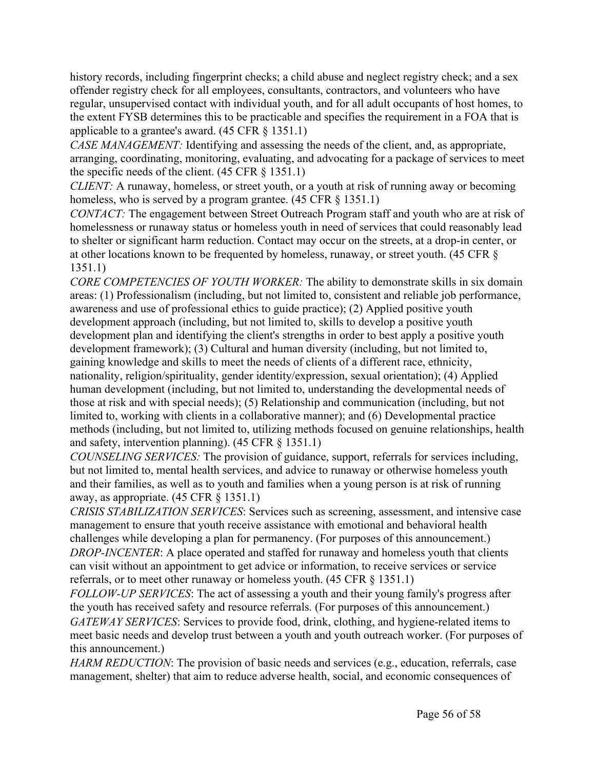history records, including fingerprint checks; a child abuse and neglect registry check; and a sex offender registry check for all employees, consultants, contractors, and volunteers who have regular, unsupervised contact with individual youth, and for all adult occupants of host homes, to the extent FYSB determines this to be practicable and specifies the requirement in a FOA that is applicable to a grantee's award. (45 CFR § 1351.1)

*CASE MANAGEMENT:* Identifying and assessing the needs of the client, and, as appropriate, arranging, coordinating, monitoring, evaluating, and advocating for a package of services to meet the specific needs of the client.  $(45 \text{ CFR} \text{ § } 1351.1)$ 

*CLIENT:* A runaway, homeless, or street youth, or a youth at risk of running away or becoming homeless, who is served by a program grantee. (45 CFR § 1351.1)

*CONTACT:* The engagement between Street Outreach Program staff and youth who are at risk of homelessness or runaway status or homeless youth in need of services that could reasonably lead to shelter or significant harm reduction. Contact may occur on the streets, at a drop-in center, or at other locations known to be frequented by homeless, runaway, or street youth. (45 CFR § 1351.1)

*CORE COMPETENCIES OF YOUTH WORKER:* The ability to demonstrate skills in six domain areas: (1) Professionalism (including, but not limited to, consistent and reliable job performance, awareness and use of professional ethics to guide practice); (2) Applied positive youth development approach (including, but not limited to, skills to develop a positive youth development plan and identifying the client's strengths in order to best apply a positive youth development framework); (3) Cultural and human diversity (including, but not limited to, gaining knowledge and skills to meet the needs of clients of a different race, ethnicity, nationality, religion/spirituality, gender identity/expression, sexual orientation); (4) Applied human development (including, but not limited to, understanding the developmental needs of those at risk and with special needs); (5) Relationship and communication (including, but not limited to, working with clients in a collaborative manner); and (6) Developmental practice methods (including, but not limited to, utilizing methods focused on genuine relationships, health and safety, intervention planning). (45 CFR § 1351.1)

*COUNSELING SERVICES:* The provision of guidance, support, referrals for services including, but not limited to, mental health services, and advice to runaway or otherwise homeless youth and their families, as well as to youth and families when a young person is at risk of running away, as appropriate. (45 CFR § 1351.1)

*CRISIS STABILIZATION SERVICES*: Services such as screening, assessment, and intensive case management to ensure that youth receive assistance with emotional and behavioral health challenges while developing a plan for permanency. (For purposes of this announcement.) *DROP-INCENTER*: A place operated and staffed for runaway and homeless youth that clients can visit without an appointment to get advice or information, to receive services or service referrals, or to meet other runaway or homeless youth. (45 CFR § 1351.1)

*FOLLOW-UP SERVICES*: The act of assessing a youth and their young family's progress after the youth has received safety and resource referrals. (For purposes of this announcement.) *GATEWAY SERVICES*: Services to provide food, drink, clothing, and hygiene-related items to meet basic needs and develop trust between a youth and youth outreach worker. (For purposes of this announcement.)

*HARM REDUCTION*: The provision of basic needs and services (e.g., education, referrals, case management, shelter) that aim to reduce adverse health, social, and economic consequences of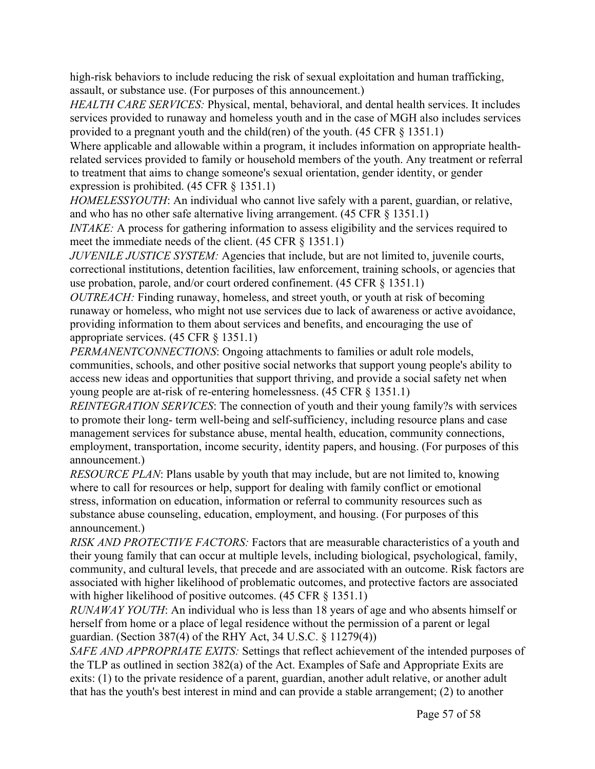high-risk behaviors to include reducing the risk of sexual exploitation and human trafficking, assault, or substance use. (For purposes of this announcement.)

*HEALTH CARE SERVICES:* Physical, mental, behavioral, and dental health services. It includes services provided to runaway and homeless youth and in the case of MGH also includes services provided to a pregnant youth and the child(ren) of the youth. (45 CFR § 1351.1)

Where applicable and allowable within a program, it includes information on appropriate healthrelated services provided to family or household members of the youth. Any treatment or referral to treatment that aims to change someone's sexual orientation, gender identity, or gender expression is prohibited. (45 CFR § 1351.1)

*HOMELESSYOUTH*: An individual who cannot live safely with a parent, guardian, or relative, and who has no other safe alternative living arrangement. (45 CFR § 1351.1)

*INTAKE:* A process for gathering information to assess eligibility and the services required to meet the immediate needs of the client. (45 CFR § 1351.1)

*JUVENILE JUSTICE SYSTEM:* Agencies that include, but are not limited to, juvenile courts, correctional institutions, detention facilities, law enforcement, training schools, or agencies that use probation, parole, and/or court ordered confinement. (45 CFR § 1351.1)

*OUTREACH:* Finding runaway, homeless, and street youth, or youth at risk of becoming runaway or homeless, who might not use services due to lack of awareness or active avoidance, providing information to them about services and benefits, and encouraging the use of appropriate services. (45 CFR § 1351.1)

*PERMANENTCONNECTIONS*: Ongoing attachments to families or adult role models, communities, schools, and other positive social networks that support young people's ability to access new ideas and opportunities that support thriving, and provide a social safety net when young people are at-risk of re-entering homelessness. (45 CFR § 1351.1)

*REINTEGRATION SERVICES*: The connection of youth and their young family?s with services to promote their long- term well-being and self-sufficiency, including resource plans and case management services for substance abuse, mental health, education, community connections, employment, transportation, income security, identity papers, and housing. (For purposes of this announcement.)

*RESOURCE PLAN*: Plans usable by youth that may include, but are not limited to, knowing where to call for resources or help, support for dealing with family conflict or emotional stress, information on education, information or referral to community resources such as substance abuse counseling, education, employment, and housing. (For purposes of this announcement.)

*RISK AND PROTECTIVE FACTORS:* Factors that are measurable characteristics of a youth and their young family that can occur at multiple levels, including biological, psychological, family, community, and cultural levels, that precede and are associated with an outcome. Risk factors are associated with higher likelihood of problematic outcomes, and protective factors are associated with higher likelihood of positive outcomes. (45 CFR § 1351.1)

*RUNAWAY YOUTH*: An individual who is less than 18 years of age and who absents himself or herself from home or a place of legal residence without the permission of a parent or legal guardian. (Section 387(4) of the RHY Act, 34 U.S.C. § 11279(4))

*SAFE AND APPROPRIATE EXITS:* Settings that reflect achievement of the intended purposes of the TLP as outlined in section 382(a) of the Act. Examples of Safe and Appropriate Exits are exits: (1) to the private residence of a parent, guardian, another adult relative, or another adult that has the youth's best interest in mind and can provide a stable arrangement; (2) to another